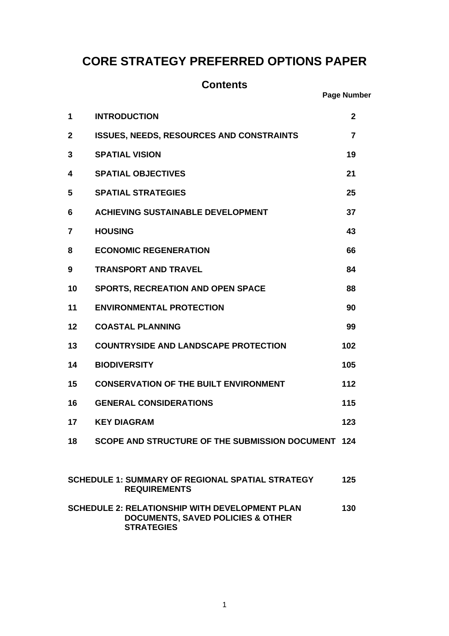# **CORE STRATEGY PREFERRED OPTIONS PAPER**

| <b>Contents</b><br><b>Page Number</b>                                          |                                                                                                                            |              |
|--------------------------------------------------------------------------------|----------------------------------------------------------------------------------------------------------------------------|--------------|
|                                                                                |                                                                                                                            |              |
| 1                                                                              | <b>INTRODUCTION</b>                                                                                                        | $\mathbf{2}$ |
| 2                                                                              | <b>ISSUES, NEEDS, RESOURCES AND CONSTRAINTS</b>                                                                            | 7            |
| 3                                                                              | <b>SPATIAL VISION</b>                                                                                                      | 19           |
| 4                                                                              | <b>SPATIAL OBJECTIVES</b>                                                                                                  | 21           |
| 5                                                                              | <b>SPATIAL STRATEGIES</b>                                                                                                  | 25           |
| 6                                                                              | <b>ACHIEVING SUSTAINABLE DEVELOPMENT</b>                                                                                   | 37           |
| 7                                                                              | <b>HOUSING</b>                                                                                                             | 43           |
| 8                                                                              | <b>ECONOMIC REGENERATION</b>                                                                                               | 66           |
| 9                                                                              | <b>TRANSPORT AND TRAVEL</b>                                                                                                | 84           |
| 10                                                                             | <b>SPORTS, RECREATION AND OPEN SPACE</b>                                                                                   | 88           |
| 11                                                                             | <b>ENVIRONMENTAL PROTECTION</b>                                                                                            | 90           |
| 12                                                                             | <b>COASTAL PLANNING</b>                                                                                                    | 99           |
| 13                                                                             | <b>COUNTRYSIDE AND LANDSCAPE PROTECTION</b>                                                                                | 102          |
| 14                                                                             | <b>BIODIVERSITY</b>                                                                                                        | 105          |
| 15                                                                             | <b>CONSERVATION OF THE BUILT ENVIRONMENT</b>                                                                               | 112          |
| 16                                                                             | <b>GENERAL CONSIDERATIONS</b>                                                                                              | 115          |
| 17                                                                             | <b>KEY DIAGRAM</b>                                                                                                         | 123          |
| 18                                                                             | SCOPE AND STRUCTURE OF THE SUBMISSION DOCUMENT 124                                                                         |              |
|                                                                                |                                                                                                                            |              |
| <b>SCHEDULE 1: SUMMARY OF REGIONAL SPATIAL STRATEGY</b><br><b>REQUIREMENTS</b> |                                                                                                                            | 125          |
|                                                                                | <b>SCHEDULE 2: RELATIONSHIP WITH DEVELOPMENT PLAN</b><br><b>DOCUMENTS, SAVED POLICIES &amp; OTHER</b><br><b>STRATEGIES</b> | 130          |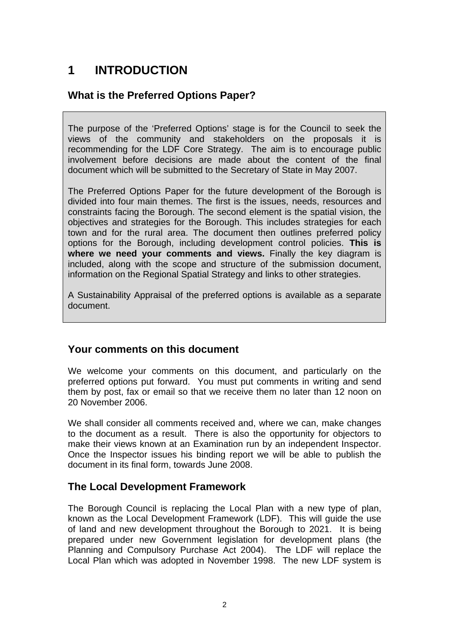# **1 INTRODUCTION**

# **What is the Preferred Options Paper?**

The purpose of the 'Preferred Options' stage is for the Council to seek the views of the community and stakeholders on the proposals it is recommending for the LDF Core Strategy. The aim is to encourage public involvement before decisions are made about the content of the final document which will be submitted to the Secretary of State in May 2007.

The Preferred Options Paper for the future development of the Borough is divided into four main themes. The first is the issues, needs, resources and constraints facing the Borough. The second element is the spatial vision, the objectives and strategies for the Borough. This includes strategies for each town and for the rural area. The document then outlines preferred policy options for the Borough, including development control policies. **This is where we need your comments and views.** Finally the key diagram is included, along with the scope and structure of the submission document, information on the Regional Spatial Strategy and links to other strategies.

A Sustainability Appraisal of the preferred options is available as a separate document.

# **Your comments on this document**

We welcome your comments on this document, and particularly on the preferred options put forward. You must put comments in writing and send them by post, fax or email so that we receive them no later than 12 noon on 20 November 2006.

We shall consider all comments received and, where we can, make changes to the document as a result. There is also the opportunity for objectors to make their views known at an Examination run by an independent Inspector. Once the Inspector issues his binding report we will be able to publish the document in its final form, towards June 2008.

# **The Local Development Framework**

The Borough Council is replacing the Local Plan with a new type of plan, known as the Local Development Framework (LDF). This will guide the use of land and new development throughout the Borough to 2021. It is being prepared under new Government legislation for development plans (the Planning and Compulsory Purchase Act 2004). The LDF will replace the Local Plan which was adopted in November 1998. The new LDF system is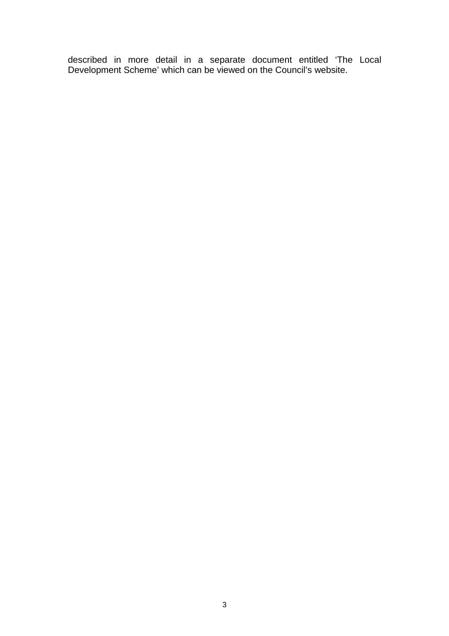described in more detail in a separate document entitled 'The Local Development Scheme' which can be viewed on the Council's website.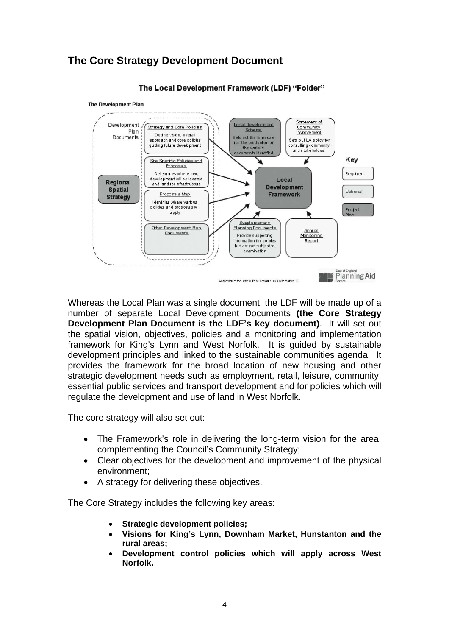# **The Core Strategy Development Document**



The Local Development Framework (LDF) "Folder"

Whereas the Local Plan was a single document, the LDF will be made up of a number of separate Local Development Documents **(the Core Strategy Development Plan Document is the LDF's key document)**. It will set out the spatial vision, objectives, policies and a monitoring and implementation framework for King's Lynn and West Norfolk. It is guided by sustainable development principles and linked to the sustainable communities agenda. It provides the framework for the broad location of new housing and other strategic development needs such as employment, retail, leisure, community, essential public services and transport development and for policies which will regulate the development and use of land in West Norfolk.

The core strategy will also set out:

- The Framework's role in delivering the long-term vision for the area, complementing the Council's Community Strategy;
- Clear objectives for the development and improvement of the physical environment;
- A strategy for delivering these objectives.

The Core Strategy includes the following key areas:

- **Strategic development policies;**
- **Visions for King's Lynn, Downham Market, Hunstanton and the rural areas;**
- **Development control policies which will apply across West Norfolk.**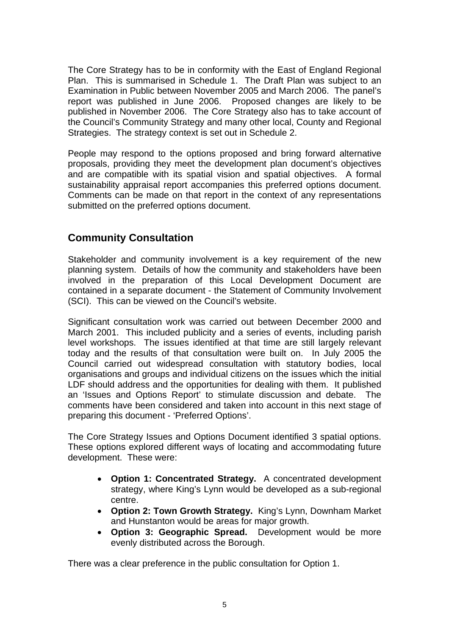The Core Strategy has to be in conformity with the East of England Regional Plan. This is summarised in Schedule 1. The Draft Plan was subject to an Examination in Public between November 2005 and March 2006. The panel's report was published in June 2006. Proposed changes are likely to be published in November 2006. The Core Strategy also has to take account of the Council's Community Strategy and many other local, County and Regional Strategies. The strategy context is set out in Schedule 2.

People may respond to the options proposed and bring forward alternative proposals, providing they meet the development plan document's objectives and are compatible with its spatial vision and spatial objectives. A formal sustainability appraisal report accompanies this preferred options document. Comments can be made on that report in the context of any representations submitted on the preferred options document.

# **Community Consultation**

Stakeholder and community involvement is a key requirement of the new planning system. Details of how the community and stakeholders have been involved in the preparation of this Local Development Document are contained in a separate document - the Statement of Community Involvement (SCI). This can be viewed on the Council's website.

Significant consultation work was carried out between December 2000 and March 2001. This included publicity and a series of events, including parish level workshops. The issues identified at that time are still largely relevant today and the results of that consultation were built on. In July 2005 the Council carried out widespread consultation with statutory bodies, local organisations and groups and individual citizens on the issues which the initial LDF should address and the opportunities for dealing with them. It published an 'Issues and Options Report' to stimulate discussion and debate. The comments have been considered and taken into account in this next stage of preparing this document - 'Preferred Options'.

The Core Strategy Issues and Options Document identified 3 spatial options. These options explored different ways of locating and accommodating future development. These were:

- **Option 1: Concentrated Strategy.** A concentrated development strategy, where King's Lynn would be developed as a sub-regional centre.
- **Option 2: Town Growth Strategy.** King's Lynn, Downham Market and Hunstanton would be areas for major growth.
- **Option 3: Geographic Spread.** Development would be more evenly distributed across the Borough.

There was a clear preference in the public consultation for Option 1.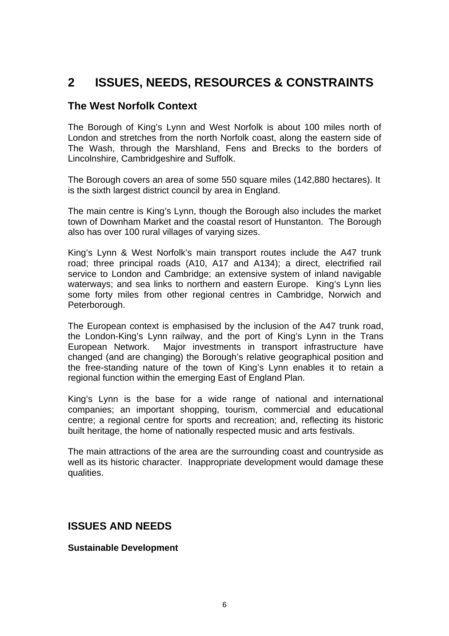# **2 ISSUES, NEEDS, RESOURCES & CONSTRAINTS**

# **The West Norfolk Context**

The Borough of King's Lynn and West Norfolk is about 100 miles north of London and stretches from the north Norfolk coast, along the eastern side of The Wash, through the Marshland, Fens and Brecks to the borders of Lincolnshire, Cambridgeshire and Suffolk.

The Borough covers an area of some 550 square miles (142,880 hectares). It is the sixth largest district council by area in England.

The main centre is King's Lynn, though the Borough also includes the market town of Downham Market and the coastal resort of Hunstanton. The Borough also has over 100 rural villages of varying sizes.

King's Lynn & West Norfolk's main transport routes include the A47 trunk road; three principal roads (A10, A17 and A134); a direct, electrified rail service to London and Cambridge; an extensive system of inland navigable waterways; and sea links to northern and eastern Europe. King's Lynn lies some forty miles from other regional centres in Cambridge, Norwich and Peterborough.

The European context is emphasised by the inclusion of the A47 trunk road, the London-King's Lynn railway, and the port of King's Lynn in the Trans European Network. Major investments in transport infrastructure have changed (and are changing) the Borough's relative geographical position and the free-standing nature of the town of King's Lynn enables it to retain a regional function within the emerging East of England Plan.

King's Lynn is the base for a wide range of national and international companies; an important shopping, tourism, commercial and educational centre; a regional centre for sports and recreation; and, reflecting its historic built heritage, the home of nationally respected music and arts festivals.

The main attractions of the area are the surrounding coast and countryside as well as its historic character. Inappropriate development would damage these qualities.

# **ISSUES AND NEEDS**

## **Sustainable Development**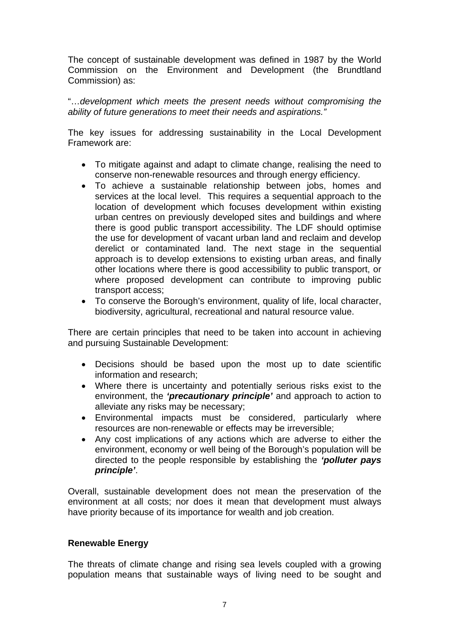The concept of sustainable development was defined in 1987 by the World Commission on the Environment and Development (the Brundtland Commission) as:

"…*development which meets the present needs without compromising the ability of future generations to meet their needs and aspirations."* 

The key issues for addressing sustainability in the Local Development Framework are:

- To mitigate against and adapt to climate change, realising the need to conserve non-renewable resources and through energy efficiency.
- To achieve a sustainable relationship between jobs, homes and services at the local level. This requires a sequential approach to the location of development which focuses development within existing urban centres on previously developed sites and buildings and where there is good public transport accessibility. The LDF should optimise the use for development of vacant urban land and reclaim and develop derelict or contaminated land. The next stage in the sequential approach is to develop extensions to existing urban areas, and finally other locations where there is good accessibility to public transport, or where proposed development can contribute to improving public transport access;
- To conserve the Borough's environment, quality of life, local character, biodiversity, agricultural, recreational and natural resource value.

There are certain principles that need to be taken into account in achieving and pursuing Sustainable Development:

- Decisions should be based upon the most up to date scientific information and research;
- Where there is uncertainty and potentially serious risks exist to the environment, the *'precautionary principle'* and approach to action to alleviate any risks may be necessary;
- Environmental impacts must be considered, particularly where resources are non-renewable or effects may be irreversible;
- Any cost implications of any actions which are adverse to either the environment, economy or well being of the Borough's population will be directed to the people responsible by establishing the *'polluter pays principle'*.

Overall, sustainable development does not mean the preservation of the environment at all costs; nor does it mean that development must always have priority because of its importance for wealth and job creation.

## **Renewable Energy**

The threats of climate change and rising sea levels coupled with a growing population means that sustainable ways of living need to be sought and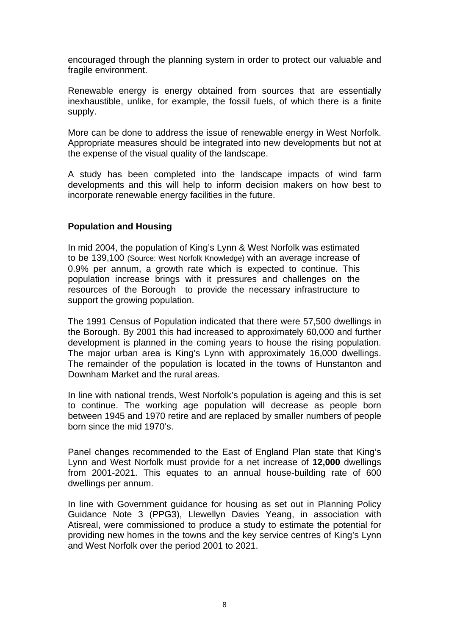encouraged through the planning system in order to protect our valuable and fragile environment.

Renewable energy is energy obtained from sources that are essentially inexhaustible, unlike, for example, the fossil fuels, of which there is a finite supply.

More can be done to address the issue of renewable energy in West Norfolk. Appropriate measures should be integrated into new developments but not at the expense of the visual quality of the landscape.

A study has been completed into the landscape impacts of wind farm developments and this will help to inform decision makers on how best to incorporate renewable energy facilities in the future.

## **Population and Housing**

In mid 2004, the population of King's Lynn & West Norfolk was estimated to be 139,100 (Source: West Norfolk Knowledge) with an average increase of 0.9% per annum, a growth rate which is expected to continue. This population increase brings with it pressures and challenges on the resources of the Borough to provide the necessary infrastructure to support the growing population.

The 1991 Census of Population indicated that there were 57,500 dwellings in the Borough. By 2001 this had increased to approximately 60,000 and further development is planned in the coming years to house the rising population. The major urban area is King's Lynn with approximately 16,000 dwellings. The remainder of the population is located in the towns of Hunstanton and Downham Market and the rural areas.

In line with national trends, West Norfolk's population is ageing and this is set to continue. The working age population will decrease as people born between 1945 and 1970 retire and are replaced by smaller numbers of people born since the mid 1970's.

Panel changes recommended to the East of England Plan state that King's Lynn and West Norfolk must provide for a net increase of **12,000** dwellings from 2001-2021. This equates to an annual house-building rate of 600 dwellings per annum.

In line with Government guidance for housing as set out in Planning Policy Guidance Note 3 (PPG3), Llewellyn Davies Yeang, in association with Atisreal, were commissioned to produce a study to estimate the potential for providing new homes in the towns and the key service centres of King's Lynn and West Norfolk over the period 2001 to 2021.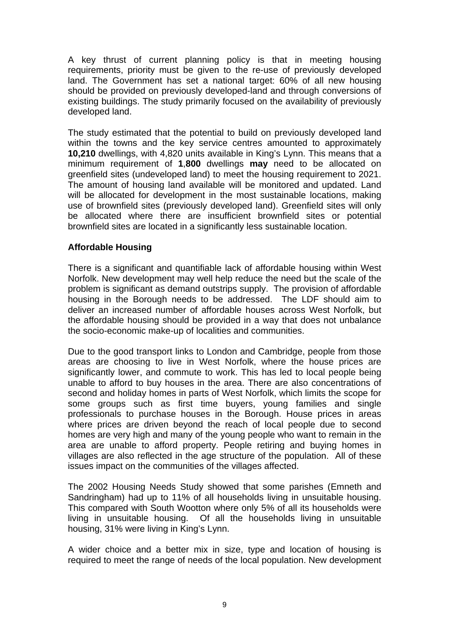A key thrust of current planning policy is that in meeting housing requirements, priority must be given to the re-use of previously developed land. The Government has set a national target: 60% of all new housing should be provided on previously developed-land and through conversions of existing buildings. The study primarily focused on the availability of previously developed land.

The study estimated that the potential to build on previously developed land within the towns and the key service centres amounted to approximately **10,210** dwellings, with 4,820 units available in King's Lynn. This means that a minimum requirement of **1**,**800** dwellings **may** need to be allocated on greenfield sites (undeveloped land) to meet the housing requirement to 2021. The amount of housing land available will be monitored and updated. Land will be allocated for development in the most sustainable locations, making use of brownfield sites (previously developed land). Greenfield sites will only be allocated where there are insufficient brownfield sites or potential brownfield sites are located in a significantly less sustainable location.

# **Affordable Housing**

There is a significant and quantifiable lack of affordable housing within West Norfolk. New development may well help reduce the need but the scale of the problem is significant as demand outstrips supply. The provision of affordable housing in the Borough needs to be addressed. The LDF should aim to deliver an increased number of affordable houses across West Norfolk, but the affordable housing should be provided in a way that does not unbalance the socio-economic make-up of localities and communities.

Due to the good transport links to London and Cambridge, people from those areas are choosing to live in West Norfolk, where the house prices are significantly lower, and commute to work. This has led to local people being unable to afford to buy houses in the area. There are also concentrations of second and holiday homes in parts of West Norfolk, which limits the scope for some groups such as first time buyers, young families and single professionals to purchase houses in the Borough. House prices in areas where prices are driven beyond the reach of local people due to second homes are very high and many of the young people who want to remain in the area are unable to afford property. People retiring and buying homes in villages are also reflected in the age structure of the population. All of these issues impact on the communities of the villages affected.

The 2002 Housing Needs Study showed that some parishes (Emneth and Sandringham) had up to 11% of all households living in unsuitable housing. This compared with South Wootton where only 5% of all its households were living in unsuitable housing. Of all the households living in unsuitable housing, 31% were living in King's Lynn.

A wider choice and a better mix in size, type and location of housing is required to meet the range of needs of the local population. New development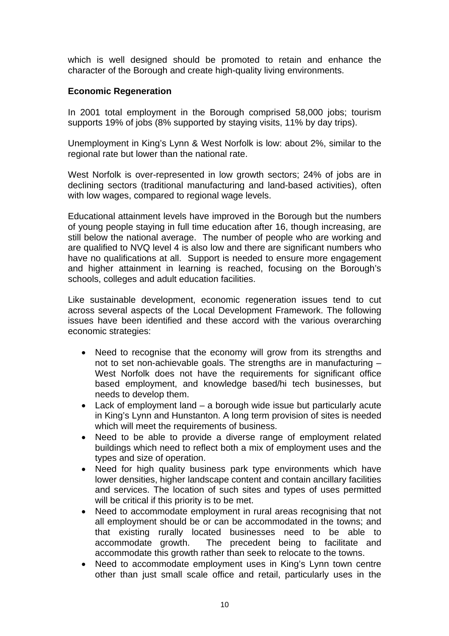which is well designed should be promoted to retain and enhance the character of the Borough and create high-quality living environments.

# **Economic Regeneration**

In 2001 total employment in the Borough comprised 58,000 jobs; tourism supports 19% of jobs (8% supported by staying visits, 11% by day trips).

Unemployment in King's Lynn & West Norfolk is low: about 2%, similar to the regional rate but lower than the national rate.

West Norfolk is over-represented in low growth sectors; 24% of jobs are in declining sectors (traditional manufacturing and land-based activities), often with low wages, compared to regional wage levels.

Educational attainment levels have improved in the Borough but the numbers of young people staying in full time education after 16, though increasing, are still below the national average. The number of people who are working and are qualified to NVQ level 4 is also low and there are significant numbers who have no qualifications at all. Support is needed to ensure more engagement and higher attainment in learning is reached, focusing on the Borough's schools, colleges and adult education facilities.

Like sustainable development, economic regeneration issues tend to cut across several aspects of the Local Development Framework. The following issues have been identified and these accord with the various overarching economic strategies:

- Need to recognise that the economy will grow from its strengths and not to set non-achievable goals. The strengths are in manufacturing – West Norfolk does not have the requirements for significant office based employment, and knowledge based/hi tech businesses, but needs to develop them.
- Lack of employment land a borough wide issue but particularly acute in King's Lynn and Hunstanton. A long term provision of sites is needed which will meet the requirements of business.
- Need to be able to provide a diverse range of employment related buildings which need to reflect both a mix of employment uses and the types and size of operation.
- Need for high quality business park type environments which have lower densities, higher landscape content and contain ancillary facilities and services. The location of such sites and types of uses permitted will be critical if this priority is to be met.
- Need to accommodate employment in rural areas recognising that not all employment should be or can be accommodated in the towns; and that existing rurally located businesses need to be able to accommodate growth. The precedent being to facilitate and accommodate this growth rather than seek to relocate to the towns.
- Need to accommodate employment uses in King's Lynn town centre other than just small scale office and retail, particularly uses in the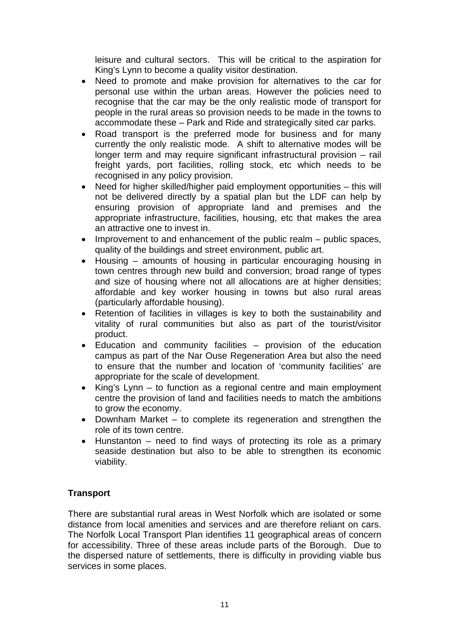leisure and cultural sectors. This will be critical to the aspiration for King's Lynn to become a quality visitor destination.

- Need to promote and make provision for alternatives to the car for personal use within the urban areas. However the policies need to recognise that the car may be the only realistic mode of transport for people in the rural areas so provision needs to be made in the towns to accommodate these – Park and Ride and strategically sited car parks.
- Road transport is the preferred mode for business and for many currently the only realistic mode. A shift to alternative modes will be longer term and may require significant infrastructural provision – rail freight yards, port facilities, rolling stock, etc which needs to be recognised in any policy provision.
- Need for higher skilled/higher paid employment opportunities this will not be delivered directly by a spatial plan but the LDF can help by ensuring provision of appropriate land and premises and the appropriate infrastructure, facilities, housing, etc that makes the area an attractive one to invest in.
- Improvement to and enhancement of the public realm public spaces, quality of the buildings and street environment, public art.
- Housing amounts of housing in particular encouraging housing in town centres through new build and conversion; broad range of types and size of housing where not all allocations are at higher densities; affordable and key worker housing in towns but also rural areas (particularly affordable housing).
- Retention of facilities in villages is key to both the sustainability and vitality of rural communities but also as part of the tourist/visitor product.
- Education and community facilities provision of the education campus as part of the Nar Ouse Regeneration Area but also the need to ensure that the number and location of 'community facilities' are appropriate for the scale of development.
- King's Lynn to function as a regional centre and main employment centre the provision of land and facilities needs to match the ambitions to grow the economy.
- Downham Market to complete its regeneration and strengthen the role of its town centre.
- Hunstanton need to find ways of protecting its role as a primary seaside destination but also to be able to strengthen its economic viability.

# **Transport**

There are substantial rural areas in West Norfolk which are isolated or some distance from local amenities and services and are therefore reliant on cars. The Norfolk Local Transport Plan identifies 11 geographical areas of concern for accessibility. Three of these areas include parts of the Borough. Due to the dispersed nature of settlements, there is difficulty in providing viable bus services in some places.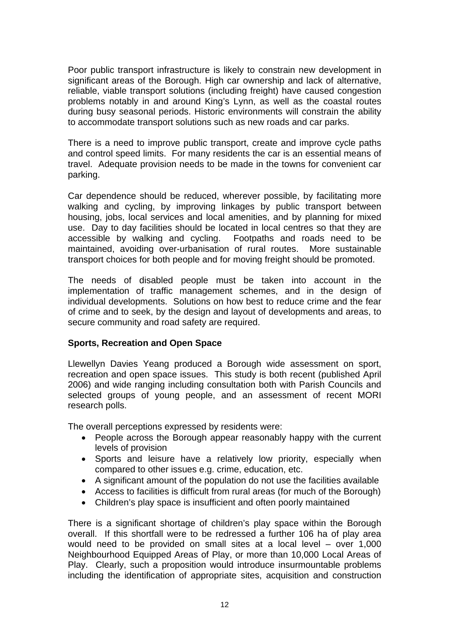Poor public transport infrastructure is likely to constrain new development in significant areas of the Borough. High car ownership and lack of alternative, reliable, viable transport solutions (including freight) have caused congestion problems notably in and around King's Lynn, as well as the coastal routes during busy seasonal periods. Historic environments will constrain the ability to accommodate transport solutions such as new roads and car parks.

There is a need to improve public transport, create and improve cycle paths and control speed limits. For many residents the car is an essential means of travel. Adequate provision needs to be made in the towns for convenient car parking.

Car dependence should be reduced, wherever possible, by facilitating more walking and cycling, by improving linkages by public transport between housing, jobs, local services and local amenities, and by planning for mixed use. Day to day facilities should be located in local centres so that they are accessible by walking and cycling. Footpaths and roads need to be maintained, avoiding over-urbanisation of rural routes. More sustainable transport choices for both people and for moving freight should be promoted.

The needs of disabled people must be taken into account in the implementation of traffic management schemes, and in the design of individual developments. Solutions on how best to reduce crime and the fear of crime and to seek, by the design and layout of developments and areas, to secure community and road safety are required.

## **Sports, Recreation and Open Space**

Llewellyn Davies Yeang produced a Borough wide assessment on sport, recreation and open space issues. This study is both recent (published April 2006) and wide ranging including consultation both with Parish Councils and selected groups of young people, and an assessment of recent MORI research polls.

The overall perceptions expressed by residents were:

- People across the Borough appear reasonably happy with the current levels of provision
- Sports and leisure have a relatively low priority, especially when compared to other issues e.g. crime, education, etc.
- A significant amount of the population do not use the facilities available
- Access to facilities is difficult from rural areas (for much of the Borough)
- Children's play space is insufficient and often poorly maintained

There is a significant shortage of children's play space within the Borough overall. If this shortfall were to be redressed a further 106 ha of play area would need to be provided on small sites at a local level – over 1,000 Neighbourhood Equipped Areas of Play, or more than 10,000 Local Areas of Play. Clearly, such a proposition would introduce insurmountable problems including the identification of appropriate sites, acquisition and construction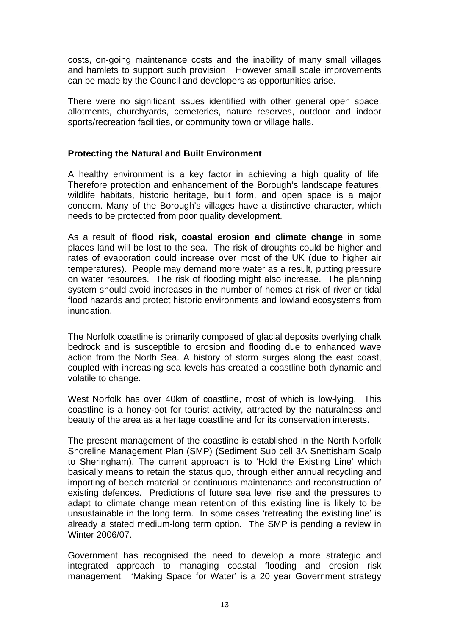costs, on-going maintenance costs and the inability of many small villages and hamlets to support such provision. However small scale improvements can be made by the Council and developers as opportunities arise.

There were no significant issues identified with other general open space, allotments, churchyards, cemeteries, nature reserves, outdoor and indoor sports/recreation facilities, or community town or village halls.

# **Protecting the Natural and Built Environment**

A healthy environment is a key factor in achieving a high quality of life. Therefore protection and enhancement of the Borough's landscape features, wildlife habitats, historic heritage, built form, and open space is a major concern. Many of the Borough's villages have a distinctive character, which needs to be protected from poor quality development.

As a result of **flood risk, coastal erosion and climate change** in some places land will be lost to the sea. The risk of droughts could be higher and rates of evaporation could increase over most of the UK (due to higher air temperatures). People may demand more water as a result, putting pressure on water resources. The risk of flooding might also increase. The planning system should avoid increases in the number of homes at risk of river or tidal flood hazards and protect historic environments and lowland ecosystems from inundation.

The Norfolk coastline is primarily composed of glacial deposits overlying chalk bedrock and is susceptible to erosion and flooding due to enhanced wave action from the North Sea. A history of storm surges along the east coast, coupled with increasing sea levels has created a coastline both dynamic and volatile to change.

West Norfolk has over 40km of coastline, most of which is low-lying. This coastline is a honey-pot for tourist activity, attracted by the naturalness and beauty of the area as a heritage coastline and for its conservation interests.

The present management of the coastline is established in the North Norfolk Shoreline Management Plan (SMP) (Sediment Sub cell 3A Snettisham Scalp to Sheringham). The current approach is to 'Hold the Existing Line' which basically means to retain the status quo, through either annual recycling and importing of beach material or continuous maintenance and reconstruction of existing defences. Predictions of future sea level rise and the pressures to adapt to climate change mean retention of this existing line is likely to be unsustainable in the long term. In some cases 'retreating the existing line' is already a stated medium-long term option. The SMP is pending a review in Winter 2006/07.

Government has recognised the need to develop a more strategic and integrated approach to managing coastal flooding and erosion risk management. 'Making Space for Water' is a 20 year Government strategy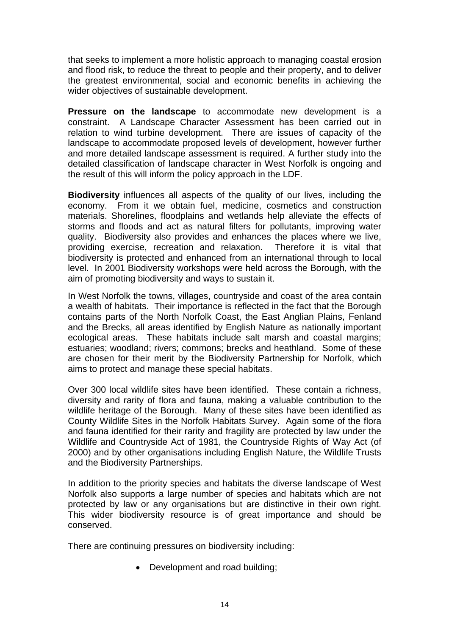that seeks to implement a more holistic approach to managing coastal erosion and flood risk, to reduce the threat to people and their property, and to deliver the greatest environmental, social and economic benefits in achieving the wider objectives of sustainable development.

**Pressure on the landscape** to accommodate new development is a constraint. A Landscape Character Assessment has been carried out in relation to wind turbine development. There are issues of capacity of the landscape to accommodate proposed levels of development, however further and more detailed landscape assessment is required. A further study into the detailed classification of landscape character in West Norfolk is ongoing and the result of this will inform the policy approach in the LDF.

**Biodiversity** influences all aspects of the quality of our lives, including the economy. From it we obtain fuel, medicine, cosmetics and construction materials. Shorelines, floodplains and wetlands help alleviate the effects of storms and floods and act as natural filters for pollutants, improving water quality. Biodiversity also provides and enhances the places where we live, providing exercise, recreation and relaxation. Therefore it is vital that biodiversity is protected and enhanced from an international through to local level. In 2001 Biodiversity workshops were held across the Borough, with the aim of promoting biodiversity and ways to sustain it.

In West Norfolk the towns, villages, countryside and coast of the area contain a wealth of habitats. Their importance is reflected in the fact that the Borough contains parts of the North Norfolk Coast, the East Anglian Plains, Fenland and the Brecks, all areas identified by English Nature as nationally important ecological areas. These habitats include salt marsh and coastal margins; estuaries; woodland; rivers; commons; brecks and heathland. Some of these are chosen for their merit by the Biodiversity Partnership for Norfolk, which aims to protect and manage these special habitats.

Over 300 local wildlife sites have been identified. These contain a richness, diversity and rarity of flora and fauna, making a valuable contribution to the wildlife heritage of the Borough. Many of these sites have been identified as County Wildlife Sites in the Norfolk Habitats Survey. Again some of the flora and fauna identified for their rarity and fragility are protected by law under the Wildlife and Countryside Act of 1981, the Countryside Rights of Way Act (of 2000) and by other organisations including English Nature, the Wildlife Trusts and the Biodiversity Partnerships.

In addition to the priority species and habitats the diverse landscape of West Norfolk also supports a large number of species and habitats which are not protected by law or any organisations but are distinctive in their own right. This wider biodiversity resource is of great importance and should be conserved.

There are continuing pressures on biodiversity including:

• Development and road building;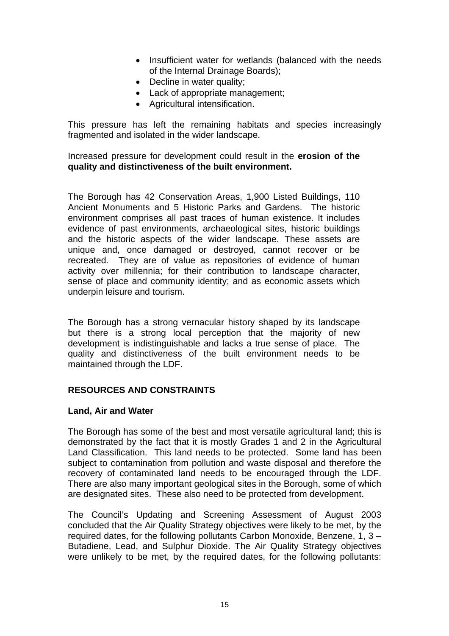- Insufficient water for wetlands (balanced with the needs of the Internal Drainage Boards);
- Decline in water quality;
- Lack of appropriate management;
- Agricultural intensification.

This pressure has left the remaining habitats and species increasingly fragmented and isolated in the wider landscape.

Increased pressure for development could result in the **erosion of the quality and distinctiveness of the built environment.** 

The Borough has 42 Conservation Areas, 1,900 Listed Buildings, 110 Ancient Monuments and 5 Historic Parks and Gardens. The historic environment comprises all past traces of human existence. It includes evidence of past environments, archaeological sites, historic buildings and the historic aspects of the wider landscape. These assets are unique and, once damaged or destroyed, cannot recover or be recreated. They are of value as repositories of evidence of human activity over millennia; for their contribution to landscape character, sense of place and community identity; and as economic assets which underpin leisure and tourism.

The Borough has a strong vernacular history shaped by its landscape but there is a strong local perception that the majority of new development is indistinguishable and lacks a true sense of place. The quality and distinctiveness of the built environment needs to be maintained through the LDF.

## **RESOURCES AND CONSTRAINTS**

## **Land, Air and Water**

The Borough has some of the best and most versatile agricultural land; this is demonstrated by the fact that it is mostly Grades 1 and 2 in the Agricultural Land Classification. This land needs to be protected. Some land has been subject to contamination from pollution and waste disposal and therefore the recovery of contaminated land needs to be encouraged through the LDF. There are also many important geological sites in the Borough, some of which are designated sites. These also need to be protected from development.

The Council's Updating and Screening Assessment of August 2003 concluded that the Air Quality Strategy objectives were likely to be met, by the required dates, for the following pollutants Carbon Monoxide, Benzene, 1, 3 – Butadiene, Lead, and Sulphur Dioxide. The Air Quality Strategy objectives were unlikely to be met, by the required dates, for the following pollutants: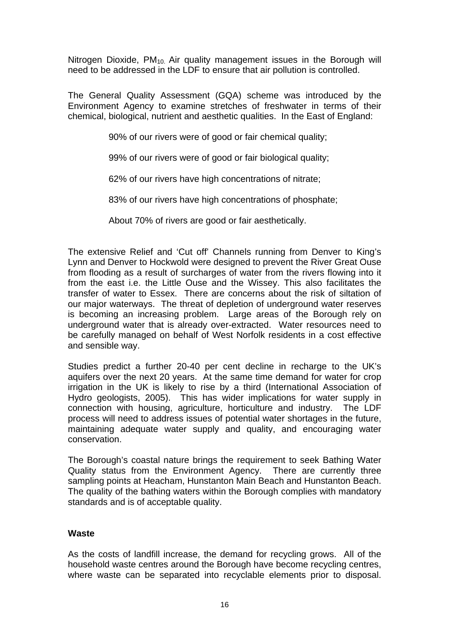Nitrogen Dioxide,  $PM_{10}$  Air quality management issues in the Borough will need to be addressed in the LDF to ensure that air pollution is controlled.

The General Quality Assessment (GQA) scheme was introduced by the Environment Agency to examine stretches of freshwater in terms of their chemical, biological, nutrient and aesthetic qualities. In the East of England:

90% of our rivers were of good or fair chemical quality;

99% of our rivers were of good or fair biological quality;

62% of our rivers have high concentrations of nitrate;

83% of our rivers have high concentrations of phosphate;

About 70% of rivers are good or fair aesthetically.

The extensive Relief and 'Cut off' Channels running from Denver to King's Lynn and Denver to Hockwold were designed to prevent the River Great Ouse from flooding as a result of surcharges of water from the rivers flowing into it from the east i.e. the Little Ouse and the Wissey. This also facilitates the transfer of water to Essex. There are concerns about the risk of siltation of our major waterways. The threat of depletion of underground water reserves is becoming an increasing problem. Large areas of the Borough rely on underground water that is already over-extracted. Water resources need to be carefully managed on behalf of West Norfolk residents in a cost effective and sensible way.

Studies predict a further 20-40 per cent decline in recharge to the UK's aquifers over the next 20 years. At the same time demand for water for crop irrigation in the UK is likely to rise by a third (International Association of Hydro geologists, 2005). This has wider implications for water supply in connection with housing, agriculture, horticulture and industry. The LDF process will need to address issues of potential water shortages in the future, maintaining adequate water supply and quality, and encouraging water conservation.

The Borough's coastal nature brings the requirement to seek Bathing Water Quality status from the Environment Agency. There are currently three sampling points at Heacham, Hunstanton Main Beach and Hunstanton Beach. The quality of the bathing waters within the Borough complies with mandatory standards and is of acceptable quality.

## **Waste**

As the costs of landfill increase, the demand for recycling grows. All of the household waste centres around the Borough have become recycling centres, where waste can be separated into recyclable elements prior to disposal.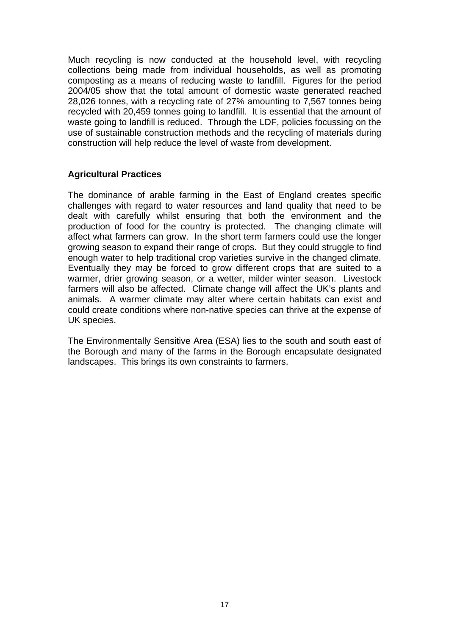Much recycling is now conducted at the household level, with recycling collections being made from individual households, as well as promoting composting as a means of reducing waste to landfill. Figures for the period 2004/05 show that the total amount of domestic waste generated reached 28,026 tonnes, with a recycling rate of 27% amounting to 7,567 tonnes being recycled with 20,459 tonnes going to landfill. It is essential that the amount of waste going to landfill is reduced. Through the LDF, policies focussing on the use of sustainable construction methods and the recycling of materials during construction will help reduce the level of waste from development.

## **Agricultural Practices**

The dominance of arable farming in the East of England creates specific challenges with regard to water resources and land quality that need to be dealt with carefully whilst ensuring that both the environment and the production of food for the country is protected. The changing climate will affect what farmers can grow. In the short term farmers could use the longer growing season to expand their range of crops. But they could struggle to find enough water to help traditional crop varieties survive in the changed climate. Eventually they may be forced to grow different crops that are suited to a warmer, drier growing season, or a wetter, milder winter season. Livestock farmers will also be affected. Climate change will affect the UK's plants and animals. A warmer climate may alter where certain habitats can exist and could create conditions where non-native species can thrive at the expense of UK species.

The Environmentally Sensitive Area (ESA) lies to the south and south east of the Borough and many of the farms in the Borough encapsulate designated landscapes. This brings its own constraints to farmers.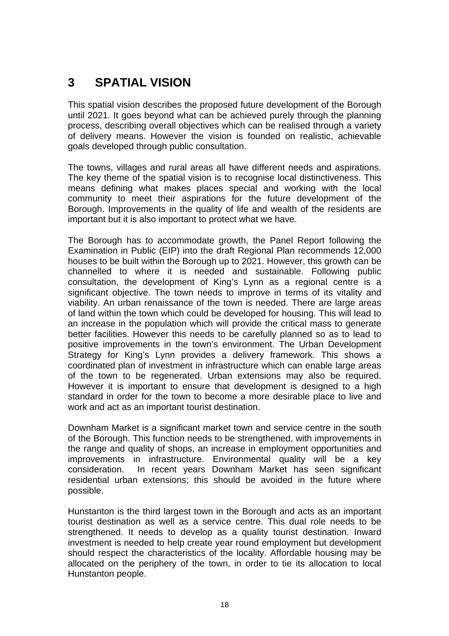# **3 SPATIAL VISION**

This spatial vision describes the proposed future development of the Borough until 2021. It goes beyond what can be achieved purely through the planning process, describing overall objectives which can be realised through a variety of delivery means. However the vision is founded on realistic, achievable goals developed through public consultation.

The towns, villages and rural areas all have different needs and aspirations. The key theme of the spatial vision is to recognise local distinctiveness. This means defining what makes places special and working with the local community to meet their aspirations for the future development of the Borough. Improvements in the quality of life and wealth of the residents are important but it is also important to protect what we have.

The Borough has to accommodate growth, the Panel Report following the Examination in Public (EIP) into the draft Regional Plan recommends 12,000 houses to be built within the Borough up to 2021. However, this growth can be channelled to where it is needed and sustainable. Following public consultation, the development of King's Lynn as a regional centre is a significant objective. The town needs to improve in terms of its vitality and viability. An urban renaissance of the town is needed. There are large areas of land within the town which could be developed for housing. This will lead to an increase in the population which will provide the critical mass to generate better facilities. However this needs to be carefully planned so as to lead to positive improvements in the town's environment. The Urban Development Strategy for King's Lynn provides a delivery framework. This shows a coordinated plan of investment in infrastructure which can enable large areas of the town to be regenerated. Urban extensions may also be required. However it is important to ensure that development is designed to a high standard in order for the town to become a more desirable place to live and work and act as an important tourist destination.

Downham Market is a significant market town and service centre in the south of the Borough. This function needs to be strengthened, with improvements in the range and quality of shops, an increase in employment opportunities and improvements in infrastructure. Environmental quality will be a key consideration. In recent years Downham Market has seen significant residential urban extensions; this should be avoided in the future where possible.

Hunstanton is the third largest town in the Borough and acts as an important tourist destination as well as a service centre. This dual role needs to be strengthened. It needs to develop as a quality tourist destination. Inward investment is needed to help create year round employment but development should respect the characteristics of the locality. Affordable housing may be allocated on the periphery of the town, in order to tie its allocation to local Hunstanton people.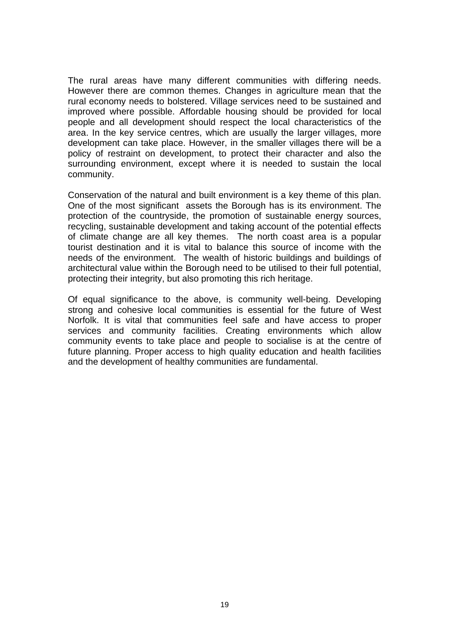The rural areas have many different communities with differing needs. However there are common themes. Changes in agriculture mean that the rural economy needs to bolstered. Village services need to be sustained and improved where possible. Affordable housing should be provided for local people and all development should respect the local characteristics of the area. In the key service centres, which are usually the larger villages, more development can take place. However, in the smaller villages there will be a policy of restraint on development, to protect their character and also the surrounding environment, except where it is needed to sustain the local community.

Conservation of the natural and built environment is a key theme of this plan. One of the most significant assets the Borough has is its environment. The protection of the countryside, the promotion of sustainable energy sources, recycling, sustainable development and taking account of the potential effects of climate change are all key themes. The north coast area is a popular tourist destination and it is vital to balance this source of income with the needs of the environment. The wealth of historic buildings and buildings of architectural value within the Borough need to be utilised to their full potential, protecting their integrity, but also promoting this rich heritage.

Of equal significance to the above, is community well-being. Developing strong and cohesive local communities is essential for the future of West Norfolk. It is vital that communities feel safe and have access to proper services and community facilities. Creating environments which allow community events to take place and people to socialise is at the centre of future planning. Proper access to high quality education and health facilities and the development of healthy communities are fundamental.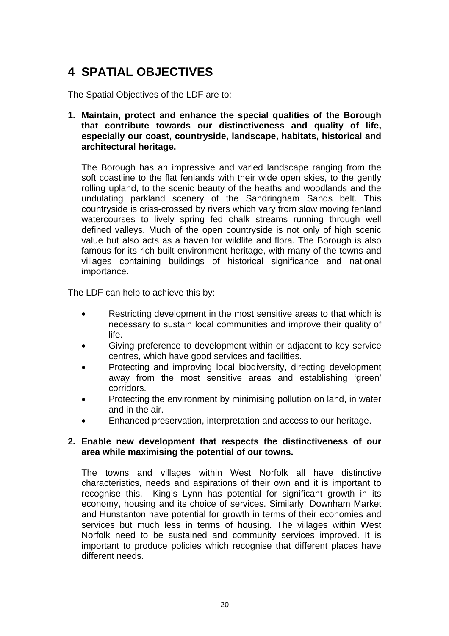# **4 SPATIAL OBJECTIVES**

The Spatial Objectives of the LDF are to:

**1. Maintain, protect and enhance the special qualities of the Borough that contribute towards our distinctiveness and quality of life, especially our coast, countryside, landscape, habitats, historical and architectural heritage.** 

The Borough has an impressive and varied landscape ranging from the soft coastline to the flat fenlands with their wide open skies, to the gently rolling upland, to the scenic beauty of the heaths and woodlands and the undulating parkland scenery of the Sandringham Sands belt. This countryside is criss-crossed by rivers which vary from slow moving fenland watercourses to lively spring fed chalk streams running through well defined valleys. Much of the open countryside is not only of high scenic value but also acts as a haven for wildlife and flora. The Borough is also famous for its rich built environment heritage, with many of the towns and villages containing buildings of historical significance and national importance.

The LDF can help to achieve this by:

- Restricting development in the most sensitive areas to that which is necessary to sustain local communities and improve their quality of life.
- Giving preference to development within or adjacent to key service centres, which have good services and facilities.
- Protecting and improving local biodiversity, directing development away from the most sensitive areas and establishing 'green' corridors.
- Protecting the environment by minimising pollution on land, in water and in the air.
- Enhanced preservation, interpretation and access to our heritage.

#### **2. Enable new development that respects the distinctiveness of our area while maximising the potential of our towns.**

The towns and villages within West Norfolk all have distinctive characteristics, needs and aspirations of their own and it is important to recognise this. King's Lynn has potential for significant growth in its economy, housing and its choice of services. Similarly, Downham Market and Hunstanton have potential for growth in terms of their economies and services but much less in terms of housing. The villages within West Norfolk need to be sustained and community services improved. It is important to produce policies which recognise that different places have different needs.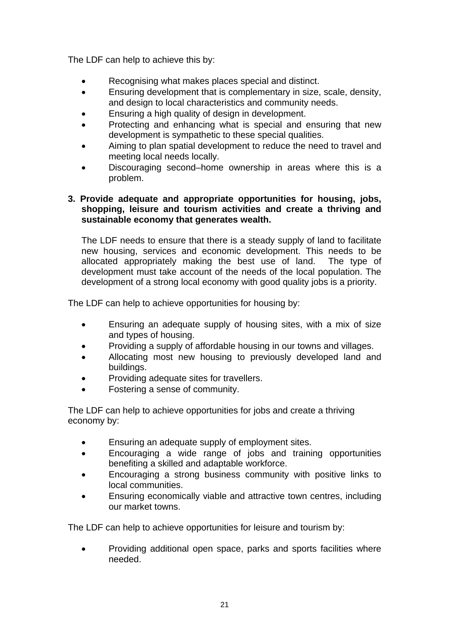The LDF can help to achieve this by:

- Recognising what makes places special and distinct.
- Ensuring development that is complementary in size, scale, density, and design to local characteristics and community needs.
- Ensuring a high quality of design in development.
- Protecting and enhancing what is special and ensuring that new development is sympathetic to these special qualities.
- Aiming to plan spatial development to reduce the need to travel and meeting local needs locally.
- Discouraging second–home ownership in areas where this is a problem.

## **3. Provide adequate and appropriate opportunities for housing, jobs, shopping, leisure and tourism activities and create a thriving and sustainable economy that generates wealth.**

 The LDF needs to ensure that there is a steady supply of land to facilitate new housing, services and economic development. This needs to be allocated appropriately making the best use of land. The type of development must take account of the needs of the local population. The development of a strong local economy with good quality jobs is a priority.

The LDF can help to achieve opportunities for housing by:

- Ensuring an adequate supply of housing sites, with a mix of size and types of housing.
- Providing a supply of affordable housing in our towns and villages.
- Allocating most new housing to previously developed land and buildings.
- Providing adequate sites for travellers.
- Fostering a sense of community.

The LDF can help to achieve opportunities for jobs and create a thriving economy by:

- Ensuring an adequate supply of employment sites.
- Encouraging a wide range of jobs and training opportunities benefiting a skilled and adaptable workforce.
- Encouraging a strong business community with positive links to local communities.
- Ensuring economically viable and attractive town centres, including our market towns.

The LDF can help to achieve opportunities for leisure and tourism by:

• Providing additional open space, parks and sports facilities where needed.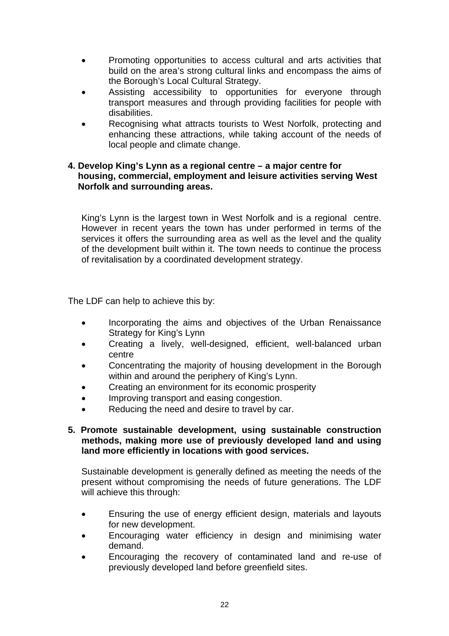- Promoting opportunities to access cultural and arts activities that build on the area's strong cultural links and encompass the aims of the Borough's Local Cultural Strategy.
- Assisting accessibility to opportunities for everyone through transport measures and through providing facilities for people with disabilities.
- Recognising what attracts tourists to West Norfolk, protecting and enhancing these attractions, while taking account of the needs of local people and climate change.

## **4. Develop King's Lynn as a regional centre – a major centre for housing, commercial, employment and leisure activities serving West Norfolk and surrounding areas.**

King's Lynn is the largest town in West Norfolk and is a regional centre. However in recent years the town has under performed in terms of the services it offers the surrounding area as well as the level and the quality of the development built within it. The town needs to continue the process of revitalisation by a coordinated development strategy.

The LDF can help to achieve this by:

- Incorporating the aims and objectives of the Urban Renaissance Strategy for King's Lynn
- Creating a lively, well-designed, efficient, well-balanced urban centre
- Concentrating the majority of housing development in the Borough within and around the periphery of King's Lynn.
- Creating an environment for its economic prosperity
- Improving transport and easing congestion.
- Reducing the need and desire to travel by car.

## **5. Promote sustainable development, using sustainable construction methods, making more use of previously developed land and using land more efficiently in locations with good services.**

Sustainable development is generally defined as meeting the needs of the present without compromising the needs of future generations. The LDF will achieve this through:

- Ensuring the use of energy efficient design, materials and layouts for new development.
- Encouraging water efficiency in design and minimising water demand.
- Encouraging the recovery of contaminated land and re-use of previously developed land before greenfield sites.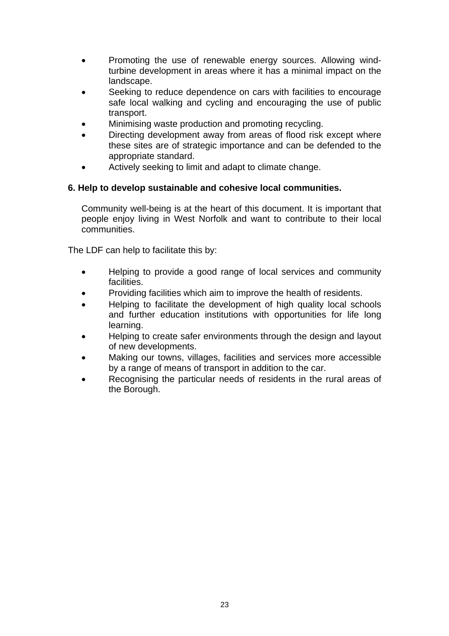- Promoting the use of renewable energy sources. Allowing windturbine development in areas where it has a minimal impact on the landscape.
- Seeking to reduce dependence on cars with facilities to encourage safe local walking and cycling and encouraging the use of public transport.
- Minimising waste production and promoting recycling.
- Directing development away from areas of flood risk except where these sites are of strategic importance and can be defended to the appropriate standard.
- Actively seeking to limit and adapt to climate change.

# **6. Help to develop sustainable and cohesive local communities.**

 Community well-being is at the heart of this document. It is important that people enjoy living in West Norfolk and want to contribute to their local communities.

The LDF can help to facilitate this by:

- Helping to provide a good range of local services and community facilities.
- Providing facilities which aim to improve the health of residents.
- Helping to facilitate the development of high quality local schools and further education institutions with opportunities for life long learning.
- Helping to create safer environments through the design and layout of new developments.
- Making our towns, villages, facilities and services more accessible by a range of means of transport in addition to the car.
- Recognising the particular needs of residents in the rural areas of the Borough.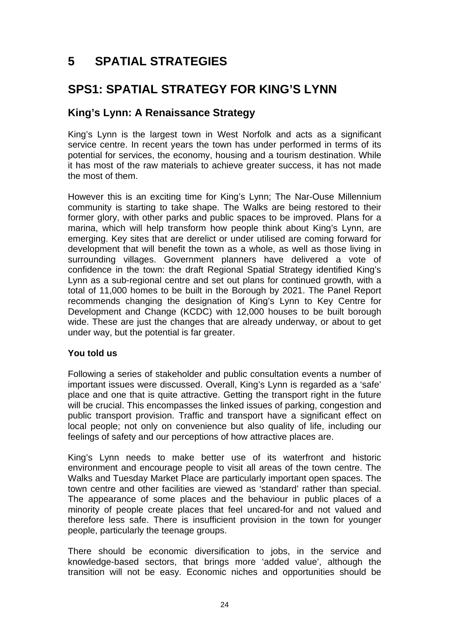# **5 SPATIAL STRATEGIES**

# **SPS1: SPATIAL STRATEGY FOR KING'S LYNN**

# **King's Lynn: A Renaissance Strategy**

King's Lynn is the largest town in West Norfolk and acts as a significant service centre. In recent years the town has under performed in terms of its potential for services, the economy, housing and a tourism destination. While it has most of the raw materials to achieve greater success, it has not made the most of them.

However this is an exciting time for King's Lynn; The Nar-Ouse Millennium community is starting to take shape. The Walks are being restored to their former glory, with other parks and public spaces to be improved. Plans for a marina, which will help transform how people think about King's Lynn, are emerging. Key sites that are derelict or under utilised are coming forward for development that will benefit the town as a whole, as well as those living in surrounding villages. Government planners have delivered a vote of confidence in the town: the draft Regional Spatial Strategy identified King's Lynn as a sub-regional centre and set out plans for continued growth, with a total of 11,000 homes to be built in the Borough by 2021. The Panel Report recommends changing the designation of King's Lynn to Key Centre for Development and Change (KCDC) with 12,000 houses to be built borough wide. These are just the changes that are already underway, or about to get under way, but the potential is far greater.

## **You told us**

Following a series of stakeholder and public consultation events a number of important issues were discussed. Overall, King's Lynn is regarded as a 'safe' place and one that is quite attractive. Getting the transport right in the future will be crucial. This encompasses the linked issues of parking, congestion and public transport provision. Traffic and transport have a significant effect on local people; not only on convenience but also quality of life, including our feelings of safety and our perceptions of how attractive places are.

King's Lynn needs to make better use of its waterfront and historic environment and encourage people to visit all areas of the town centre. The Walks and Tuesday Market Place are particularly important open spaces. The town centre and other facilities are viewed as 'standard' rather than special. The appearance of some places and the behaviour in public places of a minority of people create places that feel uncared-for and not valued and therefore less safe. There is insufficient provision in the town for younger people, particularly the teenage groups.

There should be economic diversification to jobs, in the service and knowledge-based sectors, that brings more 'added value', although the transition will not be easy. Economic niches and opportunities should be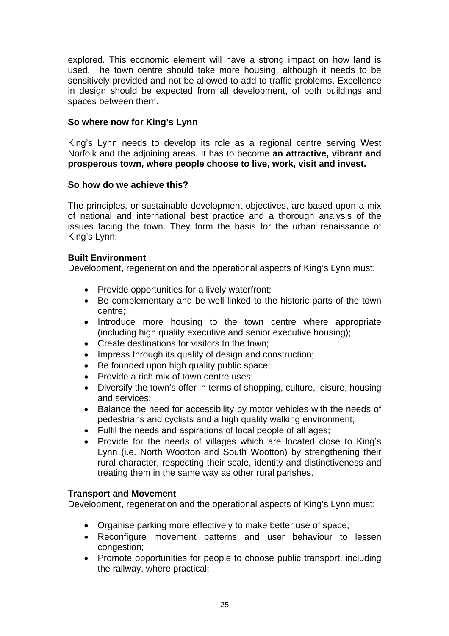explored. This economic element will have a strong impact on how land is used. The town centre should take more housing, although it needs to be sensitively provided and not be allowed to add to traffic problems. Excellence in design should be expected from all development, of both buildings and spaces between them.

# **So where now for King's Lynn**

King's Lynn needs to develop its role as a regional centre serving West Norfolk and the adjoining areas. It has to become **an attractive, vibrant and prosperous town, where people choose to live, work, visit and invest.** 

# **So how do we achieve this?**

The principles, or sustainable development objectives, are based upon a mix of national and international best practice and a thorough analysis of the issues facing the town. They form the basis for the urban renaissance of King's Lynn:

# **Built Environment**

Development, regeneration and the operational aspects of King's Lynn must:

- Provide opportunities for a lively waterfront;
- Be complementary and be well linked to the historic parts of the town centre;
- Introduce more housing to the town centre where appropriate (including high quality executive and senior executive housing);
- Create destinations for visitors to the town;
- Impress through its quality of design and construction;
- Be founded upon high quality public space;
- Provide a rich mix of town centre uses:
- Diversify the town's offer in terms of shopping, culture, leisure, housing and services;
- Balance the need for accessibility by motor vehicles with the needs of pedestrians and cyclists and a high quality walking environment;
- Fulfil the needs and aspirations of local people of all ages;
- Provide for the needs of villages which are located close to King's Lynn (i.e. North Wootton and South Wootton) by strengthening their rural character, respecting their scale, identity and distinctiveness and treating them in the same way as other rural parishes.

# **Transport and Movement**

Development, regeneration and the operational aspects of King's Lynn must:

- Organise parking more effectively to make better use of space;
- Reconfigure movement patterns and user behaviour to lessen congestion;
- Promote opportunities for people to choose public transport, including the railway, where practical;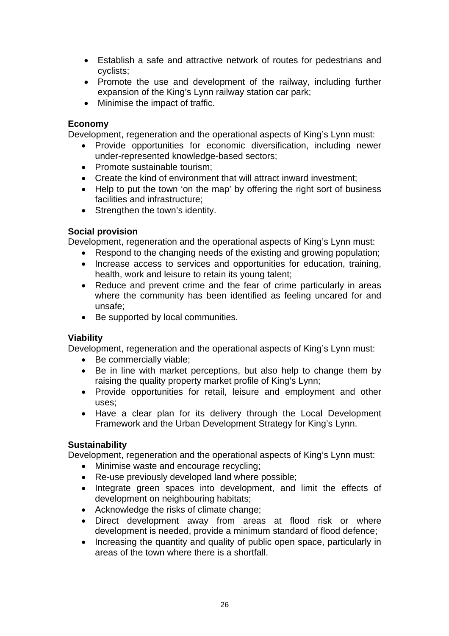- Establish a safe and attractive network of routes for pedestrians and cyclists;
- Promote the use and development of the railway, including further expansion of the King's Lynn railway station car park;
- Minimise the impact of traffic.

# **Economy**

Development, regeneration and the operational aspects of King's Lynn must:

- Provide opportunities for economic diversification, including newer under-represented knowledge-based sectors;
- Promote sustainable tourism:
- Create the kind of environment that will attract inward investment;
- Help to put the town 'on the map' by offering the right sort of business facilities and infrastructure;
- Strengthen the town's identity.

# **Social provision**

Development, regeneration and the operational aspects of King's Lynn must:

- Respond to the changing needs of the existing and growing population;
- Increase access to services and opportunities for education, training, health, work and leisure to retain its young talent;
- Reduce and prevent crime and the fear of crime particularly in areas where the community has been identified as feeling uncared for and unsafe;
- Be supported by local communities.

# **Viability**

Development, regeneration and the operational aspects of King's Lynn must:

- Be commercially viable;
- Be in line with market perceptions, but also help to change them by raising the quality property market profile of King's Lynn;
- Provide opportunities for retail, leisure and employment and other uses;
- Have a clear plan for its delivery through the Local Development Framework and the Urban Development Strategy for King's Lynn.

# **Sustainability**

Development, regeneration and the operational aspects of King's Lynn must:

- Minimise waste and encourage recycling;
- Re-use previously developed land where possible;
- Integrate green spaces into development, and limit the effects of development on neighbouring habitats;
- Acknowledge the risks of climate change:
- Direct development away from areas at flood risk or where development is needed, provide a minimum standard of flood defence;
- Increasing the quantity and quality of public open space, particularly in areas of the town where there is a shortfall.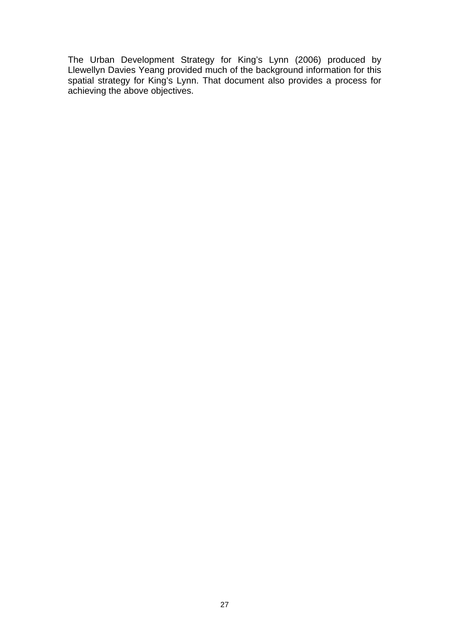The Urban Development Strategy for King's Lynn (2006) produced by Llewellyn Davies Yeang provided much of the background information for this spatial strategy for King's Lynn. That document also provides a process for achieving the above objectives.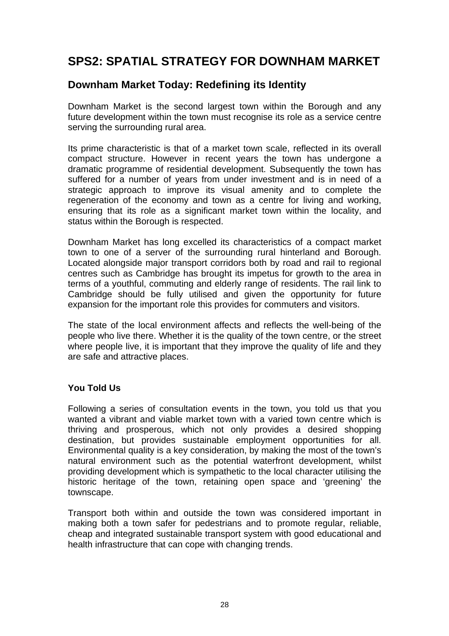# **SPS2: SPATIAL STRATEGY FOR DOWNHAM MARKET**

# **Downham Market Today: Redefining its Identity**

Downham Market is the second largest town within the Borough and any future development within the town must recognise its role as a service centre serving the surrounding rural area.

Its prime characteristic is that of a market town scale, reflected in its overall compact structure. However in recent years the town has undergone a dramatic programme of residential development. Subsequently the town has suffered for a number of years from under investment and is in need of a strategic approach to improve its visual amenity and to complete the regeneration of the economy and town as a centre for living and working, ensuring that its role as a significant market town within the locality, and status within the Borough is respected.

Downham Market has long excelled its characteristics of a compact market town to one of a server of the surrounding rural hinterland and Borough. Located alongside major transport corridors both by road and rail to regional centres such as Cambridge has brought its impetus for growth to the area in terms of a youthful, commuting and elderly range of residents. The rail link to Cambridge should be fully utilised and given the opportunity for future expansion for the important role this provides for commuters and visitors.

The state of the local environment affects and reflects the well-being of the people who live there. Whether it is the quality of the town centre, or the street where people live, it is important that they improve the quality of life and they are safe and attractive places.

# **You Told Us**

Following a series of consultation events in the town, you told us that you wanted a vibrant and viable market town with a varied town centre which is thriving and prosperous, which not only provides a desired shopping destination, but provides sustainable employment opportunities for all. Environmental quality is a key consideration, by making the most of the town's natural environment such as the potential waterfront development, whilst providing development which is sympathetic to the local character utilising the historic heritage of the town, retaining open space and 'greening' the townscape.

Transport both within and outside the town was considered important in making both a town safer for pedestrians and to promote regular, reliable, cheap and integrated sustainable transport system with good educational and health infrastructure that can cope with changing trends.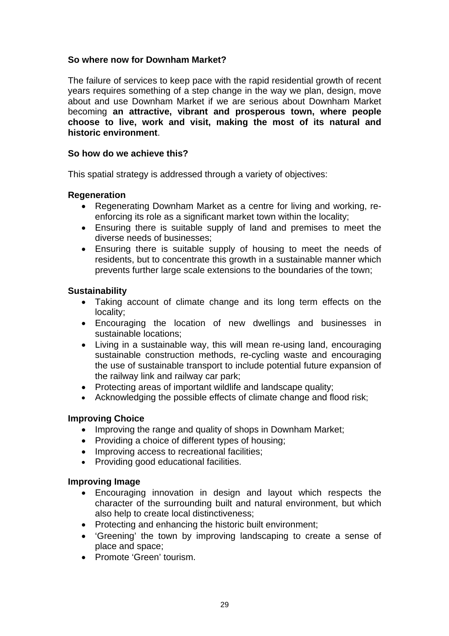# **So where now for Downham Market?**

The failure of services to keep pace with the rapid residential growth of recent years requires something of a step change in the way we plan, design, move about and use Downham Market if we are serious about Downham Market becoming **an attractive, vibrant and prosperous town, where people choose to live, work and visit, making the most of its natural and historic environment**.

## **So how do we achieve this?**

This spatial strategy is addressed through a variety of objectives:

#### **Regeneration**

- Regenerating Downham Market as a centre for living and working, reenforcing its role as a significant market town within the locality;
- Ensuring there is suitable supply of land and premises to meet the diverse needs of businesses;
- Ensuring there is suitable supply of housing to meet the needs of residents, but to concentrate this growth in a sustainable manner which prevents further large scale extensions to the boundaries of the town;

#### **Sustainability**

- Taking account of climate change and its long term effects on the locality;
- Encouraging the location of new dwellings and businesses in sustainable locations;
- Living in a sustainable way, this will mean re-using land, encouraging sustainable construction methods, re-cycling waste and encouraging the use of sustainable transport to include potential future expansion of the railway link and railway car park;
- Protecting areas of important wildlife and landscape quality;
- Acknowledging the possible effects of climate change and flood risk;

## **Improving Choice**

- Improving the range and quality of shops in Downham Market;
- Providing a choice of different types of housing;
- Improving access to recreational facilities:
- Providing good educational facilities.

#### **Improving Image**

- Encouraging innovation in design and layout which respects the character of the surrounding built and natural environment, but which also help to create local distinctiveness;
- Protecting and enhancing the historic built environment;
- 'Greening' the town by improving landscaping to create a sense of place and space;
- Promote 'Green' tourism.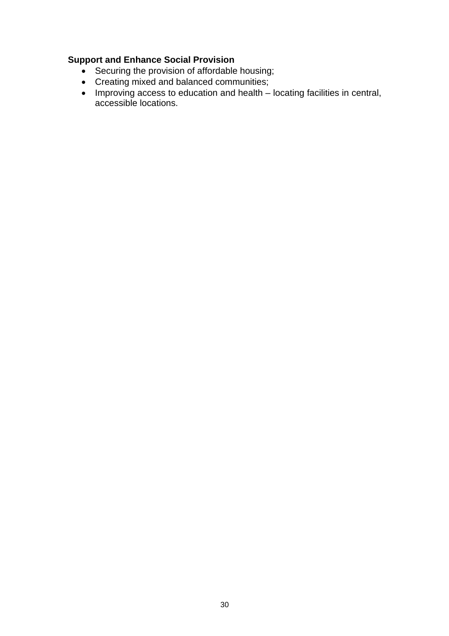# **Support and Enhance Social Provision**

- Securing the provision of affordable housing;
- Creating mixed and balanced communities;
- Improving access to education and health locating facilities in central, accessible locations.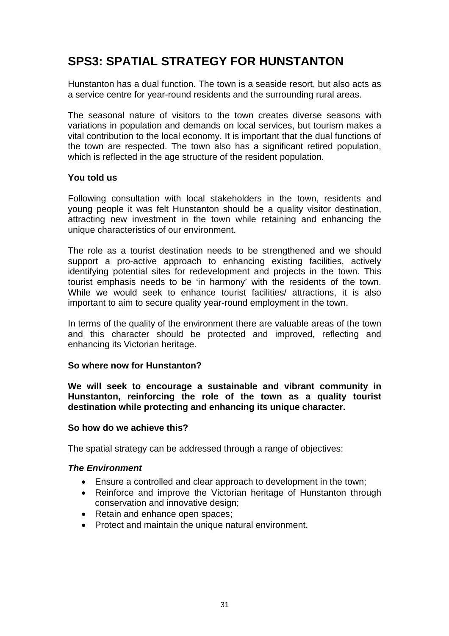# **SPS3: SPATIAL STRATEGY FOR HUNSTANTON**

Hunstanton has a dual function. The town is a seaside resort, but also acts as a service centre for year-round residents and the surrounding rural areas.

The seasonal nature of visitors to the town creates diverse seasons with variations in population and demands on local services, but tourism makes a vital contribution to the local economy. It is important that the dual functions of the town are respected. The town also has a significant retired population, which is reflected in the age structure of the resident population.

#### **You told us**

Following consultation with local stakeholders in the town, residents and young people it was felt Hunstanton should be a quality visitor destination, attracting new investment in the town while retaining and enhancing the unique characteristics of our environment.

The role as a tourist destination needs to be strengthened and we should support a pro-active approach to enhancing existing facilities, actively identifying potential sites for redevelopment and projects in the town. This tourist emphasis needs to be 'in harmony' with the residents of the town. While we would seek to enhance tourist facilities/ attractions, it is also important to aim to secure quality year-round employment in the town.

In terms of the quality of the environment there are valuable areas of the town and this character should be protected and improved, reflecting and enhancing its Victorian heritage.

#### **So where now for Hunstanton?**

**We will seek to encourage a sustainable and vibrant community in Hunstanton, reinforcing the role of the town as a quality tourist destination while protecting and enhancing its unique character.** 

#### **So how do we achieve this?**

The spatial strategy can be addressed through a range of objectives:

#### *The Environment*

- Ensure a controlled and clear approach to development in the town;
- Reinforce and improve the Victorian heritage of Hunstanton through conservation and innovative design;
- Retain and enhance open spaces;
- Protect and maintain the unique natural environment.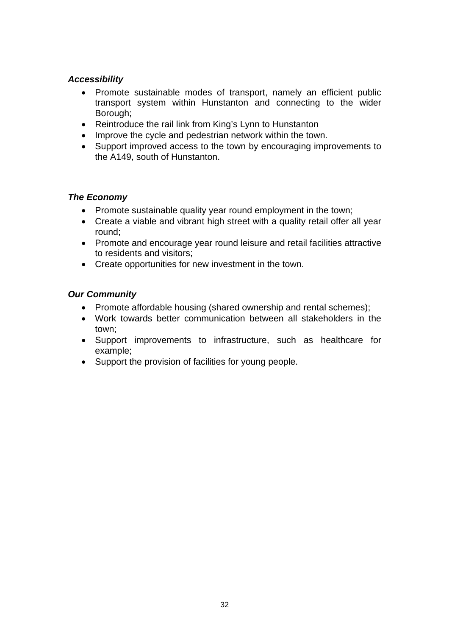# *Accessibility*

- Promote sustainable modes of transport, namely an efficient public transport system within Hunstanton and connecting to the wider Borough;
- Reintroduce the rail link from King's Lynn to Hunstanton
- Improve the cycle and pedestrian network within the town.
- Support improved access to the town by encouraging improvements to the A149, south of Hunstanton.

# *The Economy*

- Promote sustainable quality year round employment in the town;
- Create a viable and vibrant high street with a quality retail offer all year round;
- Promote and encourage year round leisure and retail facilities attractive to residents and visitors;
- Create opportunities for new investment in the town.

## *Our Community*

- Promote affordable housing (shared ownership and rental schemes);
- Work towards better communication between all stakeholders in the town;
- Support improvements to infrastructure, such as healthcare for example;
- Support the provision of facilities for young people.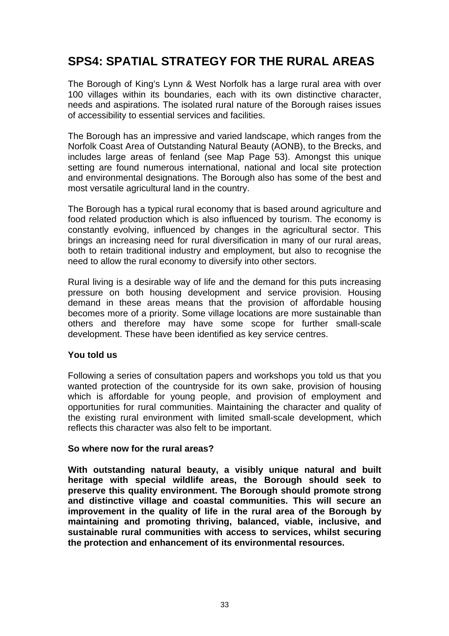# **SPS4: SPATIAL STRATEGY FOR THE RURAL AREAS**

The Borough of King's Lynn & West Norfolk has a large rural area with over 100 villages within its boundaries, each with its own distinctive character, needs and aspirations. The isolated rural nature of the Borough raises issues of accessibility to essential services and facilities.

The Borough has an impressive and varied landscape, which ranges from the Norfolk Coast Area of Outstanding Natural Beauty (AONB), to the Brecks, and includes large areas of fenland (see Map Page 53). Amongst this unique setting are found numerous international, national and local site protection and environmental designations. The Borough also has some of the best and most versatile agricultural land in the country.

The Borough has a typical rural economy that is based around agriculture and food related production which is also influenced by tourism. The economy is constantly evolving, influenced by changes in the agricultural sector. This brings an increasing need for rural diversification in many of our rural areas, both to retain traditional industry and employment, but also to recognise the need to allow the rural economy to diversify into other sectors.

Rural living is a desirable way of life and the demand for this puts increasing pressure on both housing development and service provision. Housing demand in these areas means that the provision of affordable housing becomes more of a priority. Some village locations are more sustainable than others and therefore may have some scope for further small-scale development. These have been identified as key service centres.

## **You told us**

Following a series of consultation papers and workshops you told us that you wanted protection of the countryside for its own sake, provision of housing which is affordable for young people, and provision of employment and opportunities for rural communities. Maintaining the character and quality of the existing rural environment with limited small-scale development, which reflects this character was also felt to be important.

## **So where now for the rural areas?**

**With outstanding natural beauty, a visibly unique natural and built heritage with special wildlife areas, the Borough should seek to preserve this quality environment. The Borough should promote strong and distinctive village and coastal communities. This will secure an improvement in the quality of life in the rural area of the Borough by maintaining and promoting thriving, balanced, viable, inclusive, and sustainable rural communities with access to services, whilst securing the protection and enhancement of its environmental resources.**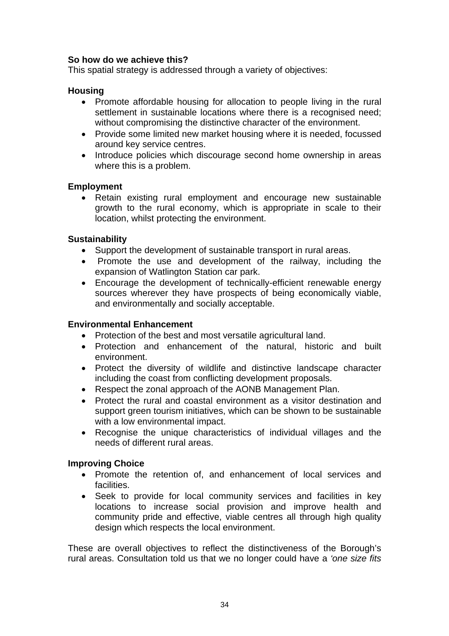# **So how do we achieve this?**

This spatial strategy is addressed through a variety of objectives:

## **Housing**

- Promote affordable housing for allocation to people living in the rural settlement in sustainable locations where there is a recognised need: without compromising the distinctive character of the environment.
- Provide some limited new market housing where it is needed, focussed around key service centres.
- Introduce policies which discourage second home ownership in areas where this is a problem.

#### **Employment**

• Retain existing rural employment and encourage new sustainable growth to the rural economy, which is appropriate in scale to their location, whilst protecting the environment.

## **Sustainability**

- Support the development of sustainable transport in rural areas.
- Promote the use and development of the railway, including the expansion of Watlington Station car park.
- Encourage the development of technically-efficient renewable energy sources wherever they have prospects of being economically viable, and environmentally and socially acceptable.

## **Environmental Enhancement**

- Protection of the best and most versatile agricultural land.
- Protection and enhancement of the natural, historic and built environment.
- Protect the diversity of wildlife and distinctive landscape character including the coast from conflicting development proposals.
- Respect the zonal approach of the AONB Management Plan.
- Protect the rural and coastal environment as a visitor destination and support green tourism initiatives, which can be shown to be sustainable with a low environmental impact.
- Recognise the unique characteristics of individual villages and the needs of different rural areas.

## **Improving Choice**

- Promote the retention of, and enhancement of local services and facilities.
- Seek to provide for local community services and facilities in key locations to increase social provision and improve health and community pride and effective, viable centres all through high quality design which respects the local environment.

These are overall objectives to reflect the distinctiveness of the Borough's rural areas. Consultation told us that we no longer could have a *'one size fits*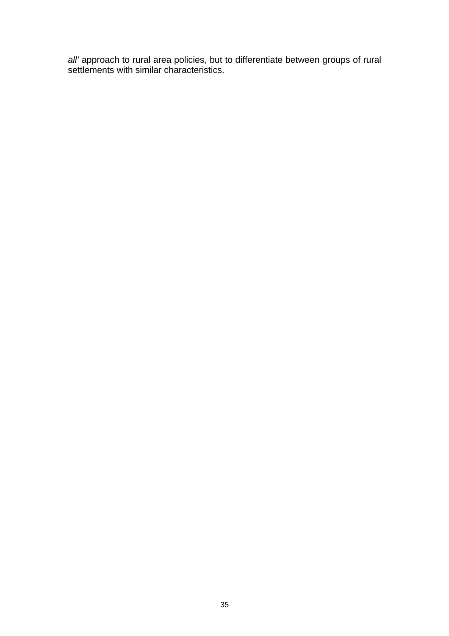*all'* approach to rural area policies, but to differentiate between groups of rural settlements with similar characteristics.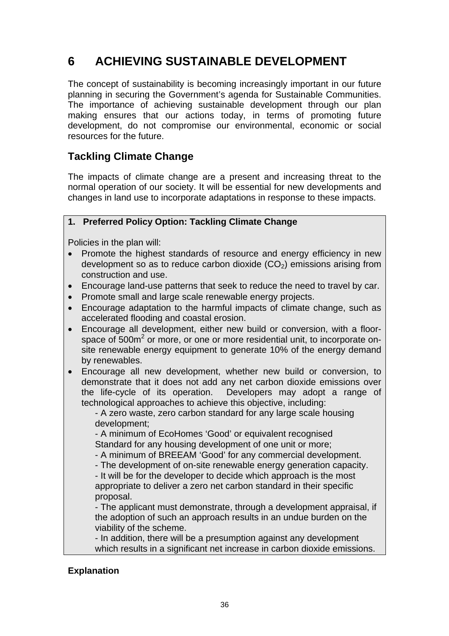# **6 ACHIEVING SUSTAINABLE DEVELOPMENT**

The concept of sustainability is becoming increasingly important in our future planning in securing the Government's agenda for Sustainable Communities. The importance of achieving sustainable development through our plan making ensures that our actions today, in terms of promoting future development, do not compromise our environmental, economic or social resources for the future.

# **Tackling Climate Change**

The impacts of climate change are a present and increasing threat to the normal operation of our society. It will be essential for new developments and changes in land use to incorporate adaptations in response to these impacts.

# **1. Preferred Policy Option: Tackling Climate Change**

Policies in the plan will:

- Promote the highest standards of resource and energy efficiency in new development so as to reduce carbon dioxide  $(CO<sub>2</sub>)$  emissions arising from construction and use.
- Encourage land-use patterns that seek to reduce the need to travel by car.
- Promote small and large scale renewable energy projects.
- Encourage adaptation to the harmful impacts of climate change, such as accelerated flooding and coastal erosion.
- Encourage all development, either new build or conversion, with a floorspace of 500m<sup>2</sup> or more, or one or more residential unit, to incorporate onsite renewable energy equipment to generate 10% of the energy demand by renewables.
- Encourage all new development, whether new build or conversion, to demonstrate that it does not add any net carbon dioxide emissions over the life-cycle of its operation. Developers may adopt a range of technological approaches to achieve this objective, including:

- A zero waste, zero carbon standard for any large scale housing development;

- A minimum of EcoHomes 'Good' or equivalent recognised Standard for any housing development of one unit or more;

- A minimum of BREEAM 'Good' for any commercial development.

- The development of on-site renewable energy generation capacity.

- It will be for the developer to decide which approach is the most appropriate to deliver a zero net carbon standard in their specific proposal.

- The applicant must demonstrate, through a development appraisal, if the adoption of such an approach results in an undue burden on the viability of the scheme.

- In addition, there will be a presumption against any development which results in a significant net increase in carbon dioxide emissions.

# **Explanation**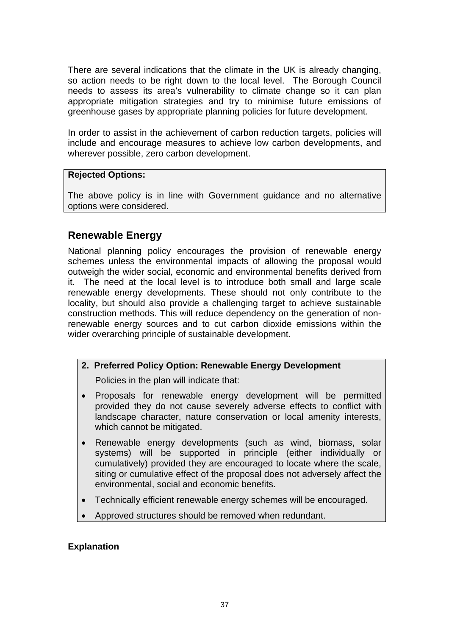There are several indications that the climate in the UK is already changing, so action needs to be right down to the local level. The Borough Council needs to assess its area's vulnerability to climate change so it can plan appropriate mitigation strategies and try to minimise future emissions of greenhouse gases by appropriate planning policies for future development.

In order to assist in the achievement of carbon reduction targets, policies will include and encourage measures to achieve low carbon developments, and wherever possible, zero carbon development.

### **Rejected Options:**

The above policy is in line with Government guidance and no alternative options were considered.

# **Renewable Energy**

National planning policy encourages the provision of renewable energy schemes unless the environmental impacts of allowing the proposal would outweigh the wider social, economic and environmental benefits derived from it. The need at the local level is to introduce both small and large scale renewable energy developments. These should not only contribute to the locality, but should also provide a challenging target to achieve sustainable construction methods. This will reduce dependency on the generation of nonrenewable energy sources and to cut carbon dioxide emissions within the wider overarching principle of sustainable development.

# **2. Preferred Policy Option: Renewable Energy Development**

Policies in the plan will indicate that:

- Proposals for renewable energy development will be permitted provided they do not cause severely adverse effects to conflict with landscape character, nature conservation or local amenity interests, which cannot be mitigated.
- Renewable energy developments (such as wind, biomass, solar systems) will be supported in principle (either individually or cumulatively) provided they are encouraged to locate where the scale, siting or cumulative effect of the proposal does not adversely affect the environmental, social and economic benefits.
- Technically efficient renewable energy schemes will be encouraged.
- Approved structures should be removed when redundant.

#### **Explanation**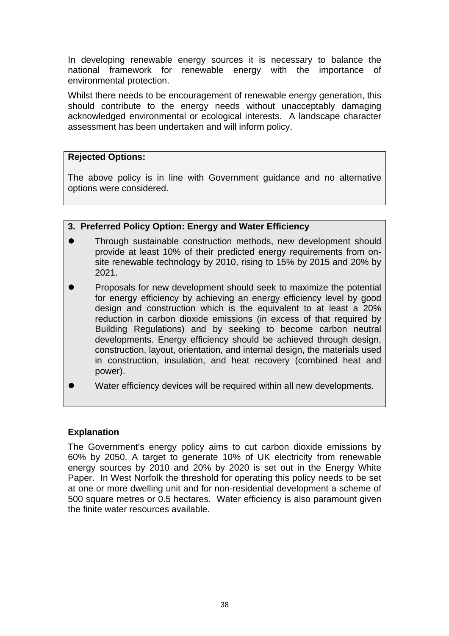In developing renewable energy sources it is necessary to balance the national framework for renewable energy with the importance of environmental protection.

Whilst there needs to be encouragement of renewable energy generation, this should contribute to the energy needs without unacceptably damaging acknowledged environmental or ecological interests. A landscape character assessment has been undertaken and will inform policy.

#### **Rejected Options:**

The above policy is in line with Government guidance and no alternative options were considered.

#### **3. Preferred Policy Option: Energy and Water Efficiency**

- Through sustainable construction methods, new development should provide at least 10% of their predicted energy requirements from onsite renewable technology by 2010, rising to 15% by 2015 and 20% by 2021.
- Proposals for new development should seek to maximize the potential for energy efficiency by achieving an energy efficiency level by good design and construction which is the equivalent to at least a 20% reduction in carbon dioxide emissions (in excess of that required by Building Regulations) and by seeking to become carbon neutral developments. Energy efficiency should be achieved through design, construction, layout, orientation, and internal design, the materials used in construction, insulation, and heat recovery (combined heat and power).
- Water efficiency devices will be required within all new developments.

#### **Explanation**

The Government's energy policy aims to cut carbon dioxide emissions by 60% by 2050. A target to generate 10% of UK electricity from renewable energy sources by 2010 and 20% by 2020 is set out in the Energy White Paper. In West Norfolk the threshold for operating this policy needs to be set at one or more dwelling unit and for non-residential development a scheme of 500 square metres or 0.5 hectares. Water efficiency is also paramount given the finite water resources available.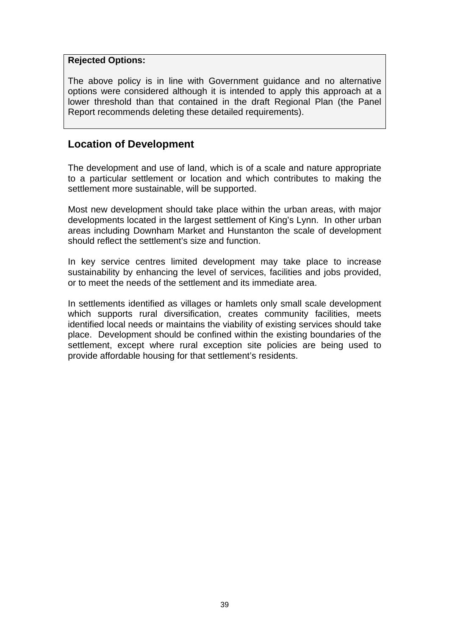#### **Rejected Options:**

The above policy is in line with Government guidance and no alternative options were considered although it is intended to apply this approach at a lower threshold than that contained in the draft Regional Plan (the Panel Report recommends deleting these detailed requirements).

# **Location of Development**

The development and use of land, which is of a scale and nature appropriate to a particular settlement or location and which contributes to making the settlement more sustainable, will be supported.

Most new development should take place within the urban areas, with major developments located in the largest settlement of King's Lynn. In other urban areas including Downham Market and Hunstanton the scale of development should reflect the settlement's size and function.

In key service centres limited development may take place to increase sustainability by enhancing the level of services, facilities and jobs provided, or to meet the needs of the settlement and its immediate area.

In settlements identified as villages or hamlets only small scale development which supports rural diversification, creates community facilities, meets identified local needs or maintains the viability of existing services should take place. Development should be confined within the existing boundaries of the settlement, except where rural exception site policies are being used to provide affordable housing for that settlement's residents.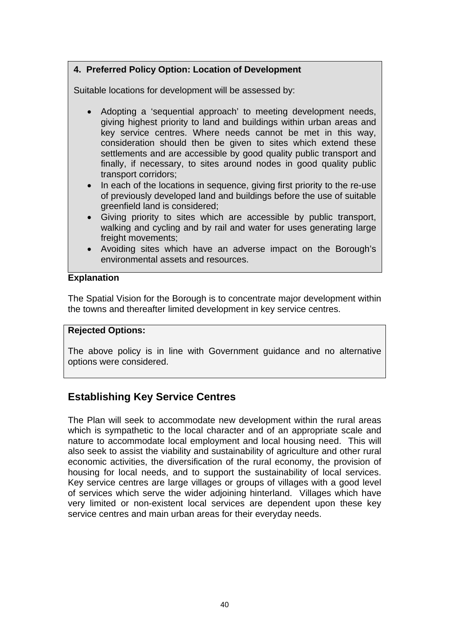# **4. Preferred Policy Option: Location of Development**

Suitable locations for development will be assessed by:

- Adopting a 'sequential approach' to meeting development needs, giving highest priority to land and buildings within urban areas and key service centres. Where needs cannot be met in this way, consideration should then be given to sites which extend these settlements and are accessible by good quality public transport and finally, if necessary, to sites around nodes in good quality public transport corridors;
- In each of the locations in sequence, giving first priority to the re-use of previously developed land and buildings before the use of suitable greenfield land is considered;
- Giving priority to sites which are accessible by public transport, walking and cycling and by rail and water for uses generating large freight movements;
- Avoiding sites which have an adverse impact on the Borough's environmental assets and resources.

#### **Explanation**

The Spatial Vision for the Borough is to concentrate major development within the towns and thereafter limited development in key service centres.

#### **Rejected Options:**

The above policy is in line with Government guidance and no alternative options were considered.

# **Establishing Key Service Centres**

The Plan will seek to accommodate new development within the rural areas which is sympathetic to the local character and of an appropriate scale and nature to accommodate local employment and local housing need. This will also seek to assist the viability and sustainability of agriculture and other rural economic activities, the diversification of the rural economy, the provision of housing for local needs, and to support the sustainability of local services. Key service centres are large villages or groups of villages with a good level of services which serve the wider adjoining hinterland. Villages which have very limited or non-existent local services are dependent upon these key service centres and main urban areas for their everyday needs.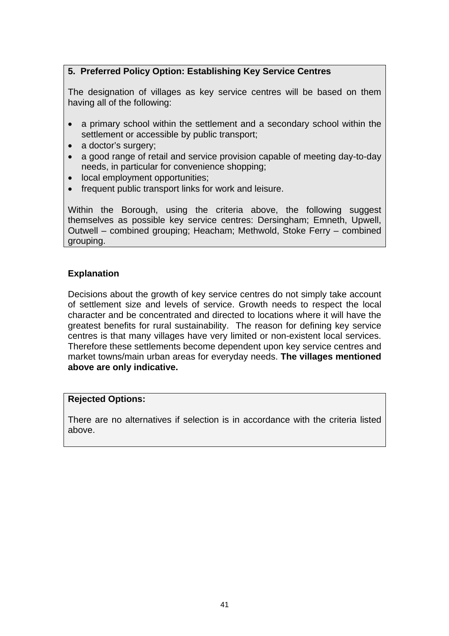# **5. Preferred Policy Option: Establishing Key Service Centres**

The designation of villages as key service centres will be based on them having all of the following:

- a primary school within the settlement and a secondary school within the settlement or accessible by public transport;
- a doctor's surgery;
- a good range of retail and service provision capable of meeting day-to-day needs, in particular for convenience shopping;
- local employment opportunities;
- frequent public transport links for work and leisure.

Within the Borough, using the criteria above, the following suggest themselves as possible key service centres: Dersingham; Emneth, Upwell, Outwell – combined grouping; Heacham; Methwold, Stoke Ferry – combined grouping.

# **Explanation**

Decisions about the growth of key service centres do not simply take account of settlement size and levels of service. Growth needs to respect the local character and be concentrated and directed to locations where it will have the greatest benefits for rural sustainability. The reason for defining key service centres is that many villages have very limited or non-existent local services. Therefore these settlements become dependent upon key service centres and market towns/main urban areas for everyday needs. **The villages mentioned above are only indicative.** 

#### **Rejected Options:**

There are no alternatives if selection is in accordance with the criteria listed above.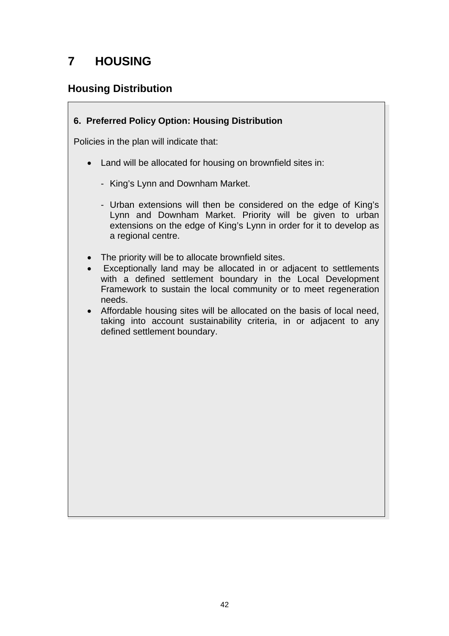# **7 HOUSING**

# **Housing Distribution**

# **6. Preferred Policy Option: Housing Distribution**

Policies in the plan will indicate that:

- Land will be allocated for housing on brownfield sites in:
	- King's Lynn and Downham Market.
	- Urban extensions will then be considered on the edge of King's Lynn and Downham Market. Priority will be given to urban extensions on the edge of King's Lynn in order for it to develop as a regional centre.
- The priority will be to allocate brownfield sites.
- Exceptionally land may be allocated in or adjacent to settlements with a defined settlement boundary in the Local Development Framework to sustain the local community or to meet regeneration needs.
- Affordable housing sites will be allocated on the basis of local need, taking into account sustainability criteria, in or adjacent to any defined settlement boundary.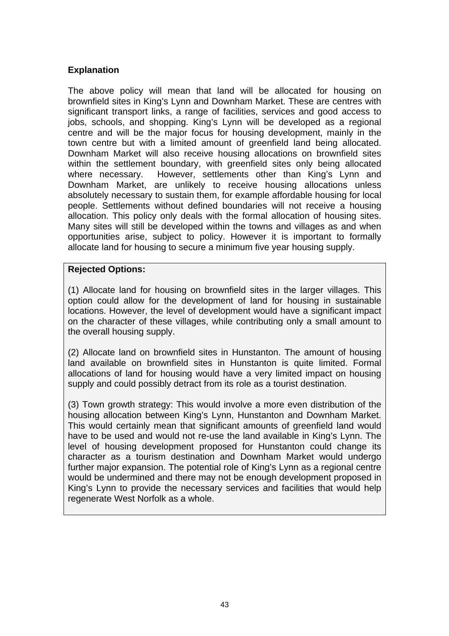#### **Explanation**

The above policy will mean that land will be allocated for housing on brownfield sites in King's Lynn and Downham Market. These are centres with significant transport links, a range of facilities, services and good access to jobs, schools, and shopping. King's Lynn will be developed as a regional centre and will be the major focus for housing development, mainly in the town centre but with a limited amount of greenfield land being allocated. Downham Market will also receive housing allocations on brownfield sites within the settlement boundary, with greenfield sites only being allocated where necessary. However, settlements other than King's Lynn and Downham Market, are unlikely to receive housing allocations unless absolutely necessary to sustain them, for example affordable housing for local people. Settlements without defined boundaries will not receive a housing allocation. This policy only deals with the formal allocation of housing sites. Many sites will still be developed within the towns and villages as and when opportunities arise, subject to policy. However it is important to formally allocate land for housing to secure a minimum five year housing supply.

#### **Rejected Options:**

(1) Allocate land for housing on brownfield sites in the larger villages. This option could allow for the development of land for housing in sustainable locations. However, the level of development would have a significant impact on the character of these villages, while contributing only a small amount to the overall housing supply.

(2) Allocate land on brownfield sites in Hunstanton. The amount of housing land available on brownfield sites in Hunstanton is quite limited. Formal allocations of land for housing would have a very limited impact on housing supply and could possibly detract from its role as a tourist destination.

(3) Town growth strategy: This would involve a more even distribution of the housing allocation between King's Lynn, Hunstanton and Downham Market. This would certainly mean that significant amounts of greenfield land would have to be used and would not re-use the land available in King's Lynn. The level of housing development proposed for Hunstanton could change its character as a tourism destination and Downham Market would undergo further major expansion. The potential role of King's Lynn as a regional centre would be undermined and there may not be enough development proposed in King's Lynn to provide the necessary services and facilities that would help regenerate West Norfolk as a whole.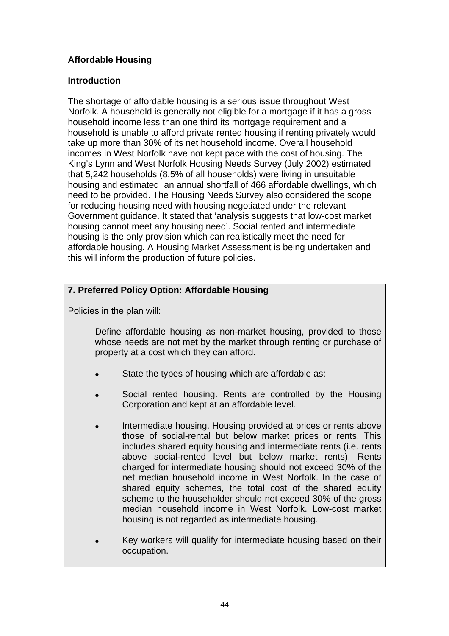# **Affordable Housing**

### **Introduction**

The shortage of affordable housing is a serious issue throughout West Norfolk. A household is generally not eligible for a mortgage if it has a gross household income less than one third its mortgage requirement and a household is unable to afford private rented housing if renting privately would take up more than 30% of its net household income. Overall household incomes in West Norfolk have not kept pace with the cost of housing. The King's Lynn and West Norfolk Housing Needs Survey (July 2002) estimated that 5,242 households (8.5% of all households) were living in unsuitable housing and estimated an annual shortfall of 466 affordable dwellings, which need to be provided. The Housing Needs Survey also considered the scope for reducing housing need with housing negotiated under the relevant Government guidance. It stated that 'analysis suggests that low-cost market housing cannot meet any housing need'. Social rented and intermediate housing is the only provision which can realistically meet the need for affordable housing. A Housing Market Assessment is being undertaken and this will inform the production of future policies.

# **7. Preferred Policy Option: Affordable Housing**

Policies in the plan will:

 Define affordable housing as non-market housing, provided to those whose needs are not met by the market through renting or purchase of property at a cost which they can afford.

- State the types of housing which are affordable as:
- Social rented housing. Rents are controlled by the Housing Corporation and kept at an affordable level.
- Intermediate housing. Housing provided at prices or rents above those of social-rental but below market prices or rents. This includes shared equity housing and intermediate rents (i.e. rents above social-rented level but below market rents). Rents charged for intermediate housing should not exceed 30% of the net median household income in West Norfolk. In the case of shared equity schemes, the total cost of the shared equity scheme to the householder should not exceed 30% of the gross median household income in West Norfolk. Low-cost market housing is not regarded as intermediate housing.
- Key workers will qualify for intermediate housing based on their occupation.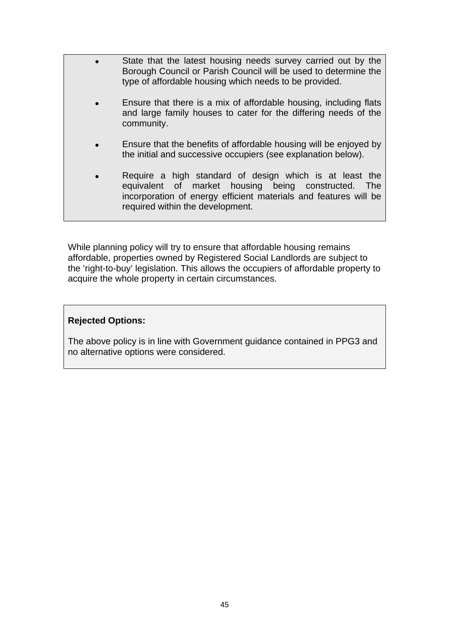- State that the latest housing needs survey carried out by the Borough Council or Parish Council will be used to determine the type of affordable housing which needs to be provided.
	- Ensure that there is a mix of affordable housing, including flats and large family houses to cater for the differing needs of the community.
	- Ensure that the benefits of affordable housing will be enjoyed by the initial and successive occupiers (see explanation below).
	- Require a high standard of design which is at least the equivalent of market housing being constructed. The incorporation of energy efficient materials and features will be required within the development.

While planning policy will try to ensure that affordable housing remains affordable, properties owned by Registered Social Landlords are subject to the 'right-to-buy' legislation. This allows the occupiers of affordable property to acquire the whole property in certain circumstances.

#### **Rejected Options:**

The above policy is in line with Government guidance contained in PPG3 and no alternative options were considered.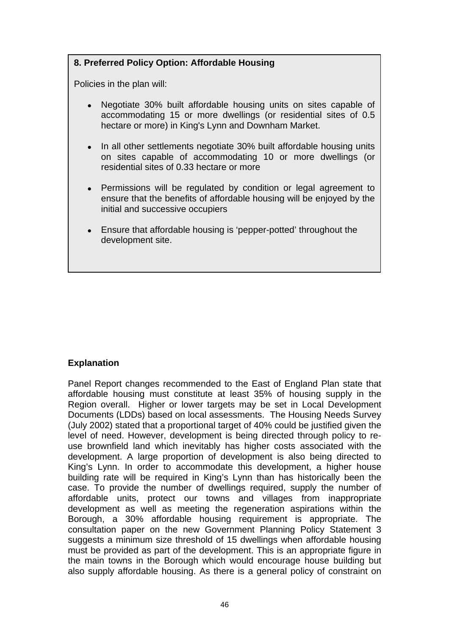# **8. Preferred Policy Option: Affordable Housing**

Policies in the plan will:

- Negotiate 30% built affordable housing units on sites capable of accommodating 15 or more dwellings (or residential sites of 0.5 hectare or more) in King's Lynn and Downham Market.
- In all other settlements negotiate 30% built affordable housing units on sites capable of accommodating 10 or more dwellings (or residential sites of 0.33 hectare or more
- Permissions will be regulated by condition or legal agreement to ensure that the benefits of affordable housing will be enjoyed by the initial and successive occupiers
- Ensure that affordable housing is 'pepper-potted' throughout the development site.

# **Explanation**

Panel Report changes recommended to the East of England Plan state that affordable housing must constitute at least 35% of housing supply in the Region overall. Higher or lower targets may be set in Local Development Documents (LDDs) based on local assessments. The Housing Needs Survey (July 2002) stated that a proportional target of 40% could be justified given the level of need. However, development is being directed through policy to reuse brownfield land which inevitably has higher costs associated with the development. A large proportion of development is also being directed to King's Lynn. In order to accommodate this development, a higher house building rate will be required in King's Lynn than has historically been the case. To provide the number of dwellings required, supply the number of affordable units, protect our towns and villages from inappropriate development as well as meeting the regeneration aspirations within the Borough, a 30% affordable housing requirement is appropriate. The consultation paper on the new Government Planning Policy Statement 3 suggests a minimum size threshold of 15 dwellings when affordable housing must be provided as part of the development. This is an appropriate figure in the main towns in the Borough which would encourage house building but also supply affordable housing. As there is a general policy of constraint on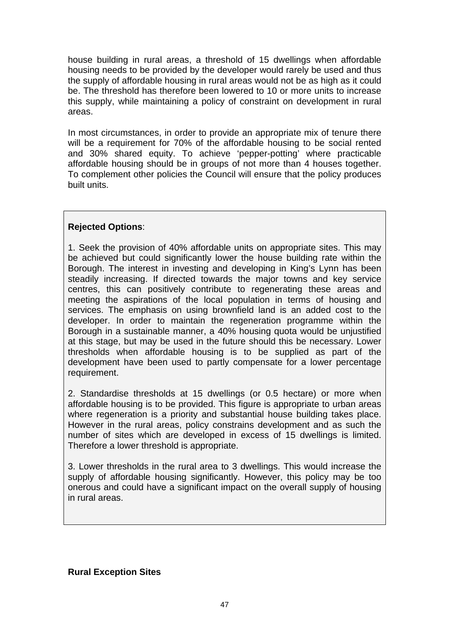house building in rural areas, a threshold of 15 dwellings when affordable housing needs to be provided by the developer would rarely be used and thus the supply of affordable housing in rural areas would not be as high as it could be. The threshold has therefore been lowered to 10 or more units to increase this supply, while maintaining a policy of constraint on development in rural areas.

In most circumstances, in order to provide an appropriate mix of tenure there will be a requirement for 70% of the affordable housing to be social rented and 30% shared equity. To achieve 'pepper-potting' where practicable affordable housing should be in groups of not more than 4 houses together. To complement other policies the Council will ensure that the policy produces built units.

# **Rejected Options**:

1. Seek the provision of 40% affordable units on appropriate sites. This may be achieved but could significantly lower the house building rate within the Borough. The interest in investing and developing in King's Lynn has been steadily increasing. If directed towards the major towns and key service centres, this can positively contribute to regenerating these areas and meeting the aspirations of the local population in terms of housing and services. The emphasis on using brownfield land is an added cost to the developer. In order to maintain the regeneration programme within the Borough in a sustainable manner, a 40% housing quota would be unjustified at this stage, but may be used in the future should this be necessary. Lower thresholds when affordable housing is to be supplied as part of the development have been used to partly compensate for a lower percentage requirement.

2. Standardise thresholds at 15 dwellings (or 0.5 hectare) or more when affordable housing is to be provided. This figure is appropriate to urban areas where regeneration is a priority and substantial house building takes place. However in the rural areas, policy constrains development and as such the number of sites which are developed in excess of 15 dwellings is limited. Therefore a lower threshold is appropriate.

3. Lower thresholds in the rural area to 3 dwellings. This would increase the supply of affordable housing significantly. However, this policy may be too onerous and could have a significant impact on the overall supply of housing in rural areas.

**Rural Exception Sites**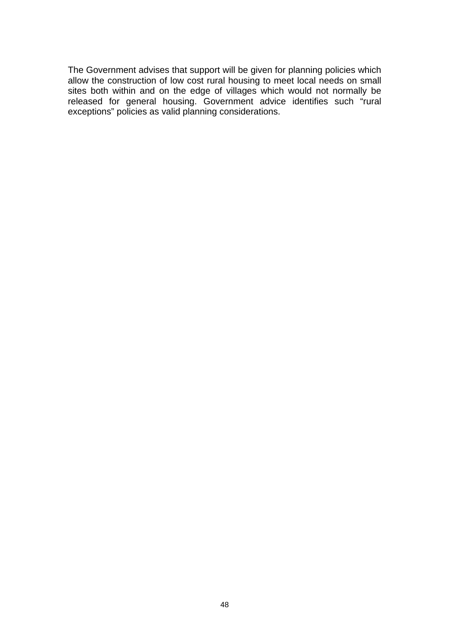The Government advises that support will be given for planning policies which allow the construction of low cost rural housing to meet local needs on small sites both within and on the edge of villages which would not normally be released for general housing. Government advice identifies such "rural exceptions" policies as valid planning considerations.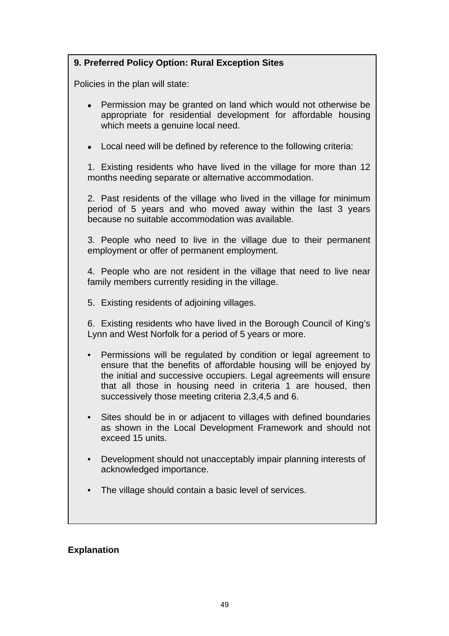# **9. Preferred Policy Option: Rural Exception Sites**

Policies in the plan will state:

- Permission may be granted on land which would not otherwise be appropriate for residential development for affordable housing which meets a genuine local need.
- Local need will be defined by reference to the following criteria:

 1. Existing residents who have lived in the village for more than 12 months needing separate or alternative accommodation.

2. Past residents of the village who lived in the village for minimum period of 5 years and who moved away within the last 3 years because no suitable accommodation was available.

3. People who need to live in the village due to their permanent employment or offer of permanent employment.

4. People who are not resident in the village that need to live near family members currently residing in the village.

5. Existing residents of adjoining villages.

6. Existing residents who have lived in the Borough Council of King's Lynn and West Norfolk for a period of 5 years or more.

- Permissions will be regulated by condition or legal agreement to ensure that the benefits of affordable housing will be enjoyed by the initial and successive occupiers. Legal agreements will ensure that all those in housing need in criteria 1 are housed, then successively those meeting criteria 2,3,4,5 and 6.
- Sites should be in or adjacent to villages with defined boundaries as shown in the Local Development Framework and should not exceed 15 units.
- Development should not unacceptably impair planning interests of acknowledged importance.
- The village should contain a basic level of services.

#### **Explanation**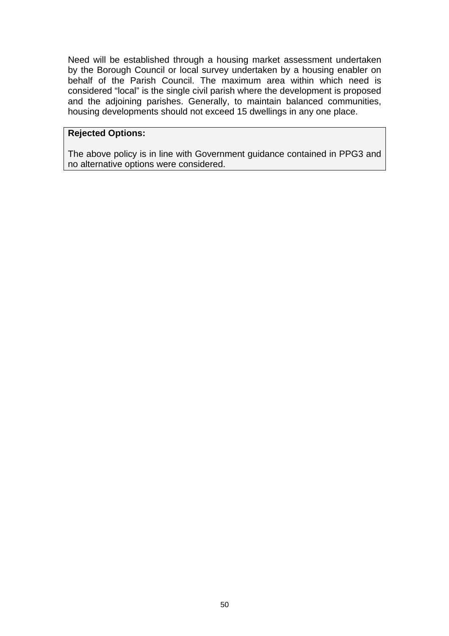Need will be established through a housing market assessment undertaken by the Borough Council or local survey undertaken by a housing enabler on behalf of the Parish Council. The maximum area within which need is considered "local" is the single civil parish where the development is proposed and the adjoining parishes. Generally, to maintain balanced communities, housing developments should not exceed 15 dwellings in any one place.

#### **Rejected Options:**

The above policy is in line with Government guidance contained in PPG3 and no alternative options were considered.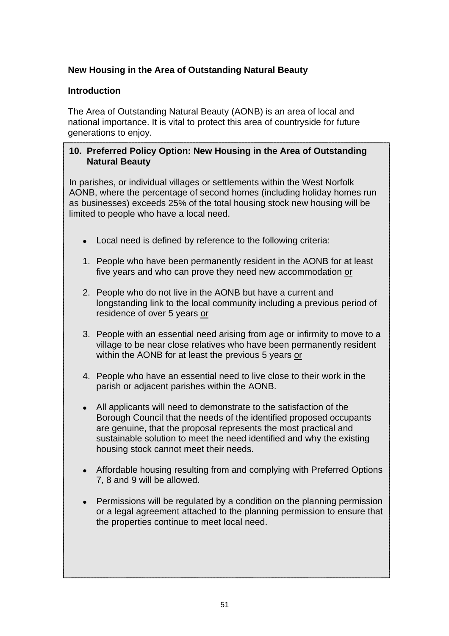# **New Housing in the Area of Outstanding Natural Beauty**

### **Introduction**

The Area of Outstanding Natural Beauty (AONB) is an area of local and national importance. It is vital to protect this area of countryside for future generations to enjoy.

### **10. Preferred Policy Option: New Housing in the Area of Outstanding Natural Beauty**

In parishes, or individual villages or settlements within the West Norfolk AONB, where the percentage of second homes (including holiday homes run as businesses) exceeds 25% of the total housing stock new housing will be limited to people who have a local need.

- Local need is defined by reference to the following criteria:
- 1. People who have been permanently resident in the AONB for at least five years and who can prove they need new accommodation or
- 2. People who do not live in the AONB but have a current and longstanding link to the local community including a previous period of residence of over 5 years or
- 3. People with an essential need arising from age or infirmity to move to a village to be near close relatives who have been permanently resident within the AONB for at least the previous 5 years or
- 4. People who have an essential need to live close to their work in the parish or adjacent parishes within the AONB.
- All applicants will need to demonstrate to the satisfaction of the Borough Council that the needs of the identified proposed occupants are genuine, that the proposal represents the most practical and sustainable solution to meet the need identified and why the existing housing stock cannot meet their needs.
- Affordable housing resulting from and complying with Preferred Options 7, 8 and 9 will be allowed.
- Permissions will be regulated by a condition on the planning permission or a legal agreement attached to the planning permission to ensure that the properties continue to meet local need.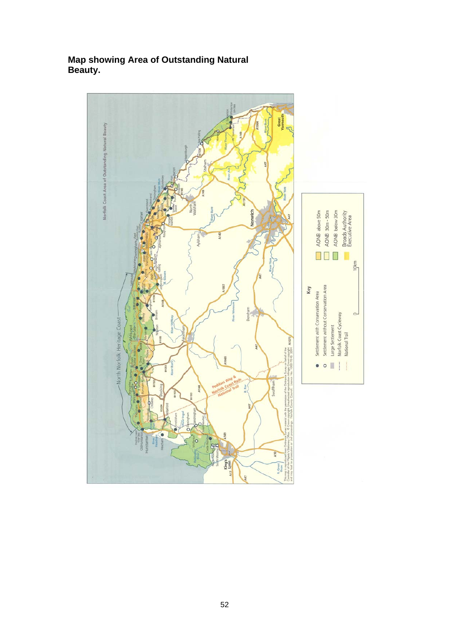

### **Map showing Area of Outstanding Natural Beauty.**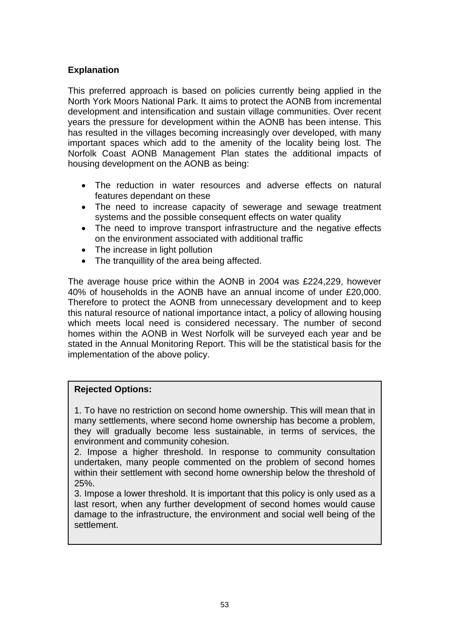### **Explanation**

This preferred approach is based on policies currently being applied in the North York Moors National Park. It aims to protect the AONB from incremental development and intensification and sustain village communities. Over recent years the pressure for development within the AONB has been intense. This has resulted in the villages becoming increasingly over developed, with many important spaces which add to the amenity of the locality being lost. The Norfolk Coast AONB Management Plan states the additional impacts of housing development on the AONB as being:

- The reduction in water resources and adverse effects on natural features dependant on these
- The need to increase capacity of sewerage and sewage treatment systems and the possible consequent effects on water quality
- The need to improve transport infrastructure and the negative effects on the environment associated with additional traffic
- The increase in light pollution
- The tranquillity of the area being affected.

The average house price within the AONB in 2004 was £224,229, however 40% of households in the AONB have an annual income of under £20,000. Therefore to protect the AONB from unnecessary development and to keep this natural resource of national importance intact, a policy of allowing housing which meets local need is considered necessary. The number of second homes within the AONB in West Norfolk will be surveyed each year and be stated in the Annual Monitoring Report. This will be the statistical basis for the implementation of the above policy.

#### **Rejected Options:**

1. To have no restriction on second home ownership. This will mean that in many settlements, where second home ownership has become a problem, they will gradually become less sustainable, in terms of services, the environment and community cohesion.

2. Impose a higher threshold. In response to community consultation undertaken, many people commented on the problem of second homes within their settlement with second home ownership below the threshold of 25%.

3. Impose a lower threshold. It is important that this policy is only used as a last resort, when any further development of second homes would cause damage to the infrastructure, the environment and social well being of the settlement.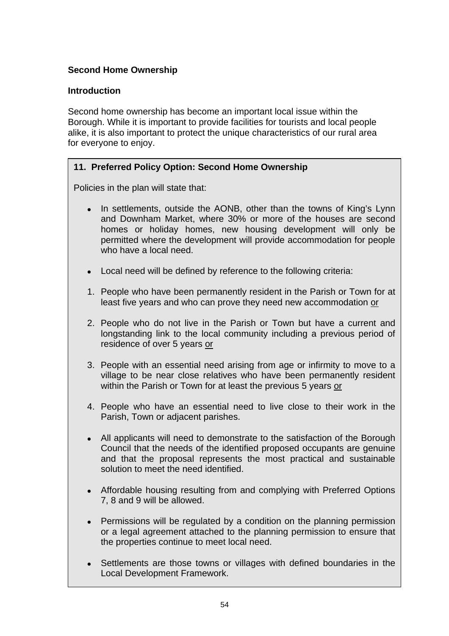# **Second Home Ownership**

### **Introduction**

Second home ownership has become an important local issue within the Borough. While it is important to provide facilities for tourists and local people alike, it is also important to protect the unique characteristics of our rural area for everyone to enjoy.

# **11. Preferred Policy Option: Second Home Ownership**

Policies in the plan will state that:

- In settlements, outside the AONB, other than the towns of King's Lynn and Downham Market, where 30% or more of the houses are second homes or holiday homes, new housing development will only be permitted where the development will provide accommodation for people who have a local need.
- Local need will be defined by reference to the following criteria:
- 1. People who have been permanently resident in the Parish or Town for at least five years and who can prove they need new accommodation or
- 2. People who do not live in the Parish or Town but have a current and longstanding link to the local community including a previous period of residence of over 5 years or
- 3. People with an essential need arising from age or infirmity to move to a village to be near close relatives who have been permanently resident within the Parish or Town for at least the previous 5 years or
- 4. People who have an essential need to live close to their work in the Parish, Town or adjacent parishes.
- All applicants will need to demonstrate to the satisfaction of the Borough Council that the needs of the identified proposed occupants are genuine and that the proposal represents the most practical and sustainable solution to meet the need identified.
- Affordable housing resulting from and complying with Preferred Options 7, 8 and 9 will be allowed.
- Permissions will be regulated by a condition on the planning permission or a legal agreement attached to the planning permission to ensure that the properties continue to meet local need.
- Settlements are those towns or villages with defined boundaries in the Local Development Framework.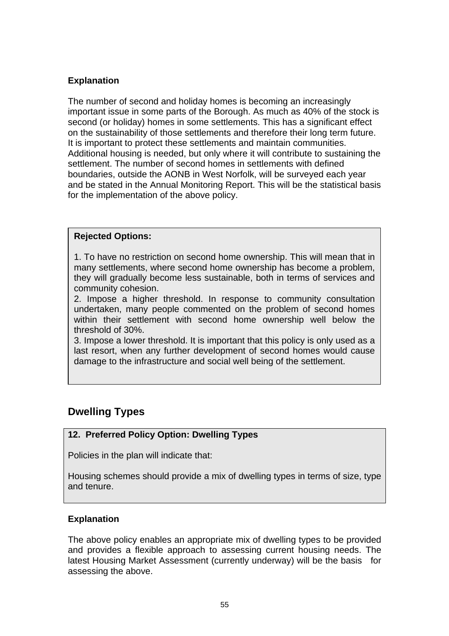### **Explanation**

The number of second and holiday homes is becoming an increasingly important issue in some parts of the Borough. As much as 40% of the stock is second (or holiday) homes in some settlements. This has a significant effect on the sustainability of those settlements and therefore their long term future. It is important to protect these settlements and maintain communities. Additional housing is needed, but only where it will contribute to sustaining the settlement. The number of second homes in settlements with defined boundaries, outside the AONB in West Norfolk, will be surveyed each year and be stated in the Annual Monitoring Report. This will be the statistical basis for the implementation of the above policy.

#### **Rejected Options:**

1. To have no restriction on second home ownership. This will mean that in many settlements, where second home ownership has become a problem, they will gradually become less sustainable, both in terms of services and community cohesion.

2. Impose a higher threshold. In response to community consultation undertaken, many people commented on the problem of second homes within their settlement with second home ownership well below the threshold of 30%.

3. Impose a lower threshold. It is important that this policy is only used as a last resort, when any further development of second homes would cause damage to the infrastructure and social well being of the settlement.

# **Dwelling Types**

# **12. Preferred Policy Option: Dwelling Types**

Policies in the plan will indicate that:

Housing schemes should provide a mix of dwelling types in terms of size, type and tenure.

#### **Explanation**

The above policy enables an appropriate mix of dwelling types to be provided and provides a flexible approach to assessing current housing needs. The latest Housing Market Assessment (currently underway) will be the basis for assessing the above.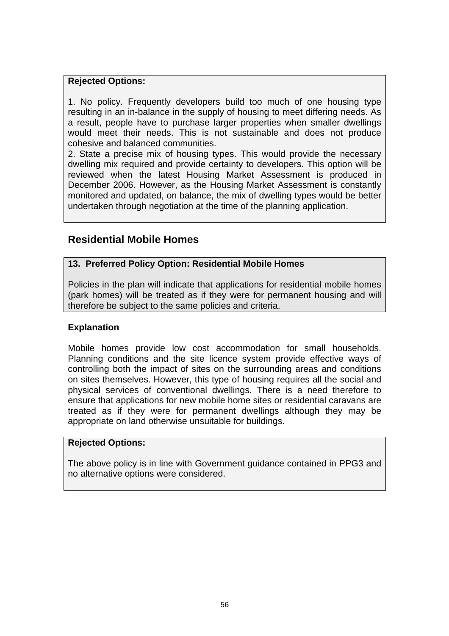#### **Rejected Options:**

1. No policy. Frequently developers build too much of one housing type resulting in an in-balance in the supply of housing to meet differing needs. As a result, people have to purchase larger properties when smaller dwellings would meet their needs. This is not sustainable and does not produce cohesive and balanced communities.

2. State a precise mix of housing types. This would provide the necessary dwelling mix required and provide certainty to developers. This option will be reviewed when the latest Housing Market Assessment is produced in December 2006. However, as the Housing Market Assessment is constantly monitored and updated, on balance, the mix of dwelling types would be better undertaken through negotiation at the time of the planning application.

# **Residential Mobile Homes**

#### **13. Preferred Policy Option: Residential Mobile Homes**

Policies in the plan will indicate that applications for residential mobile homes (park homes) will be treated as if they were for permanent housing and will therefore be subject to the same policies and criteria.

#### **Explanation**

Mobile homes provide low cost accommodation for small households. Planning conditions and the site licence system provide effective ways of controlling both the impact of sites on the surrounding areas and conditions on sites themselves. However, this type of housing requires all the social and physical services of conventional dwellings. There is a need therefore to ensure that applications for new mobile home sites or residential caravans are treated as if they were for permanent dwellings although they may be appropriate on land otherwise unsuitable for buildings.

#### **Rejected Options:**

The above policy is in line with Government guidance contained in PPG3 and no alternative options were considered.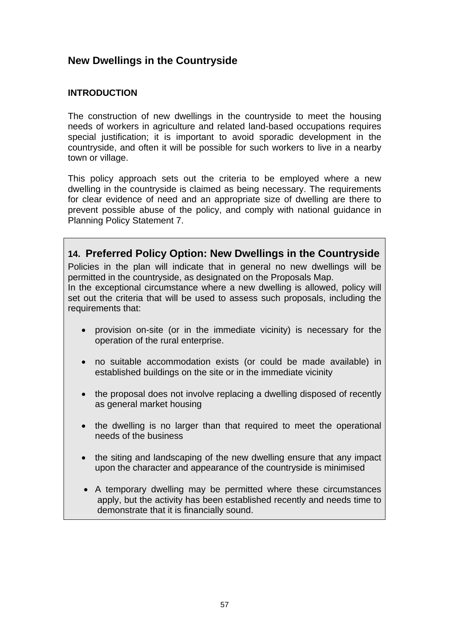# **New Dwellings in the Countryside**

### **INTRODUCTION**

The construction of new dwellings in the countryside to meet the housing needs of workers in agriculture and related land-based occupations requires special justification; it is important to avoid sporadic development in the countryside, and often it will be possible for such workers to live in a nearby town or village.

This policy approach sets out the criteria to be employed where a new dwelling in the countryside is claimed as being necessary. The requirements for clear evidence of need and an appropriate size of dwelling are there to prevent possible abuse of the policy, and comply with national guidance in Planning Policy Statement 7.

**14. Preferred Policy Option: New Dwellings in the Countryside** Policies in the plan will indicate that in general no new dwellings will be permitted in the countryside, as designated on the Proposals Map. In the exceptional circumstance where a new dwelling is allowed, policy will set out the criteria that will be used to assess such proposals, including the requirements that:

- provision on-site (or in the immediate vicinity) is necessary for the operation of the rural enterprise.
- no suitable accommodation exists (or could be made available) in established buildings on the site or in the immediate vicinity
- the proposal does not involve replacing a dwelling disposed of recently as general market housing
- the dwelling is no larger than that required to meet the operational needs of the business
- the siting and landscaping of the new dwelling ensure that any impact upon the character and appearance of the countryside is minimised
- A temporary dwelling may be permitted where these circumstances apply, but the activity has been established recently and needs time to demonstrate that it is financially sound.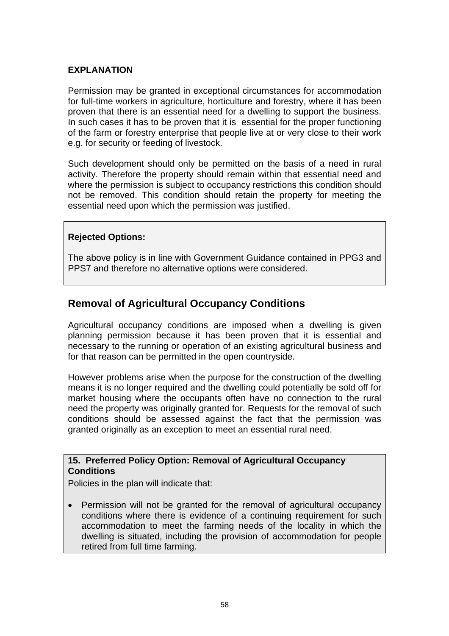#### **EXPLANATION**

Permission may be granted in exceptional circumstances for accommodation for full-time workers in agriculture, horticulture and forestry, where it has been proven that there is an essential need for a dwelling to support the business. In such cases it has to be proven that it is essential for the proper functioning of the farm or forestry enterprise that people live at or very close to their work e.g. for security or feeding of livestock.

Such development should only be permitted on the basis of a need in rural activity. Therefore the property should remain within that essential need and where the permission is subject to occupancy restrictions this condition should not be removed. This condition should retain the property for meeting the essential need upon which the permission was justified.

### **Rejected Options:**

The above policy is in line with Government Guidance contained in PPG3 and PPS7 and therefore no alternative options were considered.

# **Removal of Agricultural Occupancy Conditions**

Agricultural occupancy conditions are imposed when a dwelling is given planning permission because it has been proven that it is essential and necessary to the running or operation of an existing agricultural business and for that reason can be permitted in the open countryside.

However problems arise when the purpose for the construction of the dwelling means it is no longer required and the dwelling could potentially be sold off for market housing where the occupants often have no connection to the rural need the property was originally granted for. Requests for the removal of such conditions should be assessed against the fact that the permission was granted originally as an exception to meet an essential rural need.

#### **15. Preferred Policy Option: Removal of Agricultural Occupancy Conditions**

Policies in the plan will indicate that:

• Permission will not be granted for the removal of agricultural occupancy conditions where there is evidence of a continuing requirement for such accommodation to meet the farming needs of the locality in which the dwelling is situated, including the provision of accommodation for people retired from full time farming.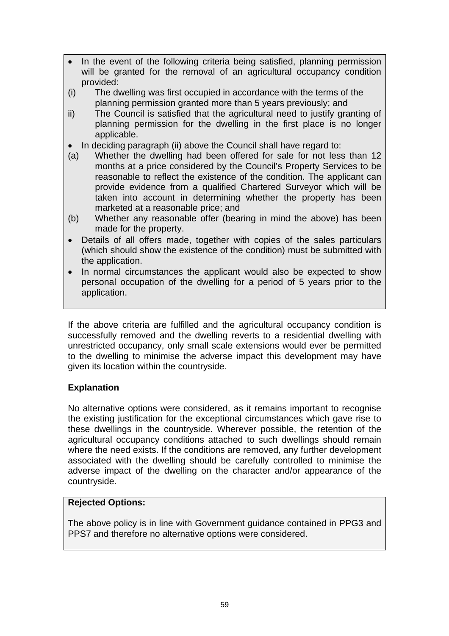- In the event of the following criteria being satisfied, planning permission will be granted for the removal of an agricultural occupancy condition provided:
- (i) The dwelling was first occupied in accordance with the terms of the planning permission granted more than 5 years previously; and
- ii) The Council is satisfied that the agricultural need to justify granting of planning permission for the dwelling in the first place is no longer applicable.
- In deciding paragraph (ii) above the Council shall have regard to:
- (a) Whether the dwelling had been offered for sale for not less than 12 months at a price considered by the Council's Property Services to be reasonable to reflect the existence of the condition. The applicant can provide evidence from a qualified Chartered Surveyor which will be taken into account in determining whether the property has been marketed at a reasonable price; and
- (b) Whether any reasonable offer (bearing in mind the above) has been made for the property.
- Details of all offers made, together with copies of the sales particulars (which should show the existence of the condition) must be submitted with the application.
- In normal circumstances the applicant would also be expected to show personal occupation of the dwelling for a period of 5 years prior to the application.

If the above criteria are fulfilled and the agricultural occupancy condition is successfully removed and the dwelling reverts to a residential dwelling with unrestricted occupancy, only small scale extensions would ever be permitted to the dwelling to minimise the adverse impact this development may have given its location within the countryside.

# **Explanation**

No alternative options were considered, as it remains important to recognise the existing justification for the exceptional circumstances which gave rise to these dwellings in the countryside. Wherever possible, the retention of the agricultural occupancy conditions attached to such dwellings should remain where the need exists. If the conditions are removed, any further development associated with the dwelling should be carefully controlled to minimise the adverse impact of the dwelling on the character and/or appearance of the countryside.

#### **Rejected Options:**

The above policy is in line with Government guidance contained in PPG3 and PPS7 and therefore no alternative options were considered.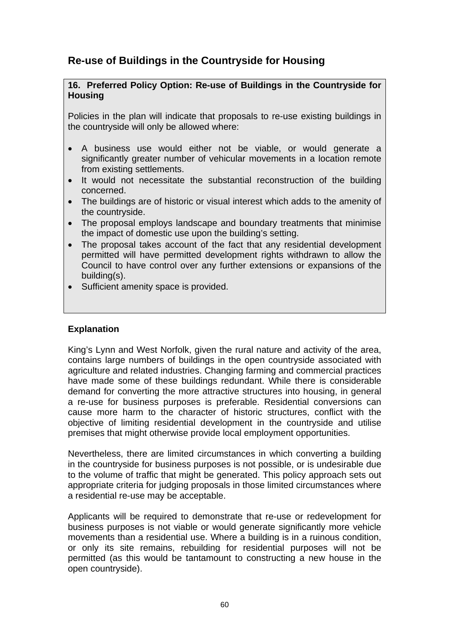# **Re-use of Buildings in the Countryside for Housing**

#### **16. Preferred Policy Option: Re-use of Buildings in the Countryside for Housing**

Policies in the plan will indicate that proposals to re-use existing buildings in the countryside will only be allowed where:

- A business use would either not be viable, or would generate a significantly greater number of vehicular movements in a location remote from existing settlements.
- It would not necessitate the substantial reconstruction of the building concerned.
- The buildings are of historic or visual interest which adds to the amenity of the countryside.
- The proposal employs landscape and boundary treatments that minimise the impact of domestic use upon the building's setting.
- The proposal takes account of the fact that any residential development permitted will have permitted development rights withdrawn to allow the Council to have control over any further extensions or expansions of the building(s).
- Sufficient amenity space is provided.

#### **Explanation**

King's Lynn and West Norfolk, given the rural nature and activity of the area, contains large numbers of buildings in the open countryside associated with agriculture and related industries. Changing farming and commercial practices have made some of these buildings redundant. While there is considerable demand for converting the more attractive structures into housing, in general a re-use for business purposes is preferable. Residential conversions can cause more harm to the character of historic structures, conflict with the objective of limiting residential development in the countryside and utilise premises that might otherwise provide local employment opportunities.

Nevertheless, there are limited circumstances in which converting a building in the countryside for business purposes is not possible, or is undesirable due to the volume of traffic that might be generated. This policy approach sets out appropriate criteria for judging proposals in those limited circumstances where a residential re-use may be acceptable.

Applicants will be required to demonstrate that re-use or redevelopment for business purposes is not viable or would generate significantly more vehicle movements than a residential use. Where a building is in a ruinous condition, or only its site remains, rebuilding for residential purposes will not be permitted (as this would be tantamount to constructing a new house in the open countryside).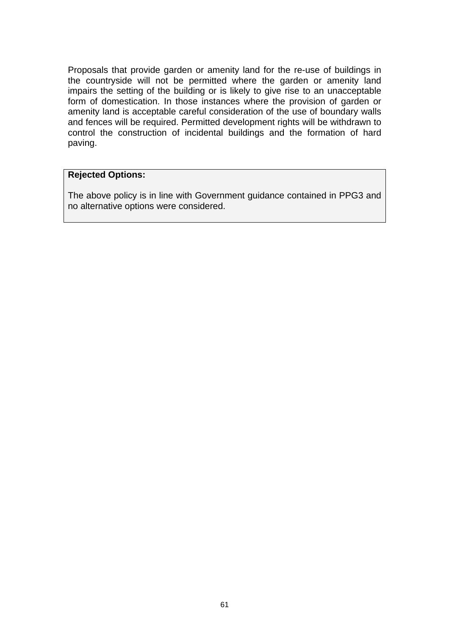Proposals that provide garden or amenity land for the re-use of buildings in the countryside will not be permitted where the garden or amenity land impairs the setting of the building or is likely to give rise to an unacceptable form of domestication. In those instances where the provision of garden or amenity land is acceptable careful consideration of the use of boundary walls and fences will be required. Permitted development rights will be withdrawn to control the construction of incidental buildings and the formation of hard paving.

#### **Rejected Options:**

The above policy is in line with Government guidance contained in PPG3 and no alternative options were considered.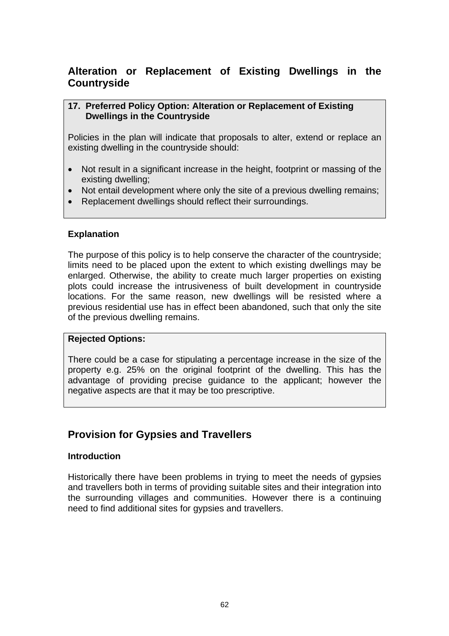# **Alteration or Replacement of Existing Dwellings in the Countryside**

#### **17. Preferred Policy Option: Alteration or Replacement of Existing Dwellings in the Countryside**

Policies in the plan will indicate that proposals to alter, extend or replace an existing dwelling in the countryside should:

- Not result in a significant increase in the height, footprint or massing of the existing dwelling;
- Not entail development where only the site of a previous dwelling remains;
- Replacement dwellings should reflect their surroundings.

### **Explanation**

The purpose of this policy is to help conserve the character of the countryside; limits need to be placed upon the extent to which existing dwellings may be enlarged. Otherwise, the ability to create much larger properties on existing plots could increase the intrusiveness of built development in countryside locations. For the same reason, new dwellings will be resisted where a previous residential use has in effect been abandoned, such that only the site of the previous dwelling remains.

#### **Rejected Options:**

There could be a case for stipulating a percentage increase in the size of the property e.g. 25% on the original footprint of the dwelling. This has the advantage of providing precise guidance to the applicant; however the negative aspects are that it may be too prescriptive.

# **Provision for Gypsies and Travellers**

#### **Introduction**

Historically there have been problems in trying to meet the needs of gypsies and travellers both in terms of providing suitable sites and their integration into the surrounding villages and communities. However there is a continuing need to find additional sites for gypsies and travellers.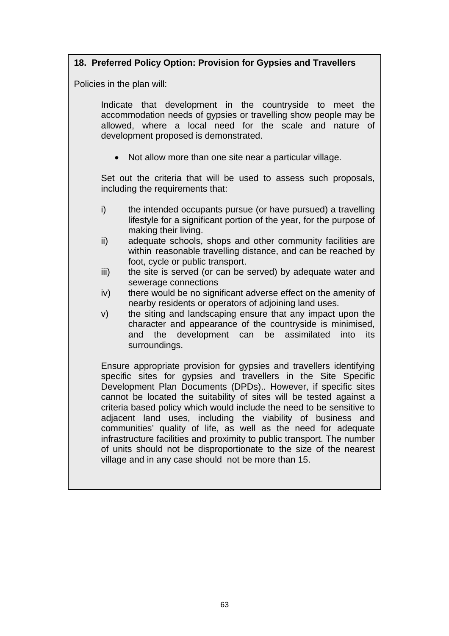# **18. Preferred Policy Option: Provision for Gypsies and Travellers**

Policies in the plan will:

Indicate that development in the countryside to meet the accommodation needs of gypsies or travelling show people may be allowed, where a local need for the scale and nature of development proposed is demonstrated.

• Not allow more than one site near a particular village.

Set out the criteria that will be used to assess such proposals, including the requirements that:

- i) the intended occupants pursue (or have pursued) a travelling lifestyle for a significant portion of the year, for the purpose of making their living.
- ii) adequate schools, shops and other community facilities are within reasonable travelling distance, and can be reached by foot, cycle or public transport.
- iii) the site is served (or can be served) by adequate water and sewerage connections
- iv) there would be no significant adverse effect on the amenity of nearby residents or operators of adjoining land uses.
- v) the siting and landscaping ensure that any impact upon the character and appearance of the countryside is minimised, and the development can be assimilated into its surroundings.

Ensure appropriate provision for gypsies and travellers identifying specific sites for gypsies and travellers in the Site Specific Development Plan Documents (DPDs).. However, if specific sites cannot be located the suitability of sites will be tested against a criteria based policy which would include the need to be sensitive to adjacent land uses, including the viability of business and communities' quality of life, as well as the need for adequate infrastructure facilities and proximity to public transport. The number of units should not be disproportionate to the size of the nearest village and in any case should not be more than 15.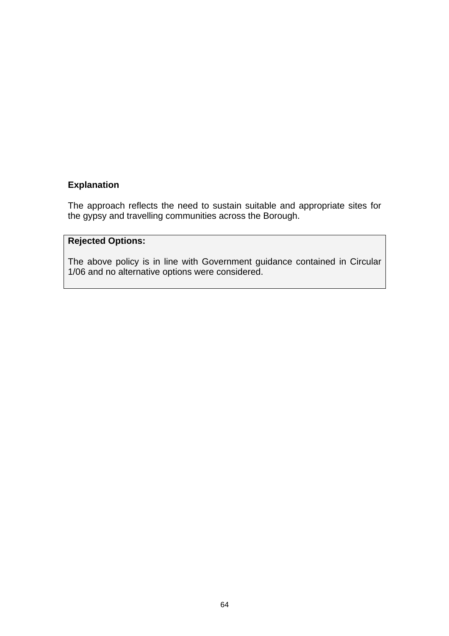### **Explanation**

The approach reflects the need to sustain suitable and appropriate sites for the gypsy and travelling communities across the Borough.

# **Rejected Options:**

The above policy is in line with Government guidance contained in Circular 1/06 and no alternative options were considered.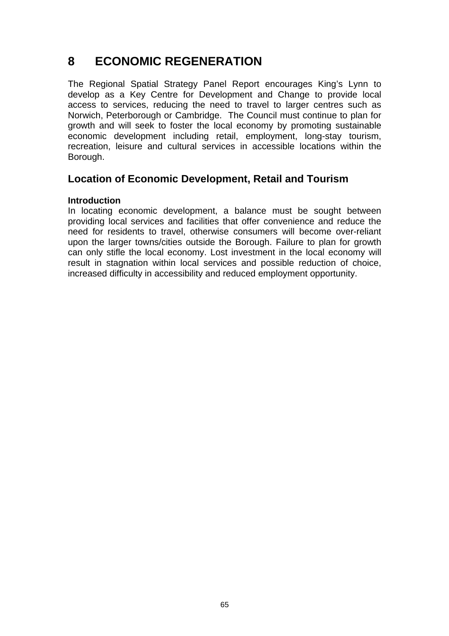# **8 ECONOMIC REGENERATION**

The Regional Spatial Strategy Panel Report encourages King's Lynn to develop as a Key Centre for Development and Change to provide local access to services, reducing the need to travel to larger centres such as Norwich, Peterborough or Cambridge. The Council must continue to plan for growth and will seek to foster the local economy by promoting sustainable economic development including retail, employment, long-stay tourism, recreation, leisure and cultural services in accessible locations within the Borough.

# **Location of Economic Development, Retail and Tourism**

#### **Introduction**

In locating economic development, a balance must be sought between providing local services and facilities that offer convenience and reduce the need for residents to travel, otherwise consumers will become over-reliant upon the larger towns/cities outside the Borough. Failure to plan for growth can only stifle the local economy. Lost investment in the local economy will result in stagnation within local services and possible reduction of choice, increased difficulty in accessibility and reduced employment opportunity.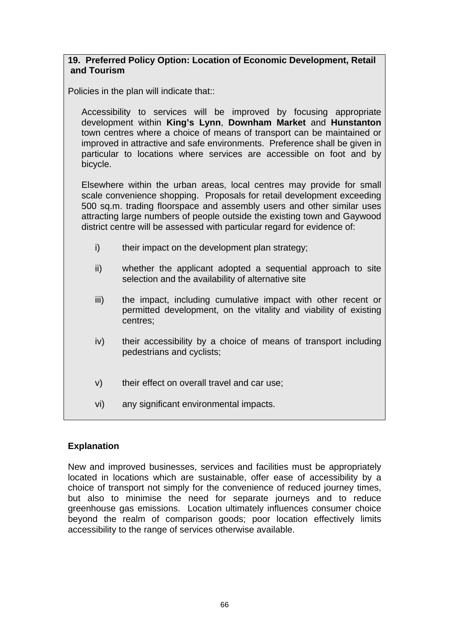#### **19. Preferred Policy Option: Location of Economic Development, Retail and Tourism**

Policies in the plan will indicate that::

Accessibility to services will be improved by focusing appropriate development within **King's Lynn**, **Downham Market** and **Hunstanton** town centres where a choice of means of transport can be maintained or improved in attractive and safe environments. Preference shall be given in particular to locations where services are accessible on foot and by bicycle.

Elsewhere within the urban areas, local centres may provide for small scale convenience shopping. Proposals for retail development exceeding 500 sq.m. trading floorspace and assembly users and other similar uses attracting large numbers of people outside the existing town and Gaywood district centre will be assessed with particular regard for evidence of:

- i) their impact on the development plan strategy;
- ii) whether the applicant adopted a sequential approach to site selection and the availability of alternative site
- iii) the impact, including cumulative impact with other recent or permitted development, on the vitality and viability of existing centres;
- iv) their accessibility by a choice of means of transport including pedestrians and cyclists;
- v) their effect on overall travel and car use;
- vi) any significant environmental impacts.

# **Explanation**

New and improved businesses, services and facilities must be appropriately located in locations which are sustainable, offer ease of accessibility by a choice of transport not simply for the convenience of reduced journey times, but also to minimise the need for separate journeys and to reduce greenhouse gas emissions. Location ultimately influences consumer choice beyond the realm of comparison goods; poor location effectively limits accessibility to the range of services otherwise available.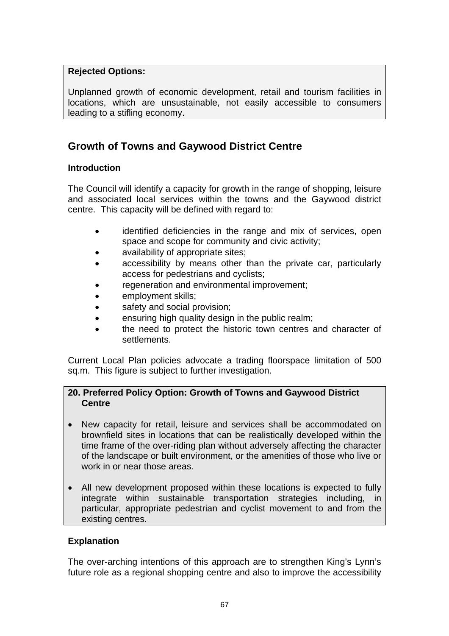# **Rejected Options:**

Unplanned growth of economic development, retail and tourism facilities in locations, which are unsustainable, not easily accessible to consumers leading to a stifling economy.

# **Growth of Towns and Gaywood District Centre**

### **Introduction**

The Council will identify a capacity for growth in the range of shopping, leisure and associated local services within the towns and the Gaywood district centre. This capacity will be defined with regard to:

- identified deficiencies in the range and mix of services, open space and scope for community and civic activity;
- availability of appropriate sites:
- accessibility by means other than the private car, particularly access for pedestrians and cyclists;
- regeneration and environmental improvement;
- employment skills;
- safety and social provision;
- ensuring high quality design in the public realm;
- the need to protect the historic town centres and character of settlements.

Current Local Plan policies advocate a trading floorspace limitation of 500 sq.m. This figure is subject to further investigation.

### **20. Preferred Policy Option: Growth of Towns and Gaywood District Centre**

- New capacity for retail, leisure and services shall be accommodated on brownfield sites in locations that can be realistically developed within the time frame of the over-riding plan without adversely affecting the character of the landscape or built environment, or the amenities of those who live or work in or near those areas.
- All new development proposed within these locations is expected to fully integrate within sustainable transportation strategies including, in particular, appropriate pedestrian and cyclist movement to and from the existing centres.

# **Explanation**

The over-arching intentions of this approach are to strengthen King's Lynn's future role as a regional shopping centre and also to improve the accessibility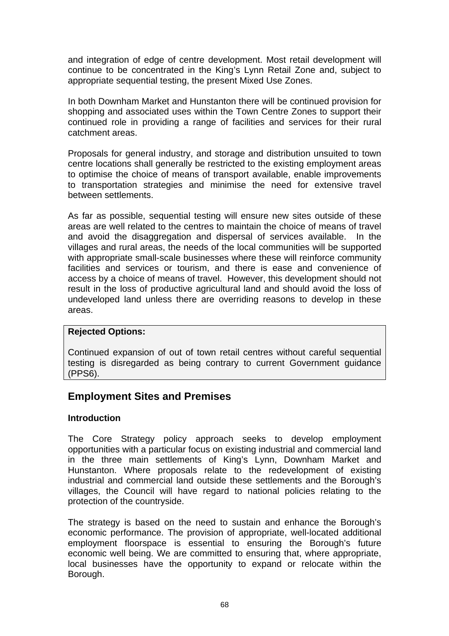and integration of edge of centre development. Most retail development will continue to be concentrated in the King's Lynn Retail Zone and, subject to appropriate sequential testing, the present Mixed Use Zones.

In both Downham Market and Hunstanton there will be continued provision for shopping and associated uses within the Town Centre Zones to support their continued role in providing a range of facilities and services for their rural catchment areas.

Proposals for general industry, and storage and distribution unsuited to town centre locations shall generally be restricted to the existing employment areas to optimise the choice of means of transport available, enable improvements to transportation strategies and minimise the need for extensive travel between settlements.

As far as possible, sequential testing will ensure new sites outside of these areas are well related to the centres to maintain the choice of means of travel and avoid the disaggregation and dispersal of services available. In the villages and rural areas, the needs of the local communities will be supported with appropriate small-scale businesses where these will reinforce community facilities and services or tourism, and there is ease and convenience of access by a choice of means of travel. However, this development should not result in the loss of productive agricultural land and should avoid the loss of undeveloped land unless there are overriding reasons to develop in these areas.

#### **Rejected Options:**

Continued expansion of out of town retail centres without careful sequential testing is disregarded as being contrary to current Government guidance (PPS6).

# **Employment Sites and Premises**

#### **Introduction**

The Core Strategy policy approach seeks to develop employment opportunities with a particular focus on existing industrial and commercial land in the three main settlements of King's Lynn, Downham Market and Hunstanton. Where proposals relate to the redevelopment of existing industrial and commercial land outside these settlements and the Borough's villages, the Council will have regard to national policies relating to the protection of the countryside.

The strategy is based on the need to sustain and enhance the Borough's economic performance. The provision of appropriate, well-located additional employment floorspace is essential to ensuring the Borough's future economic well being. We are committed to ensuring that, where appropriate, local businesses have the opportunity to expand or relocate within the Borough.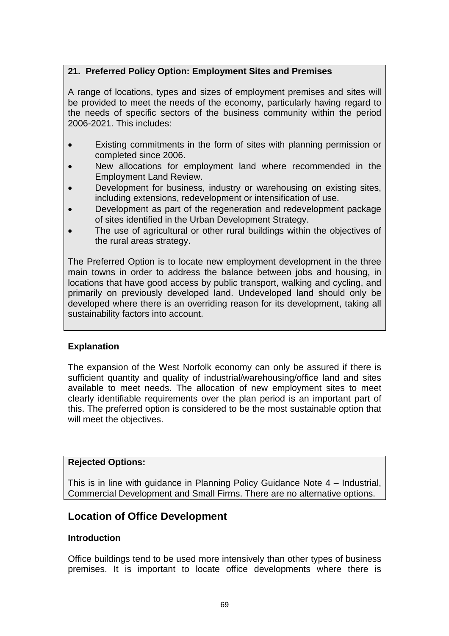# **21. Preferred Policy Option: Employment Sites and Premises**

A range of locations, types and sizes of employment premises and sites will be provided to meet the needs of the economy, particularly having regard to the needs of specific sectors of the business community within the period 2006-2021. This includes:

- Existing commitments in the form of sites with planning permission or completed since 2006.
- New allocations for employment land where recommended in the Employment Land Review.
- Development for business, industry or warehousing on existing sites, including extensions, redevelopment or intensification of use.
- Development as part of the regeneration and redevelopment package of sites identified in the Urban Development Strategy.
- The use of agricultural or other rural buildings within the objectives of the rural areas strategy.

The Preferred Option is to locate new employment development in the three main towns in order to address the balance between jobs and housing, in locations that have good access by public transport, walking and cycling, and primarily on previously developed land. Undeveloped land should only be developed where there is an overriding reason for its development, taking all sustainability factors into account.

# **Explanation**

The expansion of the West Norfolk economy can only be assured if there is sufficient quantity and quality of industrial/warehousing/office land and sites available to meet needs. The allocation of new employment sites to meet clearly identifiable requirements over the plan period is an important part of this. The preferred option is considered to be the most sustainable option that will meet the objectives.

#### **Rejected Options:**

This is in line with guidance in Planning Policy Guidance Note 4 – Industrial, Commercial Development and Small Firms. There are no alternative options.

# **Location of Office Development**

#### **Introduction**

Office buildings tend to be used more intensively than other types of business premises. It is important to locate office developments where there is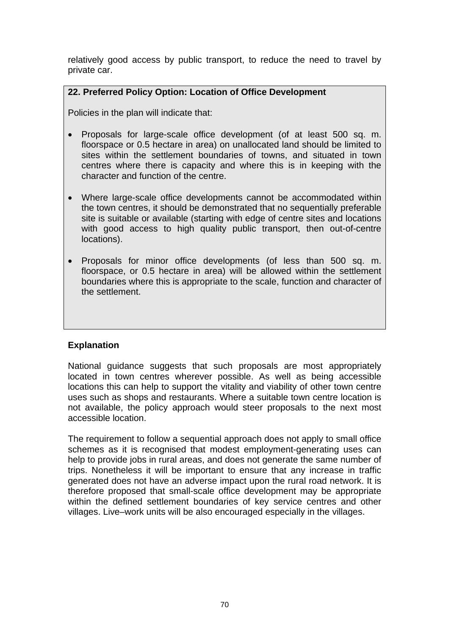relatively good access by public transport, to reduce the need to travel by private car.

### **22. Preferred Policy Option: Location of Office Development**

Policies in the plan will indicate that:

- Proposals for large-scale office development (of at least 500 sq. m. floorspace or 0.5 hectare in area) on unallocated land should be limited to sites within the settlement boundaries of towns, and situated in town centres where there is capacity and where this is in keeping with the character and function of the centre.
- Where large-scale office developments cannot be accommodated within the town centres, it should be demonstrated that no sequentially preferable site is suitable or available (starting with edge of centre sites and locations with good access to high quality public transport, then out-of-centre locations).
- Proposals for minor office developments (of less than 500 sq. m. floorspace, or 0.5 hectare in area) will be allowed within the settlement boundaries where this is appropriate to the scale, function and character of the settlement.

# **Explanation**

National guidance suggests that such proposals are most appropriately located in town centres wherever possible. As well as being accessible locations this can help to support the vitality and viability of other town centre uses such as shops and restaurants. Where a suitable town centre location is not available, the policy approach would steer proposals to the next most accessible location.

The requirement to follow a sequential approach does not apply to small office schemes as it is recognised that modest employment-generating uses can help to provide jobs in rural areas, and does not generate the same number of trips. Nonetheless it will be important to ensure that any increase in traffic generated does not have an adverse impact upon the rural road network. It is therefore proposed that small-scale office development may be appropriate within the defined settlement boundaries of key service centres and other villages. Live–work units will be also encouraged especially in the villages.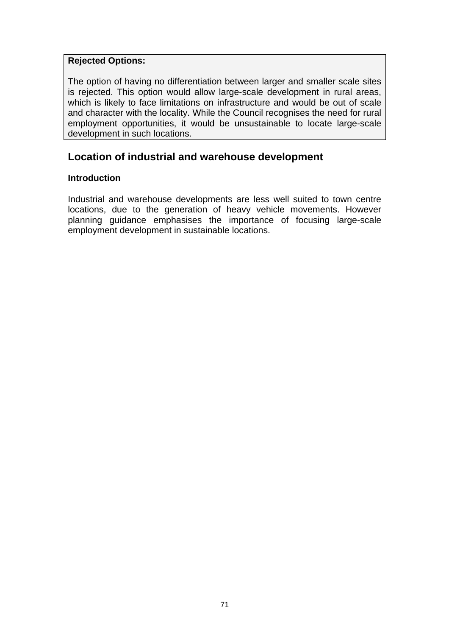#### **Rejected Options:**

The option of having no differentiation between larger and smaller scale sites is rejected. This option would allow large-scale development in rural areas, which is likely to face limitations on infrastructure and would be out of scale and character with the locality. While the Council recognises the need for rural employment opportunities, it would be unsustainable to locate large-scale development in such locations.

# **Location of industrial and warehouse development**

#### **Introduction**

Industrial and warehouse developments are less well suited to town centre locations, due to the generation of heavy vehicle movements. However planning guidance emphasises the importance of focusing large-scale employment development in sustainable locations.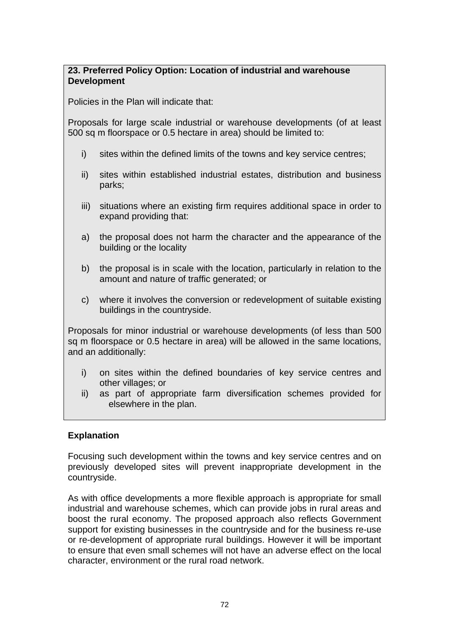### **23. Preferred Policy Option: Location of industrial and warehouse Development**

Policies in the Plan will indicate that:

Proposals for large scale industrial or warehouse developments (of at least 500 sq m floorspace or 0.5 hectare in area) should be limited to:

- i) sites within the defined limits of the towns and key service centres;
- ii) sites within established industrial estates, distribution and business parks;
- iii) situations where an existing firm requires additional space in order to expand providing that:
- a) the proposal does not harm the character and the appearance of the building or the locality
- b) the proposal is in scale with the location, particularly in relation to the amount and nature of traffic generated; or
- c) where it involves the conversion or redevelopment of suitable existing buildings in the countryside.

Proposals for minor industrial or warehouse developments (of less than 500 sq m floorspace or 0.5 hectare in area) will be allowed in the same locations, and an additionally:

- i) on sites within the defined boundaries of key service centres and other villages; or
- ii) as part of appropriate farm diversification schemes provided for elsewhere in the plan.

# **Explanation**

Focusing such development within the towns and key service centres and on previously developed sites will prevent inappropriate development in the countryside.

As with office developments a more flexible approach is appropriate for small industrial and warehouse schemes, which can provide jobs in rural areas and boost the rural economy. The proposed approach also reflects Government support for existing businesses in the countryside and for the business re-use or re-development of appropriate rural buildings. However it will be important to ensure that even small schemes will not have an adverse effect on the local character, environment or the rural road network.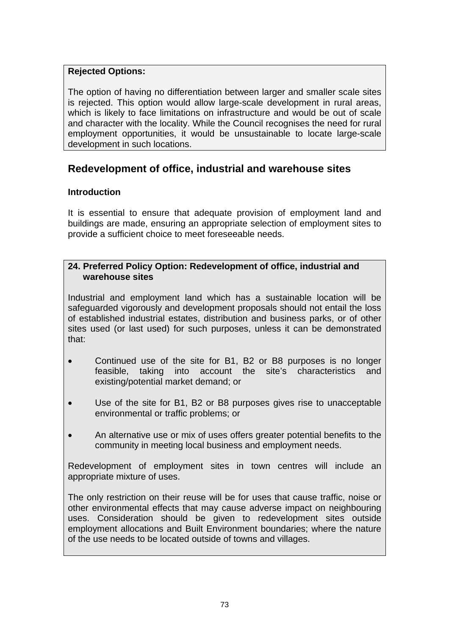## **Rejected Options:**

The option of having no differentiation between larger and smaller scale sites is rejected. This option would allow large-scale development in rural areas, which is likely to face limitations on infrastructure and would be out of scale and character with the locality. While the Council recognises the need for rural employment opportunities, it would be unsustainable to locate large-scale development in such locations.

# **Redevelopment of office, industrial and warehouse sites**

## **Introduction**

It is essential to ensure that adequate provision of employment land and buildings are made, ensuring an appropriate selection of employment sites to provide a sufficient choice to meet foreseeable needs.

#### **24. Preferred Policy Option: Redevelopment of office, industrial and warehouse sites**

Industrial and employment land which has a sustainable location will be safeguarded vigorously and development proposals should not entail the loss of established industrial estates, distribution and business parks, or of other sites used (or last used) for such purposes, unless it can be demonstrated that:

- Continued use of the site for B1, B2 or B8 purposes is no longer feasible, taking into account the site's characteristics and existing/potential market demand; or
- Use of the site for B1, B2 or B8 purposes gives rise to unacceptable environmental or traffic problems; or
- An alternative use or mix of uses offers greater potential benefits to the community in meeting local business and employment needs.

Redevelopment of employment sites in town centres will include an appropriate mixture of uses.

The only restriction on their reuse will be for uses that cause traffic, noise or other environmental effects that may cause adverse impact on neighbouring uses. Consideration should be given to redevelopment sites outside employment allocations and Built Environment boundaries; where the nature of the use needs to be located outside of towns and villages.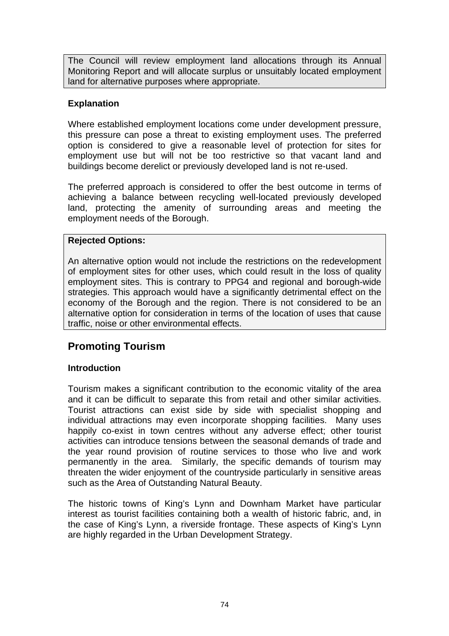The Council will review employment land allocations through its Annual Monitoring Report and will allocate surplus or unsuitably located employment land for alternative purposes where appropriate.

## **Explanation**

Where established employment locations come under development pressure, this pressure can pose a threat to existing employment uses. The preferred option is considered to give a reasonable level of protection for sites for employment use but will not be too restrictive so that vacant land and buildings become derelict or previously developed land is not re-used.

The preferred approach is considered to offer the best outcome in terms of achieving a balance between recycling well-located previously developed land, protecting the amenity of surrounding areas and meeting the employment needs of the Borough.

## **Rejected Options:**

An alternative option would not include the restrictions on the redevelopment of employment sites for other uses, which could result in the loss of quality employment sites. This is contrary to PPG4 and regional and borough-wide strategies. This approach would have a significantly detrimental effect on the economy of the Borough and the region. There is not considered to be an alternative option for consideration in terms of the location of uses that cause traffic, noise or other environmental effects.

# **Promoting Tourism**

## **Introduction**

Tourism makes a significant contribution to the economic vitality of the area and it can be difficult to separate this from retail and other similar activities. Tourist attractions can exist side by side with specialist shopping and individual attractions may even incorporate shopping facilities. Many uses happily co-exist in town centres without any adverse effect; other tourist activities can introduce tensions between the seasonal demands of trade and the year round provision of routine services to those who live and work permanently in the area. Similarly, the specific demands of tourism may threaten the wider enjoyment of the countryside particularly in sensitive areas such as the Area of Outstanding Natural Beauty.

The historic towns of King's Lynn and Downham Market have particular interest as tourist facilities containing both a wealth of historic fabric, and, in the case of King's Lynn, a riverside frontage. These aspects of King's Lynn are highly regarded in the Urban Development Strategy.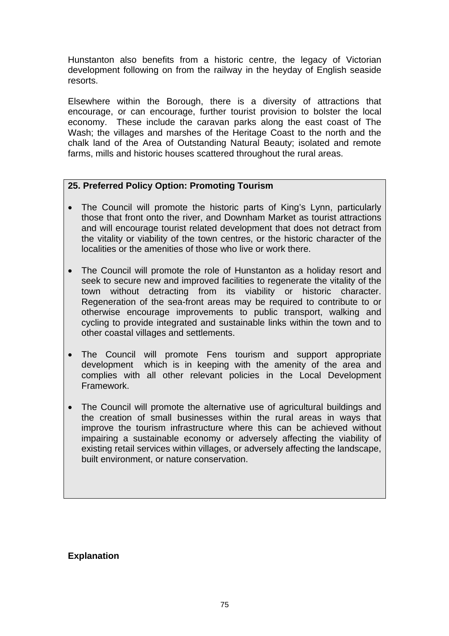Hunstanton also benefits from a historic centre, the legacy of Victorian development following on from the railway in the heyday of English seaside resorts.

Elsewhere within the Borough, there is a diversity of attractions that encourage, or can encourage, further tourist provision to bolster the local economy. These include the caravan parks along the east coast of The Wash; the villages and marshes of the Heritage Coast to the north and the chalk land of the Area of Outstanding Natural Beauty; isolated and remote farms, mills and historic houses scattered throughout the rural areas.

#### **25. Preferred Policy Option: Promoting Tourism**

- The Council will promote the historic parts of King's Lynn, particularly those that front onto the river, and Downham Market as tourist attractions and will encourage tourist related development that does not detract from the vitality or viability of the town centres, or the historic character of the localities or the amenities of those who live or work there.
- The Council will promote the role of Hunstanton as a holiday resort and seek to secure new and improved facilities to regenerate the vitality of the town without detracting from its viability or historic character. Regeneration of the sea-front areas may be required to contribute to or otherwise encourage improvements to public transport, walking and cycling to provide integrated and sustainable links within the town and to other coastal villages and settlements.
- The Council will promote Fens tourism and support appropriate development which is in keeping with the amenity of the area and complies with all other relevant policies in the Local Development Framework.
- The Council will promote the alternative use of agricultural buildings and the creation of small businesses within the rural areas in ways that improve the tourism infrastructure where this can be achieved without impairing a sustainable economy or adversely affecting the viability of existing retail services within villages, or adversely affecting the landscape, built environment, or nature conservation.

#### **Explanation**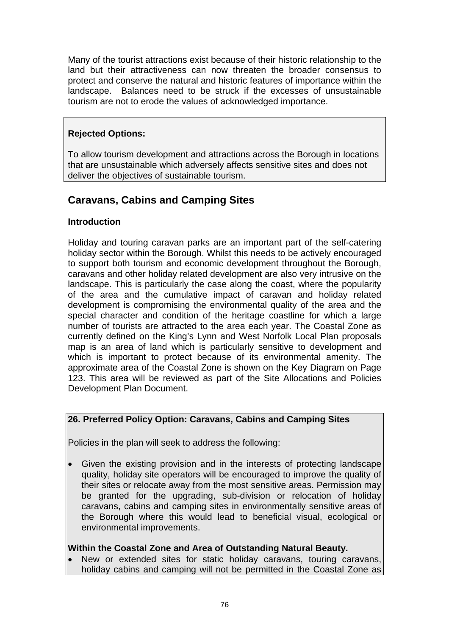Many of the tourist attractions exist because of their historic relationship to the land but their attractiveness can now threaten the broader consensus to protect and conserve the natural and historic features of importance within the landscape. Balances need to be struck if the excesses of unsustainable tourism are not to erode the values of acknowledged importance.

## **Rejected Options:**

To allow tourism development and attractions across the Borough in locations that are unsustainable which adversely affects sensitive sites and does not deliver the objectives of sustainable tourism.

# **Caravans, Cabins and Camping Sites**

## **Introduction**

Holiday and touring caravan parks are an important part of the self-catering holiday sector within the Borough. Whilst this needs to be actively encouraged to support both tourism and economic development throughout the Borough, caravans and other holiday related development are also very intrusive on the landscape. This is particularly the case along the coast, where the popularity of the area and the cumulative impact of caravan and holiday related development is compromising the environmental quality of the area and the special character and condition of the heritage coastline for which a large number of tourists are attracted to the area each year. The Coastal Zone as currently defined on the King's Lynn and West Norfolk Local Plan proposals map is an area of land which is particularly sensitive to development and which is important to protect because of its environmental amenity. The approximate area of the Coastal Zone is shown on the Key Diagram on Page 123. This area will be reviewed as part of the Site Allocations and Policies Development Plan Document.

## **26. Preferred Policy Option: Caravans, Cabins and Camping Sites**

Policies in the plan will seek to address the following:

• Given the existing provision and in the interests of protecting landscape quality, holiday site operators will be encouraged to improve the quality of their sites or relocate away from the most sensitive areas. Permission may be granted for the upgrading, sub-division or relocation of holiday caravans, cabins and camping sites in environmentally sensitive areas of the Borough where this would lead to beneficial visual, ecological or environmental improvements.

#### **Within the Coastal Zone and Area of Outstanding Natural Beauty.**

New or extended sites for static holiday caravans, touring caravans, holiday cabins and camping will not be permitted in the Coastal Zone as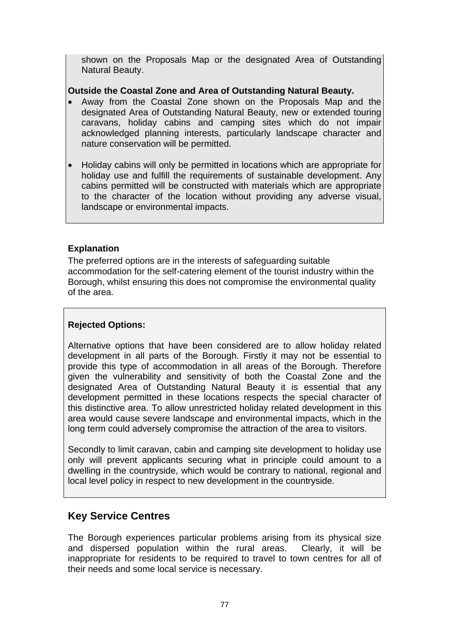shown on the Proposals Map or the designated Area of Outstanding Natural Beauty.

## **Outside the Coastal Zone and Area of Outstanding Natural Beauty.**

- Away from the Coastal Zone shown on the Proposals Map and the designated Area of Outstanding Natural Beauty, new or extended touring caravans, holiday cabins and camping sites which do not impair acknowledged planning interests, particularly landscape character and nature conservation will be permitted.
- Holiday cabins will only be permitted in locations which are appropriate for holiday use and fulfill the requirements of sustainable development. Any cabins permitted will be constructed with materials which are appropriate to the character of the location without providing any adverse visual, landscape or environmental impacts.

## **Explanation**

The preferred options are in the interests of safeguarding suitable accommodation for the self-catering element of the tourist industry within the Borough, whilst ensuring this does not compromise the environmental quality of the area.

## **Rejected Options:**

Alternative options that have been considered are to allow holiday related development in all parts of the Borough. Firstly it may not be essential to provide this type of accommodation in all areas of the Borough. Therefore given the vulnerability and sensitivity of both the Coastal Zone and the designated Area of Outstanding Natural Beauty it is essential that any development permitted in these locations respects the special character of this distinctive area. To allow unrestricted holiday related development in this area would cause severe landscape and environmental impacts, which in the long term could adversely compromise the attraction of the area to visitors.

Secondly to limit caravan, cabin and camping site development to holiday use only will prevent applicants securing what in principle could amount to a dwelling in the countryside, which would be contrary to national, regional and local level policy in respect to new development in the countryside.

# **Key Service Centres**

The Borough experiences particular problems arising from its physical size and dispersed population within the rural areas. Clearly, it will be inappropriate for residents to be required to travel to town centres for all of their needs and some local service is necessary.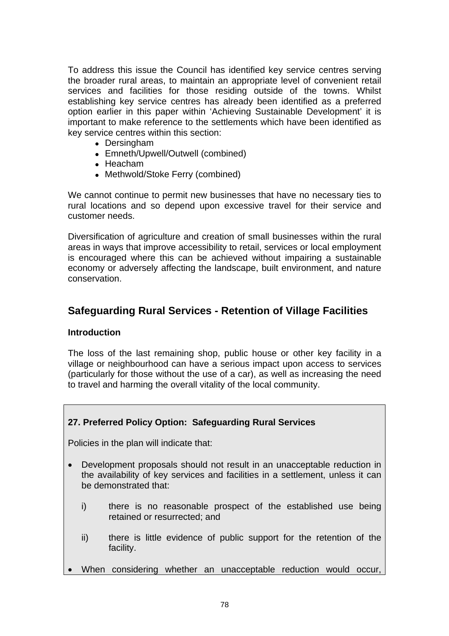To address this issue the Council has identified key service centres serving the broader rural areas, to maintain an appropriate level of convenient retail services and facilities for those residing outside of the towns. Whilst establishing key service centres has already been identified as a preferred option earlier in this paper within 'Achieving Sustainable Development' it is important to make reference to the settlements which have been identified as key service centres within this section:

- Dersingham
- Emneth/Upwell/Outwell (combined)
- $\bullet$  Heacham
- Methwold/Stoke Ferry (combined)

We cannot continue to permit new businesses that have no necessary ties to rural locations and so depend upon excessive travel for their service and customer needs.

Diversification of agriculture and creation of small businesses within the rural areas in ways that improve accessibility to retail, services or local employment is encouraged where this can be achieved without impairing a sustainable economy or adversely affecting the landscape, built environment, and nature conservation.

# **Safeguarding Rural Services - Retention of Village Facilities**

#### **Introduction**

The loss of the last remaining shop, public house or other key facility in a village or neighbourhood can have a serious impact upon access to services (particularly for those without the use of a car), as well as increasing the need to travel and harming the overall vitality of the local community.

#### **27. Preferred Policy Option: Safeguarding Rural Services**

Policies in the plan will indicate that:

- Development proposals should not result in an unacceptable reduction in the availability of key services and facilities in a settlement, unless it can be demonstrated that:
	- i) there is no reasonable prospect of the established use being retained or resurrected; and
	- ii) there is little evidence of public support for the retention of the facility.
- When considering whether an unacceptable reduction would occur,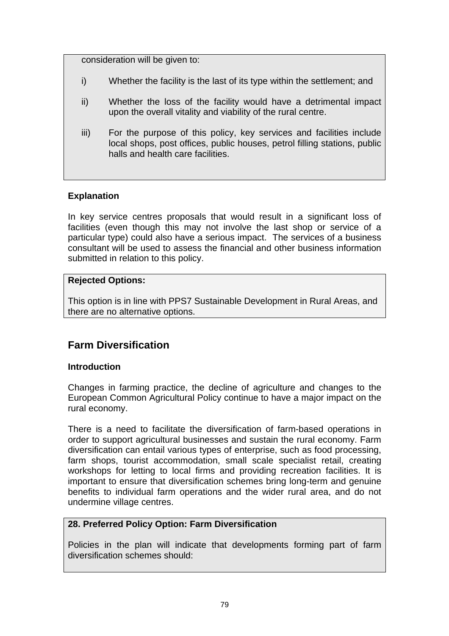consideration will be given to:

- i) Whether the facility is the last of its type within the settlement; and
- ii) Whether the loss of the facility would have a detrimental impact upon the overall vitality and viability of the rural centre.
- iii) For the purpose of this policy, key services and facilities include local shops, post offices, public houses, petrol filling stations, public halls and health care facilities.

## **Explanation**

In key service centres proposals that would result in a significant loss of facilities (even though this may not involve the last shop or service of a particular type) could also have a serious impact. The services of a business consultant will be used to assess the financial and other business information submitted in relation to this policy.

## **Rejected Options:**

This option is in line with PPS7 Sustainable Development in Rural Areas, and there are no alternative options.

# **Farm Diversification**

## **Introduction**

Changes in farming practice, the decline of agriculture and changes to the European Common Agricultural Policy continue to have a major impact on the rural economy.

There is a need to facilitate the diversification of farm-based operations in order to support agricultural businesses and sustain the rural economy. Farm diversification can entail various types of enterprise, such as food processing, farm shops, tourist accommodation, small scale specialist retail, creating workshops for letting to local firms and providing recreation facilities. It is important to ensure that diversification schemes bring long-term and genuine benefits to individual farm operations and the wider rural area, and do not undermine village centres.

## **28. Preferred Policy Option: Farm Diversification**

Policies in the plan will indicate that developments forming part of farm diversification schemes should: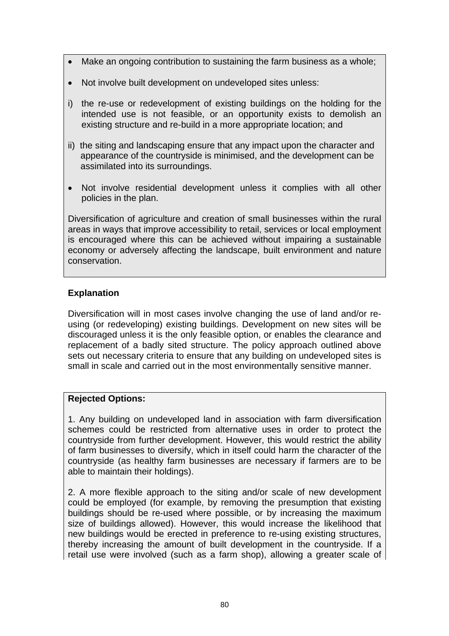- Make an ongoing contribution to sustaining the farm business as a whole;
- Not involve built development on undeveloped sites unless:
- i) the re-use or redevelopment of existing buildings on the holding for the intended use is not feasible, or an opportunity exists to demolish an existing structure and re-build in a more appropriate location; and
- ii) the siting and landscaping ensure that any impact upon the character and appearance of the countryside is minimised, and the development can be assimilated into its surroundings.
- Not involve residential development unless it complies with all other policies in the plan.

Diversification of agriculture and creation of small businesses within the rural areas in ways that improve accessibility to retail, services or local employment is encouraged where this can be achieved without impairing a sustainable economy or adversely affecting the landscape, built environment and nature conservation.

## **Explanation**

Diversification will in most cases involve changing the use of land and/or reusing (or redeveloping) existing buildings. Development on new sites will be discouraged unless it is the only feasible option, or enables the clearance and replacement of a badly sited structure. The policy approach outlined above sets out necessary criteria to ensure that any building on undeveloped sites is small in scale and carried out in the most environmentally sensitive manner.

## **Rejected Options:**

1. Any building on undeveloped land in association with farm diversification schemes could be restricted from alternative uses in order to protect the countryside from further development. However, this would restrict the ability of farm businesses to diversify, which in itself could harm the character of the countryside (as healthy farm businesses are necessary if farmers are to be able to maintain their holdings).

2. A more flexible approach to the siting and/or scale of new development could be employed (for example, by removing the presumption that existing buildings should be re-used where possible, or by increasing the maximum size of buildings allowed). However, this would increase the likelihood that new buildings would be erected in preference to re-using existing structures, thereby increasing the amount of built development in the countryside. If a retail use were involved (such as a farm shop), allowing a greater scale of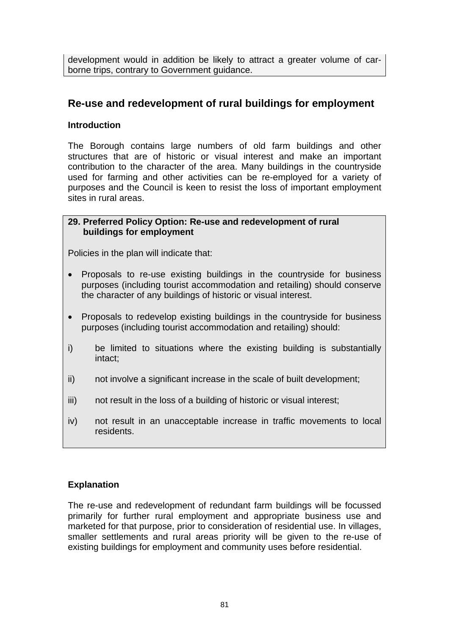development would in addition be likely to attract a greater volume of carborne trips, contrary to Government guidance.

## **Re-use and redevelopment of rural buildings for employment**

#### **Introduction**

The Borough contains large numbers of old farm buildings and other structures that are of historic or visual interest and make an important contribution to the character of the area. Many buildings in the countryside used for farming and other activities can be re-employed for a variety of purposes and the Council is keen to resist the loss of important employment sites in rural areas.

#### **29. Preferred Policy Option: Re-use and redevelopment of rural buildings for employment**

Policies in the plan will indicate that:

- Proposals to re-use existing buildings in the countryside for business purposes (including tourist accommodation and retailing) should conserve the character of any buildings of historic or visual interest.
- Proposals to redevelop existing buildings in the countryside for business purposes (including tourist accommodation and retailing) should:
- i) be limited to situations where the existing building is substantially intact;
- ii) not involve a significant increase in the scale of built development;
- iii) not result in the loss of a building of historic or visual interest;
- iv) not result in an unacceptable increase in traffic movements to local residents.

#### **Explanation**

The re-use and redevelopment of redundant farm buildings will be focussed primarily for further rural employment and appropriate business use and marketed for that purpose, prior to consideration of residential use. In villages, smaller settlements and rural areas priority will be given to the re-use of existing buildings for employment and community uses before residential.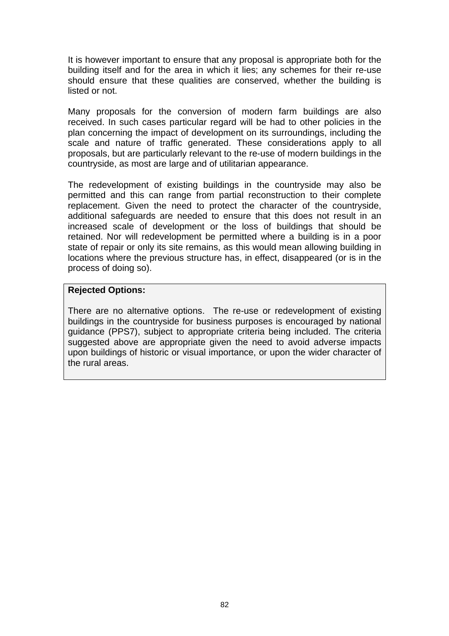It is however important to ensure that any proposal is appropriate both for the building itself and for the area in which it lies; any schemes for their re-use should ensure that these qualities are conserved, whether the building is listed or not.

Many proposals for the conversion of modern farm buildings are also received. In such cases particular regard will be had to other policies in the plan concerning the impact of development on its surroundings, including the scale and nature of traffic generated. These considerations apply to all proposals, but are particularly relevant to the re-use of modern buildings in the countryside, as most are large and of utilitarian appearance.

The redevelopment of existing buildings in the countryside may also be permitted and this can range from partial reconstruction to their complete replacement. Given the need to protect the character of the countryside, additional safeguards are needed to ensure that this does not result in an increased scale of development or the loss of buildings that should be retained. Nor will redevelopment be permitted where a building is in a poor state of repair or only its site remains, as this would mean allowing building in locations where the previous structure has, in effect, disappeared (or is in the process of doing so).

#### **Rejected Options:**

There are no alternative options. The re-use or redevelopment of existing buildings in the countryside for business purposes is encouraged by national guidance (PPS7), subject to appropriate criteria being included. The criteria suggested above are appropriate given the need to avoid adverse impacts upon buildings of historic or visual importance, or upon the wider character of the rural areas.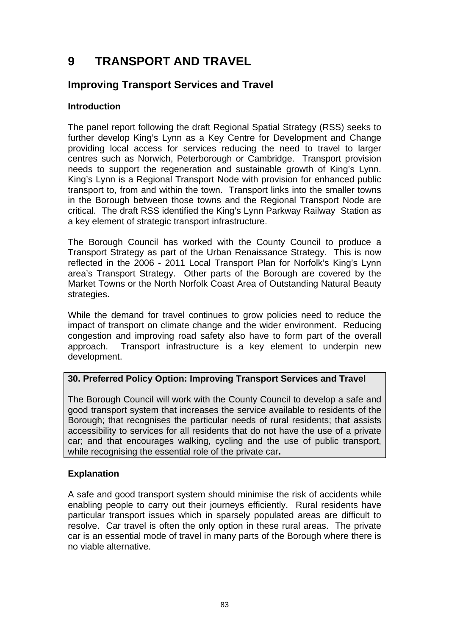# **9 TRANSPORT AND TRAVEL**

# **Improving Transport Services and Travel**

## **Introduction**

The panel report following the draft Regional Spatial Strategy (RSS) seeks to further develop King's Lynn as a Key Centre for Development and Change providing local access for services reducing the need to travel to larger centres such as Norwich, Peterborough or Cambridge. Transport provision needs to support the regeneration and sustainable growth of King's Lynn. King's Lynn is a Regional Transport Node with provision for enhanced public transport to, from and within the town. Transport links into the smaller towns in the Borough between those towns and the Regional Transport Node are critical. The draft RSS identified the King's Lynn Parkway Railway Station as a key element of strategic transport infrastructure.

The Borough Council has worked with the County Council to produce a Transport Strategy as part of the Urban Renaissance Strategy. This is now reflected in the 2006 - 2011 Local Transport Plan for Norfolk's King's Lynn area's Transport Strategy. Other parts of the Borough are covered by the Market Towns or the North Norfolk Coast Area of Outstanding Natural Beauty strategies.

While the demand for travel continues to grow policies need to reduce the impact of transport on climate change and the wider environment. Reducing congestion and improving road safety also have to form part of the overall approach. Transport infrastructure is a key element to underpin new development.

## **30. Preferred Policy Option: Improving Transport Services and Travel**

The Borough Council will work with the County Council to develop a safe and good transport system that increases the service available to residents of the Borough; that recognises the particular needs of rural residents; that assists accessibility to services for all residents that do not have the use of a private car; and that encourages walking, cycling and the use of public transport, while recognising the essential role of the private car**.** 

## **Explanation**

A safe and good transport system should minimise the risk of accidents while enabling people to carry out their journeys efficiently. Rural residents have particular transport issues which in sparsely populated areas are difficult to resolve. Car travel is often the only option in these rural areas. The private car is an essential mode of travel in many parts of the Borough where there is no viable alternative.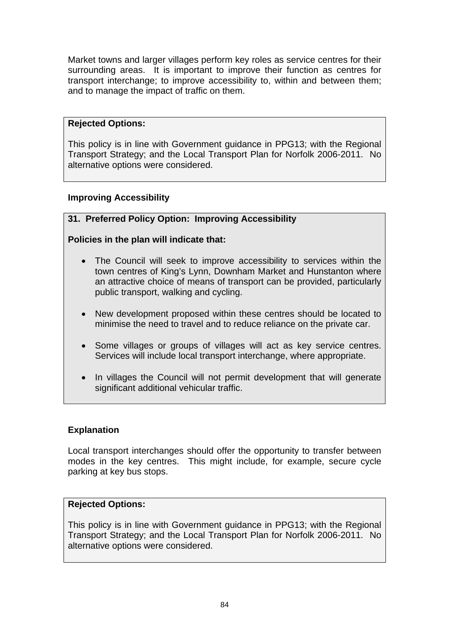Market towns and larger villages perform key roles as service centres for their surrounding areas. It is important to improve their function as centres for transport interchange; to improve accessibility to, within and between them; and to manage the impact of traffic on them.

#### **Rejected Options:**

This policy is in line with Government guidance in PPG13; with the Regional Transport Strategy; and the Local Transport Plan for Norfolk 2006-2011. No alternative options were considered.

## **Improving Accessibility**

## **31. Preferred Policy Option: Improving Accessibility**

## **Policies in the plan will indicate that:**

- The Council will seek to improve accessibility to services within the town centres of King's Lynn, Downham Market and Hunstanton where an attractive choice of means of transport can be provided, particularly public transport, walking and cycling.
- New development proposed within these centres should be located to minimise the need to travel and to reduce reliance on the private car.
- Some villages or groups of villages will act as key service centres. Services will include local transport interchange, where appropriate.
- In villages the Council will not permit development that will generate significant additional vehicular traffic.

#### **Explanation**

Local transport interchanges should offer the opportunity to transfer between modes in the key centres. This might include, for example, secure cycle parking at key bus stops.

#### **Rejected Options:**

This policy is in line with Government guidance in PPG13; with the Regional Transport Strategy; and the Local Transport Plan for Norfolk 2006-2011. No alternative options were considered.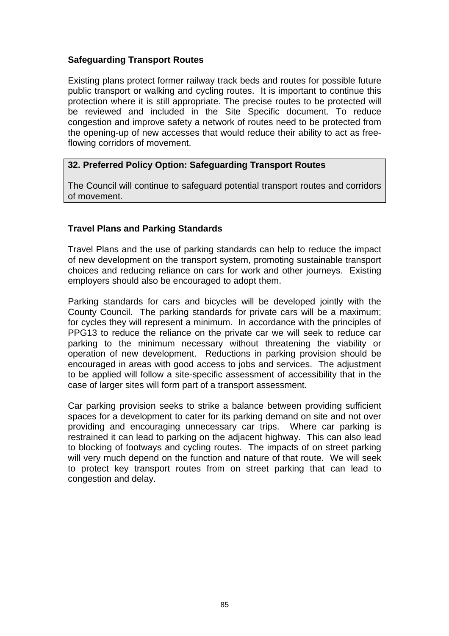## **Safeguarding Transport Routes**

Existing plans protect former railway track beds and routes for possible future public transport or walking and cycling routes. It is important to continue this protection where it is still appropriate. The precise routes to be protected will be reviewed and included in the Site Specific document. To reduce congestion and improve safety a network of routes need to be protected from the opening-up of new accesses that would reduce their ability to act as freeflowing corridors of movement.

## **32. Preferred Policy Option: Safeguarding Transport Routes**

The Council will continue to safeguard potential transport routes and corridors of movement.

## **Travel Plans and Parking Standards**

Travel Plans and the use of parking standards can help to reduce the impact of new development on the transport system, promoting sustainable transport choices and reducing reliance on cars for work and other journeys. Existing employers should also be encouraged to adopt them.

Parking standards for cars and bicycles will be developed jointly with the County Council. The parking standards for private cars will be a maximum; for cycles they will represent a minimum. In accordance with the principles of PPG13 to reduce the reliance on the private car we will seek to reduce car parking to the minimum necessary without threatening the viability or operation of new development. Reductions in parking provision should be encouraged in areas with good access to jobs and services. The adjustment to be applied will follow a site-specific assessment of accessibility that in the case of larger sites will form part of a transport assessment.

Car parking provision seeks to strike a balance between providing sufficient spaces for a development to cater for its parking demand on site and not over providing and encouraging unnecessary car trips. Where car parking is restrained it can lead to parking on the adjacent highway. This can also lead to blocking of footways and cycling routes. The impacts of on street parking will very much depend on the function and nature of that route. We will seek to protect key transport routes from on street parking that can lead to congestion and delay.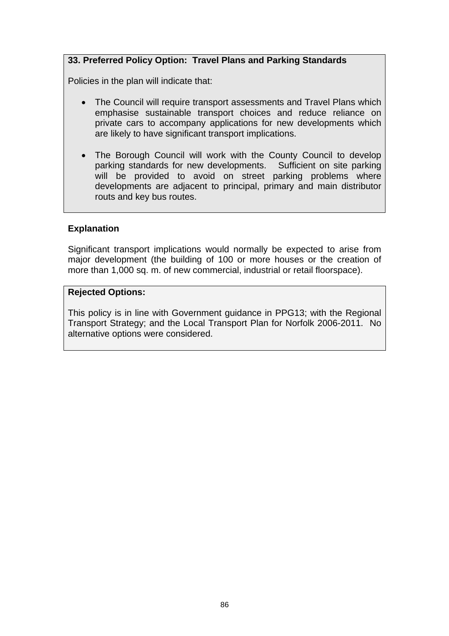## **33. Preferred Policy Option: Travel Plans and Parking Standards**

Policies in the plan will indicate that:

- The Council will require transport assessments and Travel Plans which emphasise sustainable transport choices and reduce reliance on private cars to accompany applications for new developments which are likely to have significant transport implications.
- The Borough Council will work with the County Council to develop parking standards for new developments. Sufficient on site parking will be provided to avoid on street parking problems where developments are adjacent to principal, primary and main distributor routs and key bus routes.

#### **Explanation**

Significant transport implications would normally be expected to arise from major development (the building of 100 or more houses or the creation of more than 1,000 sq. m. of new commercial, industrial or retail floorspace).

#### **Rejected Options:**

This policy is in line with Government guidance in PPG13; with the Regional Transport Strategy; and the Local Transport Plan for Norfolk 2006-2011. No alternative options were considered.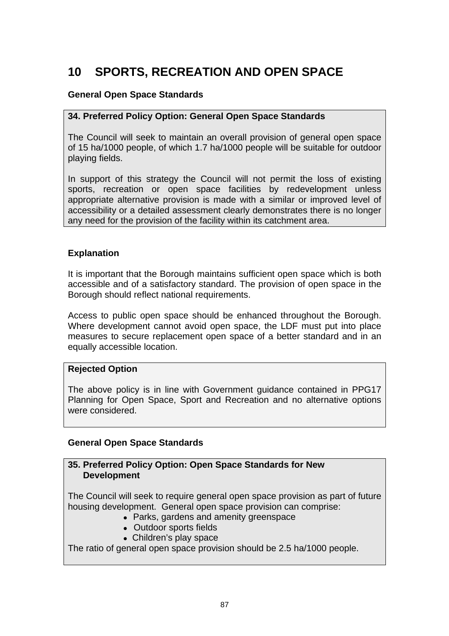# **10 SPORTS, RECREATION AND OPEN SPACE**

## **General Open Space Standards**

#### **34. Preferred Policy Option: General Open Space Standards**

The Council will seek to maintain an overall provision of general open space of 15 ha/1000 people, of which 1.7 ha/1000 people will be suitable for outdoor playing fields.

In support of this strategy the Council will not permit the loss of existing sports, recreation or open space facilities by redevelopment unless appropriate alternative provision is made with a similar or improved level of accessibility or a detailed assessment clearly demonstrates there is no longer any need for the provision of the facility within its catchment area.

#### **Explanation**

It is important that the Borough maintains sufficient open space which is both accessible and of a satisfactory standard. The provision of open space in the Borough should reflect national requirements.

Access to public open space should be enhanced throughout the Borough. Where development cannot avoid open space, the LDF must put into place measures to secure replacement open space of a better standard and in an equally accessible location.

#### **Rejected Option**

The above policy is in line with Government guidance contained in PPG17 Planning for Open Space, Sport and Recreation and no alternative options were considered.

#### **General Open Space Standards**

#### **35. Preferred Policy Option: Open Space Standards for New Development**

The Council will seek to require general open space provision as part of future housing development. General open space provision can comprise:

- Parks, gardens and amenity greenspace
- Outdoor sports fields
- Children's play space

The ratio of general open space provision should be 2.5 ha/1000 people.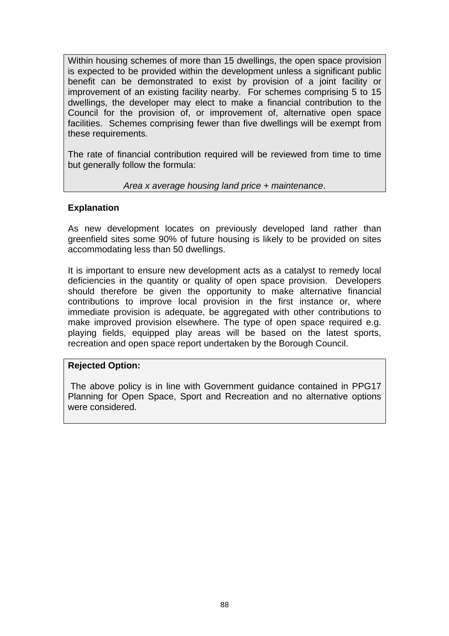Within housing schemes of more than 15 dwellings, the open space provision is expected to be provided within the development unless a significant public benefit can be demonstrated to exist by provision of a joint facility or improvement of an existing facility nearby. For schemes comprising 5 to 15 dwellings, the developer may elect to make a financial contribution to the Council for the provision of, or improvement of, alternative open space facilities. Schemes comprising fewer than five dwellings will be exempt from these requirements.

The rate of financial contribution required will be reviewed from time to time but generally follow the formula:

#### *Area x average housing land price + maintenance*.

#### **Explanation**

As new development locates on previously developed land rather than greenfield sites some 90% of future housing is likely to be provided on sites accommodating less than 50 dwellings.

It is important to ensure new development acts as a catalyst to remedy local deficiencies in the quantity or quality of open space provision. Developers should therefore be given the opportunity to make alternative financial contributions to improve local provision in the first instance or, where immediate provision is adequate, be aggregated with other contributions to make improved provision elsewhere. The type of open space required e.g. playing fields, equipped play areas will be based on the latest sports, recreation and open space report undertaken by the Borough Council.

#### **Rejected Option:**

 The above policy is in line with Government guidance contained in PPG17 Planning for Open Space, Sport and Recreation and no alternative options were considered.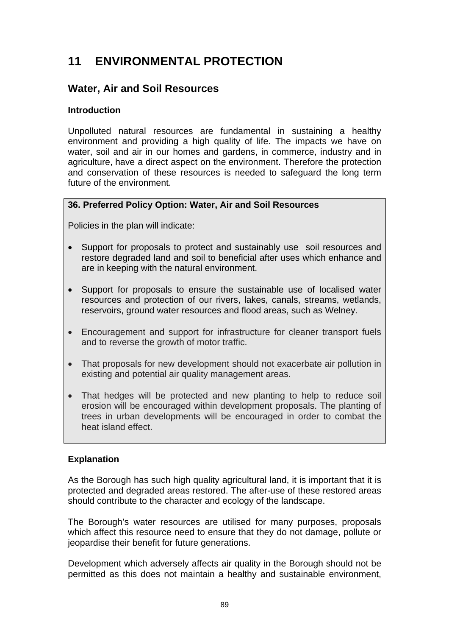# **11 ENVIRONMENTAL PROTECTION**

## **Water, Air and Soil Resources**

#### **Introduction**

Unpolluted natural resources are fundamental in sustaining a healthy environment and providing a high quality of life. The impacts we have on water, soil and air in our homes and gardens, in commerce, industry and in agriculture, have a direct aspect on the environment. Therefore the protection and conservation of these resources is needed to safeguard the long term future of the environment.

## **36. Preferred Policy Option: Water, Air and Soil Resources**

Policies in the plan will indicate:

- Support for proposals to protect and sustainably use soil resources and restore degraded land and soil to beneficial after uses which enhance and are in keeping with the natural environment.
- Support for proposals to ensure the sustainable use of localised water resources and protection of our rivers, lakes, canals, streams, wetlands, reservoirs, ground water resources and flood areas, such as Welney.
- Encouragement and support for infrastructure for cleaner transport fuels and to reverse the growth of motor traffic.
- That proposals for new development should not exacerbate air pollution in existing and potential air quality management areas.
- That hedges will be protected and new planting to help to reduce soil erosion will be encouraged within development proposals. The planting of trees in urban developments will be encouraged in order to combat the heat island effect.

## **Explanation**

As the Borough has such high quality agricultural land, it is important that it is protected and degraded areas restored. The after-use of these restored areas should contribute to the character and ecology of the landscape.

The Borough's water resources are utilised for many purposes, proposals which affect this resource need to ensure that they do not damage, pollute or jeopardise their benefit for future generations.

Development which adversely affects air quality in the Borough should not be permitted as this does not maintain a healthy and sustainable environment,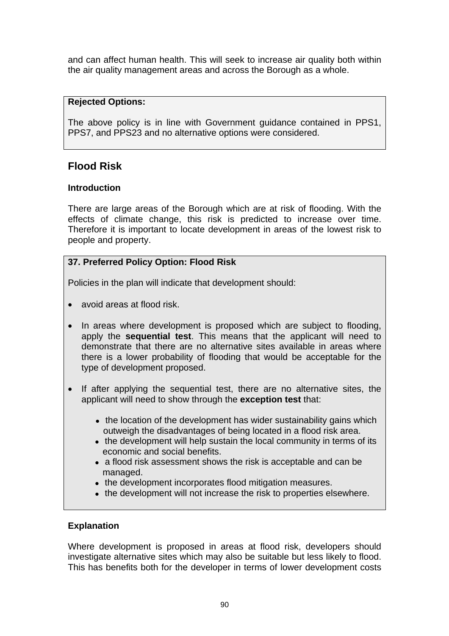and can affect human health. This will seek to increase air quality both within the air quality management areas and across the Borough as a whole.

#### **Rejected Options:**

The above policy is in line with Government guidance contained in PPS1, PPS7, and PPS23 and no alternative options were considered.

# **Flood Risk**

## **Introduction**

There are large areas of the Borough which are at risk of flooding. With the effects of climate change, this risk is predicted to increase over time. Therefore it is important to locate development in areas of the lowest risk to people and property.

## **37. Preferred Policy Option: Flood Risk**

Policies in the plan will indicate that development should:

- avoid areas at flood risk.
- In areas where development is proposed which are subject to flooding, apply the **sequential test**. This means that the applicant will need to demonstrate that there are no alternative sites available in areas where there is a lower probability of flooding that would be acceptable for the type of development proposed.
- If after applying the sequential test, there are no alternative sites, the applicant will need to show through the **exception test** that:
	- the location of the development has wider sustainability gains which outweigh the disadvantages of being located in a flood risk area.
	- the development will help sustain the local community in terms of its economic and social benefits.
	- a flood risk assessment shows the risk is acceptable and can be managed.
	- the development incorporates flood mitigation measures.
	- the development will not increase the risk to properties elsewhere.

## **Explanation**

Where development is proposed in areas at flood risk, developers should investigate alternative sites which may also be suitable but less likely to flood. This has benefits both for the developer in terms of lower development costs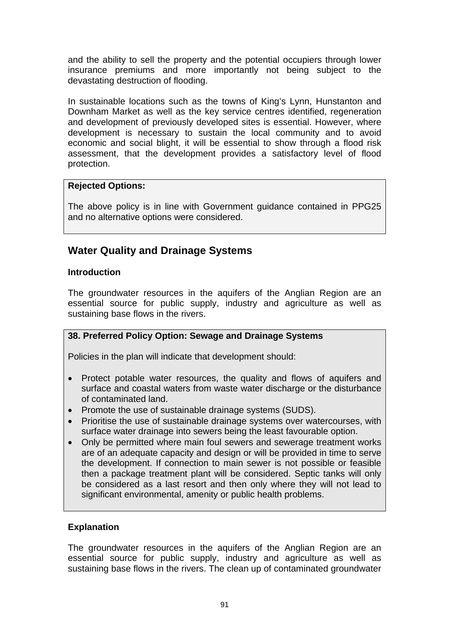and the ability to sell the property and the potential occupiers through lower insurance premiums and more importantly not being subject to the devastating destruction of flooding.

In sustainable locations such as the towns of King's Lynn, Hunstanton and Downham Market as well as the key service centres identified, regeneration and development of previously developed sites is essential. However, where development is necessary to sustain the local community and to avoid economic and social blight, it will be essential to show through a flood risk assessment, that the development provides a satisfactory level of flood protection.

## **Rejected Options:**

The above policy is in line with Government guidance contained in PPG25 and no alternative options were considered.

# **Water Quality and Drainage Systems**

## **Introduction**

The groundwater resources in the aquifers of the Anglian Region are an essential source for public supply, industry and agriculture as well as sustaining base flows in the rivers.

## **38. Preferred Policy Option: Sewage and Drainage Systems**

Policies in the plan will indicate that development should:

- Protect potable water resources, the quality and flows of aquifers and surface and coastal waters from waste water discharge or the disturbance of contaminated land.
- Promote the use of sustainable drainage systems (SUDS).
- Prioritise the use of sustainable drainage systems over watercourses, with surface water drainage into sewers being the least favourable option.
- Only be permitted where main foul sewers and sewerage treatment works are of an adequate capacity and design or will be provided in time to serve the development. If connection to main sewer is not possible or feasible then a package treatment plant will be considered. Septic tanks will only be considered as a last resort and then only where they will not lead to significant environmental, amenity or public health problems.

## **Explanation**

The groundwater resources in the aquifers of the Anglian Region are an essential source for public supply, industry and agriculture as well as sustaining base flows in the rivers. The clean up of contaminated groundwater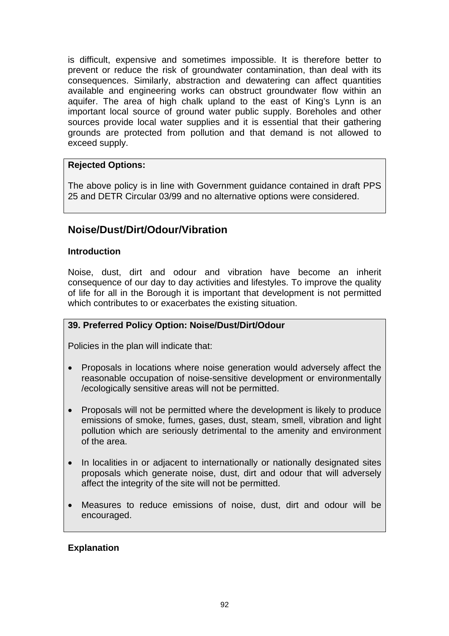is difficult, expensive and sometimes impossible. It is therefore better to prevent or reduce the risk of groundwater contamination, than deal with its consequences. Similarly, abstraction and dewatering can affect quantities available and engineering works can obstruct groundwater flow within an aquifer. The area of high chalk upland to the east of King's Lynn is an important local source of ground water public supply. Boreholes and other sources provide local water supplies and it is essential that their gathering grounds are protected from pollution and that demand is not allowed to exceed supply.

## **Rejected Options:**

The above policy is in line with Government guidance contained in draft PPS 25 and DETR Circular 03/99 and no alternative options were considered.

## **Noise/Dust/Dirt/Odour/Vibration**

#### **Introduction**

Noise, dust, dirt and odour and vibration have become an inherit consequence of our day to day activities and lifestyles. To improve the quality of life for all in the Borough it is important that development is not permitted which contributes to or exacerbates the existing situation.

## **39. Preferred Policy Option: Noise/Dust/Dirt/Odour**

Policies in the plan will indicate that:

- Proposals in locations where noise generation would adversely affect the reasonable occupation of noise-sensitive development or environmentally /ecologically sensitive areas will not be permitted.
- Proposals will not be permitted where the development is likely to produce emissions of smoke, fumes, gases, dust, steam, smell, vibration and light pollution which are seriously detrimental to the amenity and environment of the area.
- In localities in or adjacent to internationally or nationally designated sites proposals which generate noise, dust, dirt and odour that will adversely affect the integrity of the site will not be permitted.
- Measures to reduce emissions of noise, dust, dirt and odour will be encouraged.

#### **Explanation**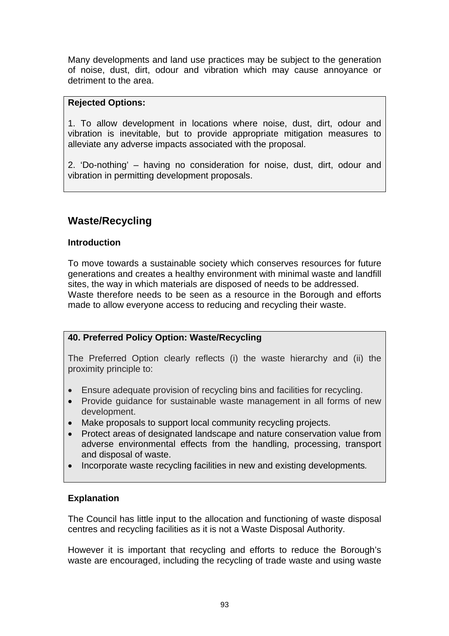Many developments and land use practices may be subject to the generation of noise, dust, dirt, odour and vibration which may cause annoyance or detriment to the area.

## **Rejected Options:**

1. To allow development in locations where noise, dust, dirt, odour and vibration is inevitable, but to provide appropriate mitigation measures to alleviate any adverse impacts associated with the proposal.

2. 'Do-nothing' – having no consideration for noise, dust, dirt, odour and vibration in permitting development proposals.

# **Waste/Recycling**

#### **Introduction**

To move towards a sustainable society which conserves resources for future generations and creates a healthy environment with minimal waste and landfill sites, the way in which materials are disposed of needs to be addressed. Waste therefore needs to be seen as a resource in the Borough and efforts made to allow everyone access to reducing and recycling their waste.

## **40. Preferred Policy Option: Waste/Recycling**

The Preferred Option clearly reflects (i) the waste hierarchy and (ii) the proximity principle to:

- Ensure adequate provision of recycling bins and facilities for recycling.
- Provide guidance for sustainable waste management in all forms of new development.
- Make proposals to support local community recycling projects.
- Protect areas of designated landscape and nature conservation value from adverse environmental effects from the handling, processing, transport and disposal of waste.
- Incorporate waste recycling facilities in new and existing developments*.*

## **Explanation**

The Council has little input to the allocation and functioning of waste disposal centres and recycling facilities as it is not a Waste Disposal Authority.

However it is important that recycling and efforts to reduce the Borough's waste are encouraged, including the recycling of trade waste and using waste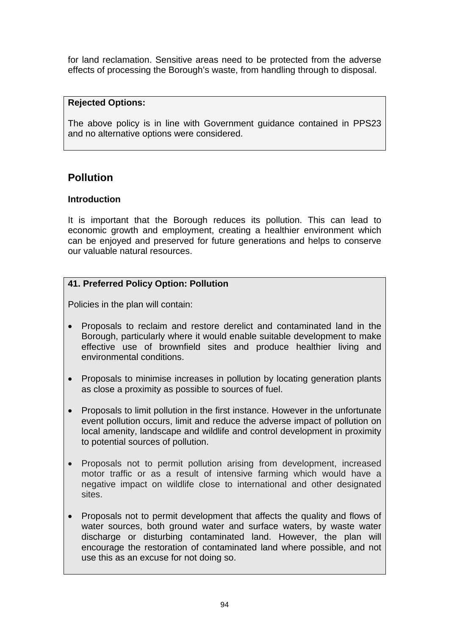for land reclamation. Sensitive areas need to be protected from the adverse effects of processing the Borough's waste, from handling through to disposal.

## **Rejected Options:**

The above policy is in line with Government guidance contained in PPS23 and no alternative options were considered.

## **Pollution**

## **Introduction**

It is important that the Borough reduces its pollution. This can lead to economic growth and employment, creating a healthier environment which can be enjoyed and preserved for future generations and helps to conserve our valuable natural resources.

## **41. Preferred Policy Option: Pollution**

Policies in the plan will contain:

- Proposals to reclaim and restore derelict and contaminated land in the Borough, particularly where it would enable suitable development to make effective use of brownfield sites and produce healthier living and environmental conditions.
- Proposals to minimise increases in pollution by locating generation plants as close a proximity as possible to sources of fuel.
- Proposals to limit pollution in the first instance. However in the unfortunate event pollution occurs, limit and reduce the adverse impact of pollution on local amenity, landscape and wildlife and control development in proximity to potential sources of pollution.
- Proposals not to permit pollution arising from development, increased motor traffic or as a result of intensive farming which would have a negative impact on wildlife close to international and other designated sites.
- Proposals not to permit development that affects the quality and flows of water sources, both ground water and surface waters, by waste water discharge or disturbing contaminated land. However, the plan will encourage the restoration of contaminated land where possible, and not use this as an excuse for not doing so.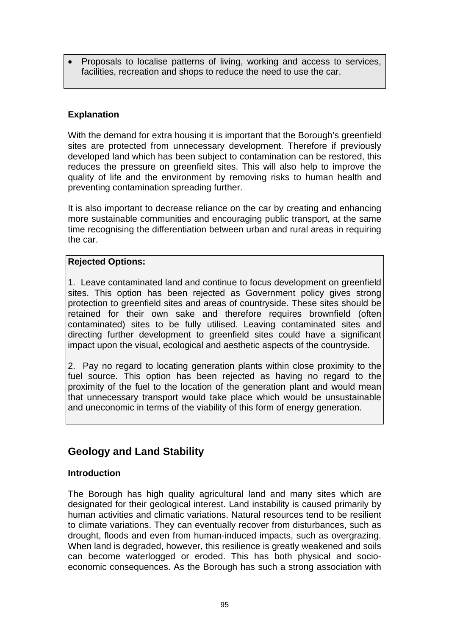• Proposals to localise patterns of living, working and access to services, facilities, recreation and shops to reduce the need to use the car.

## **Explanation**

With the demand for extra housing it is important that the Borough's greenfield sites are protected from unnecessary development. Therefore if previously developed land which has been subject to contamination can be restored, this reduces the pressure on greenfield sites. This will also help to improve the quality of life and the environment by removing risks to human health and preventing contamination spreading further.

It is also important to decrease reliance on the car by creating and enhancing more sustainable communities and encouraging public transport, at the same time recognising the differentiation between urban and rural areas in requiring the car.

#### **Rejected Options:**

1. Leave contaminated land and continue to focus development on greenfield sites. This option has been rejected as Government policy gives strong protection to greenfield sites and areas of countryside. These sites should be retained for their own sake and therefore requires brownfield (often contaminated) sites to be fully utilised. Leaving contaminated sites and directing further development to greenfield sites could have a significant impact upon the visual, ecological and aesthetic aspects of the countryside.

2. Pay no regard to locating generation plants within close proximity to the fuel source. This option has been rejected as having no regard to the proximity of the fuel to the location of the generation plant and would mean that unnecessary transport would take place which would be unsustainable and uneconomic in terms of the viability of this form of energy generation.

## **Geology and Land Stability**

#### **Introduction**

The Borough has high quality agricultural land and many sites which are designated for their geological interest. Land instability is caused primarily by human activities and climatic variations. Natural resources tend to be resilient to climate variations. They can eventually recover from disturbances, such as drought, floods and even from human-induced impacts, such as overgrazing. When land is degraded, however, this resilience is greatly weakened and soils can become waterlogged or eroded. This has both physical and socioeconomic consequences. As the Borough has such a strong association with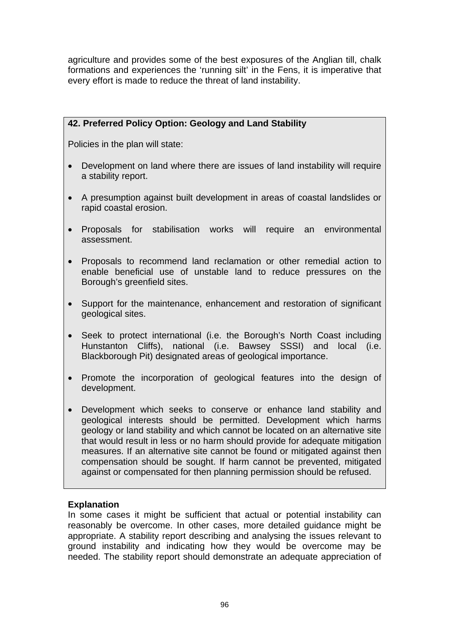agriculture and provides some of the best exposures of the Anglian till, chalk formations and experiences the 'running silt' in the Fens, it is imperative that every effort is made to reduce the threat of land instability.

## **42. Preferred Policy Option: Geology and Land Stability**

Policies in the plan will state:

- Development on land where there are issues of land instability will require a stability report.
- A presumption against built development in areas of coastal landslides or rapid coastal erosion.
- Proposals for stabilisation works will require an environmental assessment.
- Proposals to recommend land reclamation or other remedial action to enable beneficial use of unstable land to reduce pressures on the Borough's greenfield sites.
- Support for the maintenance, enhancement and restoration of significant geological sites.
- Seek to protect international (i.e. the Borough's North Coast including Hunstanton Cliffs), national (i.e. Bawsey SSSI) and local (i.e. Blackborough Pit) designated areas of geological importance.
- Promote the incorporation of geological features into the design of development.
- Development which seeks to conserve or enhance land stability and geological interests should be permitted. Development which harms geology or land stability and which cannot be located on an alternative site that would result in less or no harm should provide for adequate mitigation measures. If an alternative site cannot be found or mitigated against then compensation should be sought. If harm cannot be prevented, mitigated against or compensated for then planning permission should be refused.

#### **Explanation**

In some cases it might be sufficient that actual or potential instability can reasonably be overcome. In other cases, more detailed guidance might be appropriate. A stability report describing and analysing the issues relevant to ground instability and indicating how they would be overcome may be needed. The stability report should demonstrate an adequate appreciation of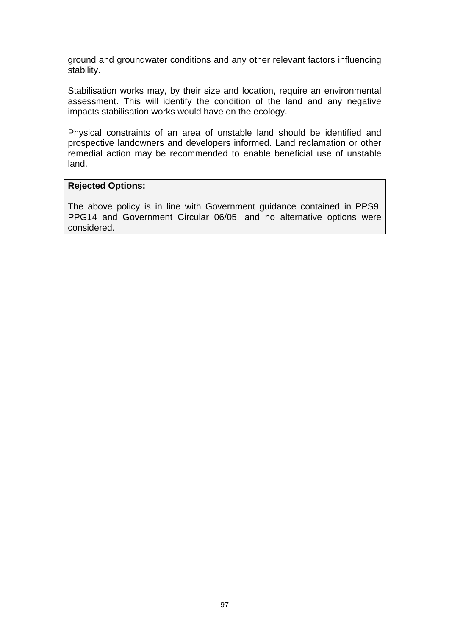ground and groundwater conditions and any other relevant factors influencing stability.

Stabilisation works may, by their size and location, require an environmental assessment. This will identify the condition of the land and any negative impacts stabilisation works would have on the ecology.

Physical constraints of an area of unstable land should be identified and prospective landowners and developers informed. Land reclamation or other remedial action may be recommended to enable beneficial use of unstable land.

#### **Rejected Options:**

The above policy is in line with Government guidance contained in PPS9, PPG14 and Government Circular 06/05, and no alternative options were considered.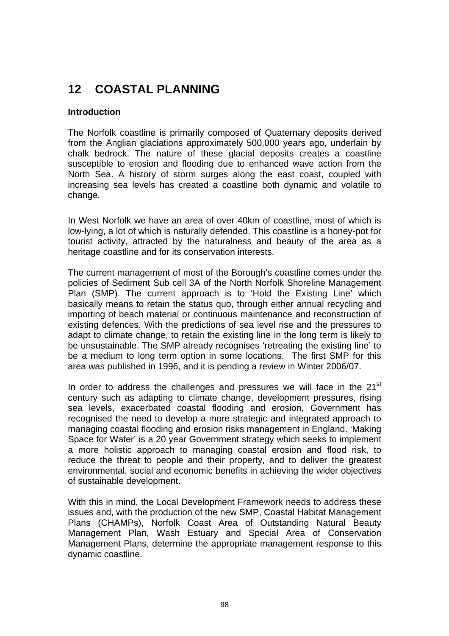# **12 COASTAL PLANNING**

#### **Introduction**

The Norfolk coastline is primarily composed of Quaternary deposits derived from the Anglian glaciations approximately 500,000 years ago, underlain by chalk bedrock. The nature of these glacial deposits creates a coastline susceptible to erosion and flooding due to enhanced wave action from the North Sea. A history of storm surges along the east coast, coupled with increasing sea levels has created a coastline both dynamic and volatile to change.

In West Norfolk we have an area of over 40km of coastline, most of which is low-lying, a lot of which is naturally defended. This coastline is a honey-pot for tourist activity, attracted by the naturalness and beauty of the area as a heritage coastline and for its conservation interests.

The current management of most of the Borough's coastline comes under the policies of Sediment Sub cell 3A of the North Norfolk Shoreline Management Plan (SMP). The current approach is to 'Hold the Existing Line' which basically means to retain the status quo, through either annual recycling and importing of beach material or continuous maintenance and reconstruction of existing defences. With the predictions of sea level rise and the pressures to adapt to climate change, to retain the existing line in the long term is likely to be unsustainable. The SMP already recognises 'retreating the existing line' to be a medium to long term option in some locations. The first SMP for this area was published in 1996, and it is pending a review in Winter 2006/07.

In order to address the challenges and pressures we will face in the 21<sup>st</sup> century such as adapting to climate change, development pressures, rising sea levels, exacerbated coastal flooding and erosion, Government has recognised the need to develop a more strategic and integrated approach to managing coastal flooding and erosion risks management in England. 'Making Space for Water' is a 20 year Government strategy which seeks to implement a more holistic approach to managing coastal erosion and flood risk, to reduce the threat to people and their property, and to deliver the greatest environmental, social and economic benefits in achieving the wider objectives of sustainable development.

With this in mind, the Local Development Framework needs to address these issues and, with the production of the new SMP, Coastal Habitat Management Plans (CHAMPs), Norfolk Coast Area of Outstanding Natural Beauty Management Plan, Wash Estuary and Special Area of Conservation Management Plans, determine the appropriate management response to this dynamic coastline.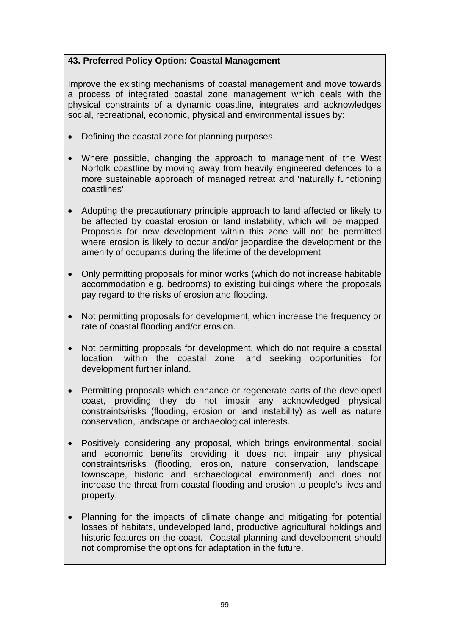## **43. Preferred Policy Option: Coastal Management**

Improve the existing mechanisms of coastal management and move towards a process of integrated coastal zone management which deals with the physical constraints of a dynamic coastline, integrates and acknowledges social, recreational, economic, physical and environmental issues by:

- Defining the coastal zone for planning purposes.
- Where possible, changing the approach to management of the West Norfolk coastline by moving away from heavily engineered defences to a more sustainable approach of managed retreat and 'naturally functioning coastlines'.
- Adopting the precautionary principle approach to land affected or likely to be affected by coastal erosion or land instability, which will be mapped. Proposals for new development within this zone will not be permitted where erosion is likely to occur and/or jeopardise the development or the amenity of occupants during the lifetime of the development.
- Only permitting proposals for minor works (which do not increase habitable accommodation e.g. bedrooms) to existing buildings where the proposals pay regard to the risks of erosion and flooding.
- Not permitting proposals for development, which increase the frequency or rate of coastal flooding and/or erosion.
- Not permitting proposals for development, which do not require a coastal location, within the coastal zone, and seeking opportunities for development further inland.
- Permitting proposals which enhance or regenerate parts of the developed coast, providing they do not impair any acknowledged physical constraints/risks (flooding, erosion or land instability) as well as nature conservation, landscape or archaeological interests.
- Positively considering any proposal, which brings environmental, social and economic benefits providing it does not impair any physical constraints/risks (flooding, erosion, nature conservation, landscape, townscape, historic and archaeological environment) and does not increase the threat from coastal flooding and erosion to people's lives and property.
- Planning for the impacts of climate change and mitigating for potential losses of habitats, undeveloped land, productive agricultural holdings and historic features on the coast. Coastal planning and development should not compromise the options for adaptation in the future.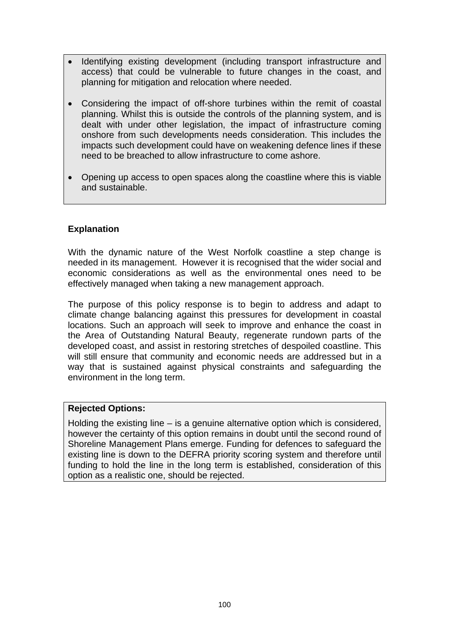- Identifying existing development (including transport infrastructure and access) that could be vulnerable to future changes in the coast, and planning for mitigation and relocation where needed.
- Considering the impact of off-shore turbines within the remit of coastal planning. Whilst this is outside the controls of the planning system, and is dealt with under other legislation, the impact of infrastructure coming onshore from such developments needs consideration. This includes the impacts such development could have on weakening defence lines if these need to be breached to allow infrastructure to come ashore.
- Opening up access to open spaces along the coastline where this is viable and sustainable.

#### **Explanation**

With the dynamic nature of the West Norfolk coastline a step change is needed in its management. However it is recognised that the wider social and economic considerations as well as the environmental ones need to be effectively managed when taking a new management approach.

The purpose of this policy response is to begin to address and adapt to climate change balancing against this pressures for development in coastal locations. Such an approach will seek to improve and enhance the coast in the Area of Outstanding Natural Beauty, regenerate rundown parts of the developed coast, and assist in restoring stretches of despoiled coastline. This will still ensure that community and economic needs are addressed but in a way that is sustained against physical constraints and safeguarding the environment in the long term.

#### **Rejected Options:**

Holding the existing line  $-$  is a genuine alternative option which is considered, however the certainty of this option remains in doubt until the second round of Shoreline Management Plans emerge. Funding for defences to safeguard the existing line is down to the DEFRA priority scoring system and therefore until funding to hold the line in the long term is established, consideration of this option as a realistic one, should be rejected.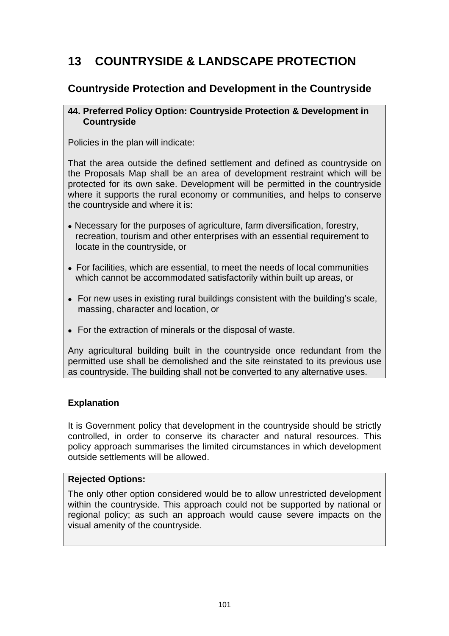# **13 COUNTRYSIDE & LANDSCAPE PROTECTION**

## **Countryside Protection and Development in the Countryside**

#### **44. Preferred Policy Option: Countryside Protection & Development in Countryside**

Policies in the plan will indicate:

That the area outside the defined settlement and defined as countryside on the Proposals Map shall be an area of development restraint which will be protected for its own sake. Development will be permitted in the countryside where it supports the rural economy or communities, and helps to conserve the countryside and where it is:

- Necessary for the purposes of agriculture, farm diversification, forestry, recreation, tourism and other enterprises with an essential requirement to locate in the countryside, or
- For facilities, which are essential, to meet the needs of local communities which cannot be accommodated satisfactorily within built up areas, or
- For new uses in existing rural buildings consistent with the building's scale, massing, character and location, or
- For the extraction of minerals or the disposal of waste.

Any agricultural building built in the countryside once redundant from the permitted use shall be demolished and the site reinstated to its previous use as countryside. The building shall not be converted to any alternative uses.

## **Explanation**

It is Government policy that development in the countryside should be strictly controlled, in order to conserve its character and natural resources. This policy approach summarises the limited circumstances in which development outside settlements will be allowed.

#### **Rejected Options:**

The only other option considered would be to allow unrestricted development within the countryside. This approach could not be supported by national or regional policy; as such an approach would cause severe impacts on the visual amenity of the countryside.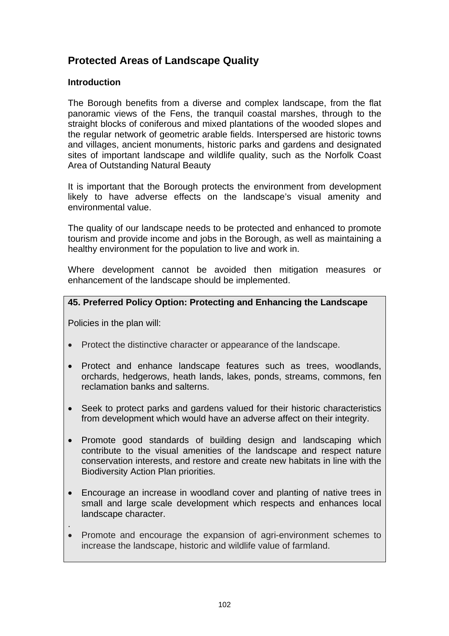# **Protected Areas of Landscape Quality**

## **Introduction**

The Borough benefits from a diverse and complex landscape, from the flat panoramic views of the Fens, the tranquil coastal marshes, through to the straight blocks of coniferous and mixed plantations of the wooded slopes and the regular network of geometric arable fields. Interspersed are historic towns and villages, ancient monuments, historic parks and gardens and designated sites of important landscape and wildlife quality, such as the Norfolk Coast Area of Outstanding Natural Beauty

It is important that the Borough protects the environment from development likely to have adverse effects on the landscape's visual amenity and environmental value.

The quality of our landscape needs to be protected and enhanced to promote tourism and provide income and jobs in the Borough, as well as maintaining a healthy environment for the population to live and work in.

Where development cannot be avoided then mitigation measures or enhancement of the landscape should be implemented.

## **45. Preferred Policy Option: Protecting and Enhancing the Landscape**

Policies in the plan will:

- Protect the distinctive character or appearance of the landscape.
- Protect and enhance landscape features such as trees, woodlands, orchards, hedgerows, heath lands, lakes, ponds, streams, commons, fen reclamation banks and salterns.
- Seek to protect parks and gardens valued for their historic characteristics from development which would have an adverse affect on their integrity.
- Promote good standards of building design and landscaping which contribute to the visual amenities of the landscape and respect nature conservation interests, and restore and create new habitats in line with the Biodiversity Action Plan priorities.
- Encourage an increase in woodland cover and planting of native trees in small and large scale development which respects and enhances local landscape character.
- .
- Promote and encourage the expansion of agri-environment schemes to increase the landscape, historic and wildlife value of farmland.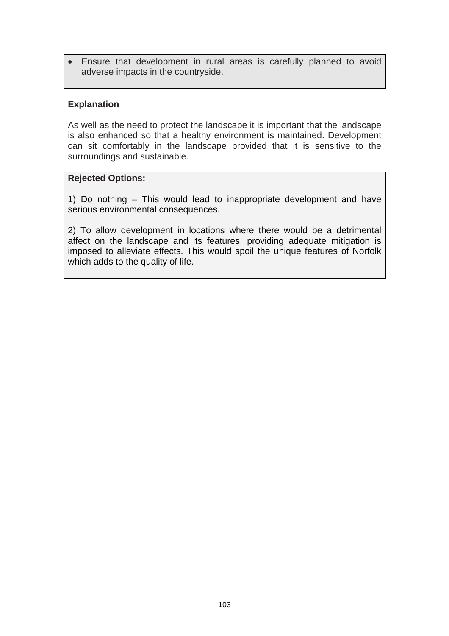• Ensure that development in rural areas is carefully planned to avoid adverse impacts in the countryside.

#### **Explanation**

As well as the need to protect the landscape it is important that the landscape is also enhanced so that a healthy environment is maintained. Development can sit comfortably in the landscape provided that it is sensitive to the surroundings and sustainable.

#### **Rejected Options:**

1) Do nothing – This would lead to inappropriate development and have serious environmental consequences.

2) To allow development in locations where there would be a detrimental affect on the landscape and its features, providing adequate mitigation is imposed to alleviate effects. This would spoil the unique features of Norfolk which adds to the quality of life.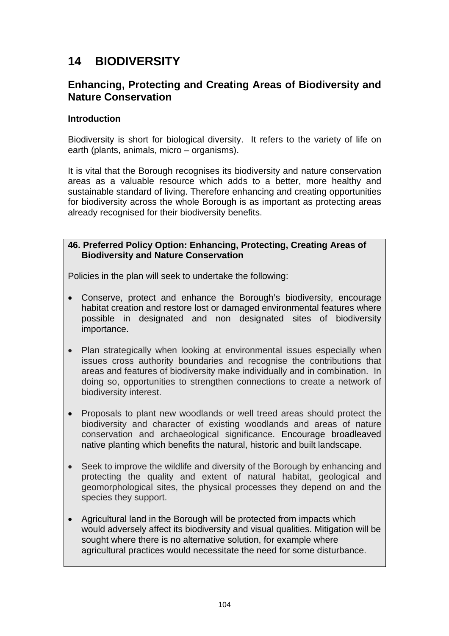# **14 BIODIVERSITY**

# **Enhancing, Protecting and Creating Areas of Biodiversity and Nature Conservation**

#### **Introduction**

Biodiversity is short for biological diversity. It refers to the variety of life on earth (plants, animals, micro – organisms).

It is vital that the Borough recognises its biodiversity and nature conservation areas as a valuable resource which adds to a better, more healthy and sustainable standard of living. Therefore enhancing and creating opportunities for biodiversity across the whole Borough is as important as protecting areas already recognised for their biodiversity benefits.

#### **46. Preferred Policy Option: Enhancing, Protecting, Creating Areas of Biodiversity and Nature Conservation**

Policies in the plan will seek to undertake the following:

- Conserve, protect and enhance the Borough's biodiversity, encourage habitat creation and restore lost or damaged environmental features where possible in designated and non designated sites of biodiversity importance.
- Plan strategically when looking at environmental issues especially when issues cross authority boundaries and recognise the contributions that areas and features of biodiversity make individually and in combination. In doing so, opportunities to strengthen connections to create a network of biodiversity interest.
- Proposals to plant new woodlands or well treed areas should protect the biodiversity and character of existing woodlands and areas of nature conservation and archaeological significance. Encourage broadleaved native planting which benefits the natural, historic and built landscape.
- Seek to improve the wildlife and diversity of the Borough by enhancing and protecting the quality and extent of natural habitat, geological and geomorphological sites, the physical processes they depend on and the species they support.
- Agricultural land in the Borough will be protected from impacts which would adversely affect its biodiversity and visual qualities. Mitigation will be sought where there is no alternative solution, for example where agricultural practices would necessitate the need for some disturbance.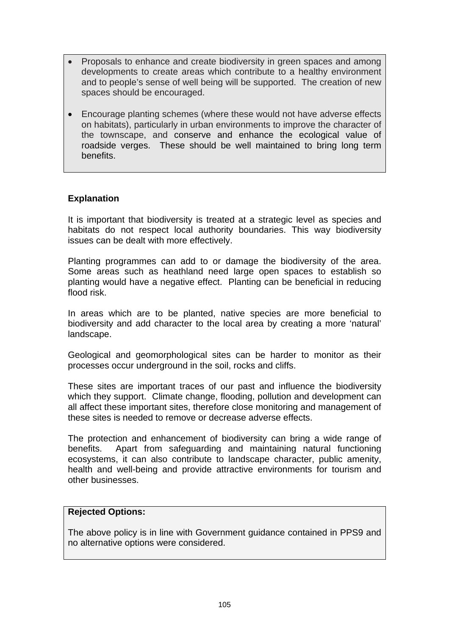- Proposals to enhance and create biodiversity in green spaces and among developments to create areas which contribute to a healthy environment and to people's sense of well being will be supported. The creation of new spaces should be encouraged.
- Encourage planting schemes (where these would not have adverse effects on habitats), particularly in urban environments to improve the character of the townscape, and conserve and enhance the ecological value of roadside verges. These should be well maintained to bring long term benefits.

## **Explanation**

It is important that biodiversity is treated at a strategic level as species and habitats do not respect local authority boundaries. This way biodiversity issues can be dealt with more effectively.

Planting programmes can add to or damage the biodiversity of the area. Some areas such as heathland need large open spaces to establish so planting would have a negative effect. Planting can be beneficial in reducing flood risk.

In areas which are to be planted, native species are more beneficial to biodiversity and add character to the local area by creating a more 'natural' landscape.

Geological and geomorphological sites can be harder to monitor as their processes occur underground in the soil, rocks and cliffs.

These sites are important traces of our past and influence the biodiversity which they support. Climate change, flooding, pollution and development can all affect these important sites, therefore close monitoring and management of these sites is needed to remove or decrease adverse effects.

The protection and enhancement of biodiversity can bring a wide range of benefits. Apart from safeguarding and maintaining natural functioning ecosystems, it can also contribute to landscape character, public amenity, health and well-being and provide attractive environments for tourism and other businesses.

#### **Rejected Options:**

The above policy is in line with Government guidance contained in PPS9 and no alternative options were considered.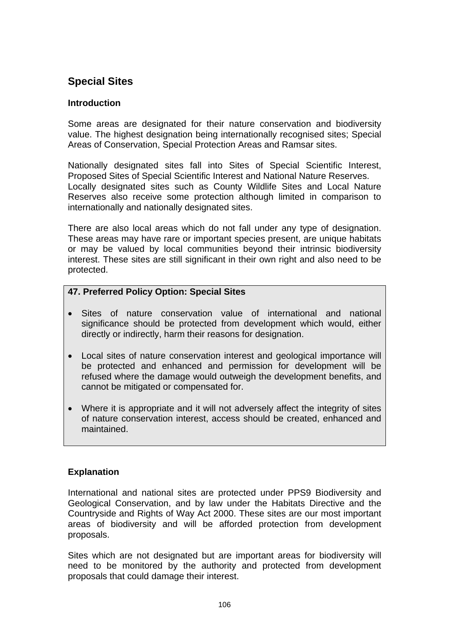# **Special Sites**

## **Introduction**

Some areas are designated for their nature conservation and biodiversity value. The highest designation being internationally recognised sites; Special Areas of Conservation, Special Protection Areas and Ramsar sites.

Nationally designated sites fall into Sites of Special Scientific Interest, Proposed Sites of Special Scientific Interest and National Nature Reserves. Locally designated sites such as County Wildlife Sites and Local Nature Reserves also receive some protection although limited in comparison to internationally and nationally designated sites.

There are also local areas which do not fall under any type of designation. These areas may have rare or important species present, are unique habitats or may be valued by local communities beyond their intrinsic biodiversity interest. These sites are still significant in their own right and also need to be protected.

## **47. Preferred Policy Option: Special Sites**

- Sites of nature conservation value of international and national significance should be protected from development which would, either directly or indirectly, harm their reasons for designation.
- Local sites of nature conservation interest and geological importance will be protected and enhanced and permission for development will be refused where the damage would outweigh the development benefits, and cannot be mitigated or compensated for.
- Where it is appropriate and it will not adversely affect the integrity of sites of nature conservation interest, access should be created, enhanced and maintained.

## **Explanation**

International and national sites are protected under PPS9 Biodiversity and Geological Conservation, and by law under the Habitats Directive and the Countryside and Rights of Way Act 2000. These sites are our most important areas of biodiversity and will be afforded protection from development proposals.

Sites which are not designated but are important areas for biodiversity will need to be monitored by the authority and protected from development proposals that could damage their interest.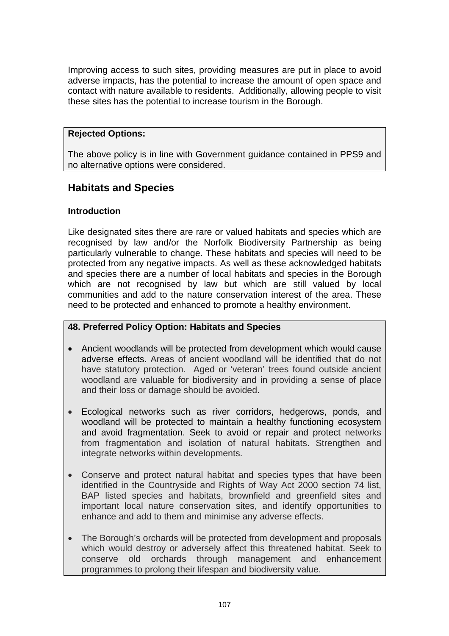Improving access to such sites, providing measures are put in place to avoid adverse impacts, has the potential to increase the amount of open space and contact with nature available to residents. Additionally, allowing people to visit these sites has the potential to increase tourism in the Borough.

#### **Rejected Options:**

The above policy is in line with Government guidance contained in PPS9 and no alternative options were considered.

## **Habitats and Species**

## **Introduction**

Like designated sites there are rare or valued habitats and species which are recognised by law and/or the Norfolk Biodiversity Partnership as being particularly vulnerable to change. These habitats and species will need to be protected from any negative impacts. As well as these acknowledged habitats and species there are a number of local habitats and species in the Borough which are not recognised by law but which are still valued by local communities and add to the nature conservation interest of the area. These need to be protected and enhanced to promote a healthy environment.

## **48. Preferred Policy Option: Habitats and Species**

- Ancient woodlands will be protected from development which would cause adverse effects. Areas of ancient woodland will be identified that do not have statutory protection. Aged or 'veteran' trees found outside ancient woodland are valuable for biodiversity and in providing a sense of place and their loss or damage should be avoided.
- Ecological networks such as river corridors, hedgerows, ponds, and woodland will be protected to maintain a healthy functioning ecosystem and avoid fragmentation. Seek to avoid or repair and protect networks from fragmentation and isolation of natural habitats. Strengthen and integrate networks within developments.
- Conserve and protect natural habitat and species types that have been identified in the Countryside and Rights of Way Act 2000 section 74 list, BAP listed species and habitats, brownfield and greenfield sites and important local nature conservation sites, and identify opportunities to enhance and add to them and minimise any adverse effects.
- The Borough's orchards will be protected from development and proposals which would destroy or adversely affect this threatened habitat. Seek to conserve old orchards through management and enhancement programmes to prolong their lifespan and biodiversity value.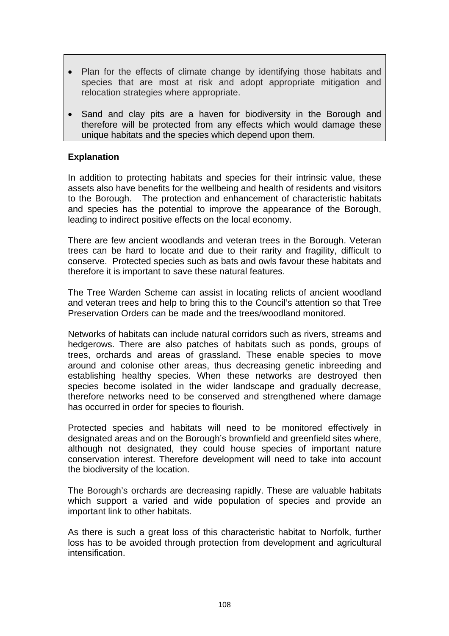- Plan for the effects of climate change by identifying those habitats and species that are most at risk and adopt appropriate mitigation and relocation strategies where appropriate.
- Sand and clay pits are a haven for biodiversity in the Borough and therefore will be protected from any effects which would damage these unique habitats and the species which depend upon them.

#### **Explanation**

In addition to protecting habitats and species for their intrinsic value, these assets also have benefits for the wellbeing and health of residents and visitors to the Borough. The protection and enhancement of characteristic habitats and species has the potential to improve the appearance of the Borough, leading to indirect positive effects on the local economy.

There are few ancient woodlands and veteran trees in the Borough. Veteran trees can be hard to locate and due to their rarity and fragility, difficult to conserve. Protected species such as bats and owls favour these habitats and therefore it is important to save these natural features.

The Tree Warden Scheme can assist in locating relicts of ancient woodland and veteran trees and help to bring this to the Council's attention so that Tree Preservation Orders can be made and the trees/woodland monitored.

Networks of habitats can include natural corridors such as rivers, streams and hedgerows. There are also patches of habitats such as ponds, groups of trees, orchards and areas of grassland. These enable species to move around and colonise other areas, thus decreasing genetic inbreeding and establishing healthy species. When these networks are destroyed then species become isolated in the wider landscape and gradually decrease, therefore networks need to be conserved and strengthened where damage has occurred in order for species to flourish.

Protected species and habitats will need to be monitored effectively in designated areas and on the Borough's brownfield and greenfield sites where, although not designated, they could house species of important nature conservation interest. Therefore development will need to take into account the biodiversity of the location.

The Borough's orchards are decreasing rapidly. These are valuable habitats which support a varied and wide population of species and provide an important link to other habitats.

As there is such a great loss of this characteristic habitat to Norfolk, further loss has to be avoided through protection from development and agricultural intensification.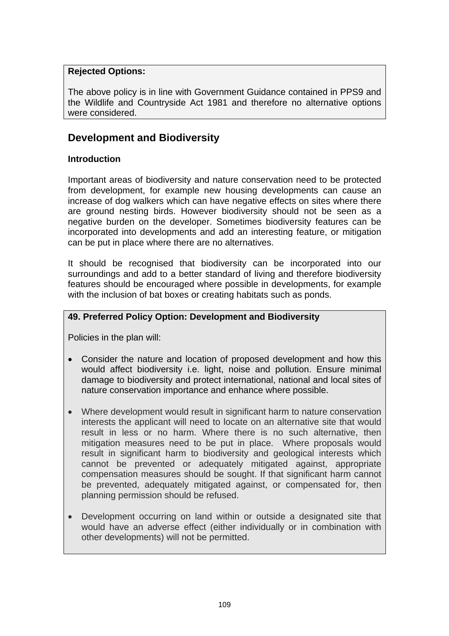## **Rejected Options:**

The above policy is in line with Government Guidance contained in PPS9 and the Wildlife and Countryside Act 1981 and therefore no alternative options were considered.

# **Development and Biodiversity**

## **Introduction**

Important areas of biodiversity and nature conservation need to be protected from development, for example new housing developments can cause an increase of dog walkers which can have negative effects on sites where there are ground nesting birds. However biodiversity should not be seen as a negative burden on the developer. Sometimes biodiversity features can be incorporated into developments and add an interesting feature, or mitigation can be put in place where there are no alternatives.

It should be recognised that biodiversity can be incorporated into our surroundings and add to a better standard of living and therefore biodiversity features should be encouraged where possible in developments, for example with the inclusion of bat boxes or creating habitats such as ponds.

## **49. Preferred Policy Option: Development and Biodiversity**

Policies in the plan will:

- Consider the nature and location of proposed development and how this would affect biodiversity i.e. light, noise and pollution. Ensure minimal damage to biodiversity and protect international, national and local sites of nature conservation importance and enhance where possible.
- Where development would result in significant harm to nature conservation interests the applicant will need to locate on an alternative site that would result in less or no harm. Where there is no such alternative, then mitigation measures need to be put in place. Where proposals would result in significant harm to biodiversity and geological interests which cannot be prevented or adequately mitigated against, appropriate compensation measures should be sought. If that significant harm cannot be prevented, adequately mitigated against, or compensated for, then planning permission should be refused.
- Development occurring on land within or outside a designated site that would have an adverse effect (either individually or in combination with other developments) will not be permitted.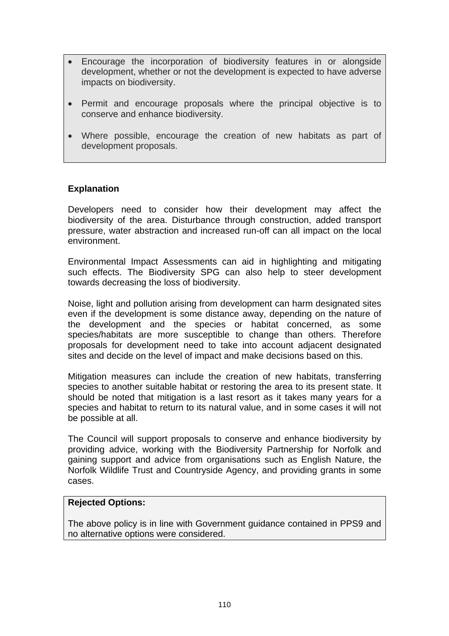- Encourage the incorporation of biodiversity features in or alongside development, whether or not the development is expected to have adverse impacts on biodiversity.
- Permit and encourage proposals where the principal objective is to conserve and enhance biodiversity.
- Where possible, encourage the creation of new habitats as part of development proposals.

### **Explanation**

Developers need to consider how their development may affect the biodiversity of the area. Disturbance through construction, added transport pressure, water abstraction and increased run-off can all impact on the local environment.

Environmental Impact Assessments can aid in highlighting and mitigating such effects. The Biodiversity SPG can also help to steer development towards decreasing the loss of biodiversity.

Noise, light and pollution arising from development can harm designated sites even if the development is some distance away, depending on the nature of the development and the species or habitat concerned, as some species/habitats are more susceptible to change than others. Therefore proposals for development need to take into account adjacent designated sites and decide on the level of impact and make decisions based on this.

Mitigation measures can include the creation of new habitats, transferring species to another suitable habitat or restoring the area to its present state. It should be noted that mitigation is a last resort as it takes many years for a species and habitat to return to its natural value, and in some cases it will not be possible at all.

The Council will support proposals to conserve and enhance biodiversity by providing advice, working with the Biodiversity Partnership for Norfolk and gaining support and advice from organisations such as English Nature, the Norfolk Wildlife Trust and Countryside Agency, and providing grants in some cases.

### **Rejected Options:**

The above policy is in line with Government guidance contained in PPS9 and no alternative options were considered.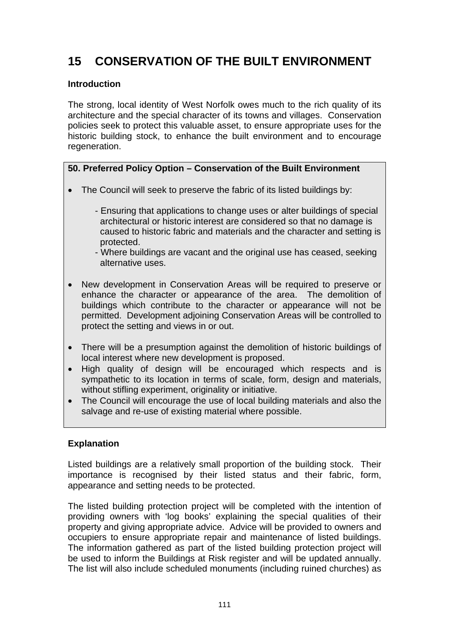# **15 CONSERVATION OF THE BUILT ENVIRONMENT**

## **Introduction**

The strong, local identity of West Norfolk owes much to the rich quality of its architecture and the special character of its towns and villages. Conservation policies seek to protect this valuable asset, to ensure appropriate uses for the historic building stock, to enhance the built environment and to encourage regeneration.

# **50. Preferred Policy Option – Conservation of the Built Environment**

- The Council will seek to preserve the fabric of its listed buildings by:
	- Ensuring that applications to change uses or alter buildings of special architectural or historic interest are considered so that no damage is caused to historic fabric and materials and the character and setting is protected.
	- Where buildings are vacant and the original use has ceased, seeking alternative uses.
- New development in Conservation Areas will be required to preserve or enhance the character or appearance of the area. The demolition of buildings which contribute to the character or appearance will not be permitted. Development adjoining Conservation Areas will be controlled to protect the setting and views in or out.
- There will be a presumption against the demolition of historic buildings of local interest where new development is proposed.
- High quality of design will be encouraged which respects and is sympathetic to its location in terms of scale, form, design and materials, without stifling experiment, originality or initiative.
- The Council will encourage the use of local building materials and also the salvage and re-use of existing material where possible.

## **Explanation**

Listed buildings are a relatively small proportion of the building stock. Their importance is recognised by their listed status and their fabric, form, appearance and setting needs to be protected.

The listed building protection project will be completed with the intention of providing owners with 'log books' explaining the special qualities of their property and giving appropriate advice. Advice will be provided to owners and occupiers to ensure appropriate repair and maintenance of listed buildings. The information gathered as part of the listed building protection project will be used to inform the Buildings at Risk register and will be updated annually. The list will also include scheduled monuments (including ruined churches) as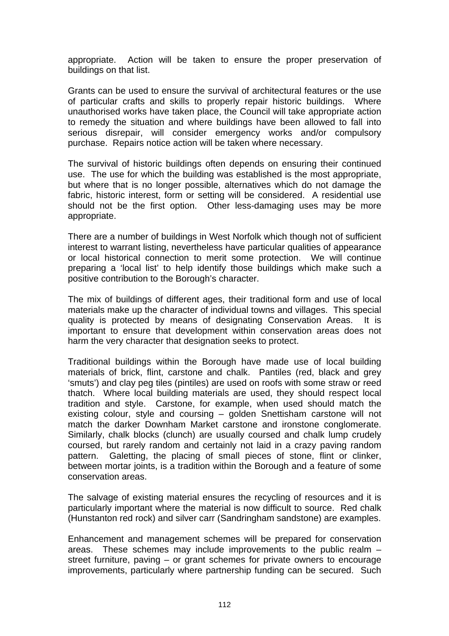appropriate. Action will be taken to ensure the proper preservation of buildings on that list.

Grants can be used to ensure the survival of architectural features or the use of particular crafts and skills to properly repair historic buildings. Where unauthorised works have taken place, the Council will take appropriate action to remedy the situation and where buildings have been allowed to fall into serious disrepair, will consider emergency works and/or compulsory purchase. Repairs notice action will be taken where necessary.

The survival of historic buildings often depends on ensuring their continued use. The use for which the building was established is the most appropriate, but where that is no longer possible, alternatives which do not damage the fabric, historic interest, form or setting will be considered. A residential use should not be the first option. Other less-damaging uses may be more appropriate.

There are a number of buildings in West Norfolk which though not of sufficient interest to warrant listing, nevertheless have particular qualities of appearance or local historical connection to merit some protection. We will continue preparing a 'local list' to help identify those buildings which make such a positive contribution to the Borough's character.

The mix of buildings of different ages, their traditional form and use of local materials make up the character of individual towns and villages. This special quality is protected by means of designating Conservation Areas. It is important to ensure that development within conservation areas does not harm the very character that designation seeks to protect.

Traditional buildings within the Borough have made use of local building materials of brick, flint, carstone and chalk. Pantiles (red, black and grey 'smuts') and clay peg tiles (pintiles) are used on roofs with some straw or reed thatch. Where local building materials are used, they should respect local tradition and style. Carstone, for example, when used should match the existing colour, style and coursing – golden Snettisham carstone will not match the darker Downham Market carstone and ironstone conglomerate. Similarly, chalk blocks (clunch) are usually coursed and chalk lump crudely coursed, but rarely random and certainly not laid in a crazy paving random pattern. Galetting, the placing of small pieces of stone, flint or clinker, between mortar joints, is a tradition within the Borough and a feature of some conservation areas.

The salvage of existing material ensures the recycling of resources and it is particularly important where the material is now difficult to source. Red chalk (Hunstanton red rock) and silver carr (Sandringham sandstone) are examples.

Enhancement and management schemes will be prepared for conservation areas. These schemes may include improvements to the public realm – street furniture, paving – or grant schemes for private owners to encourage improvements, particularly where partnership funding can be secured. Such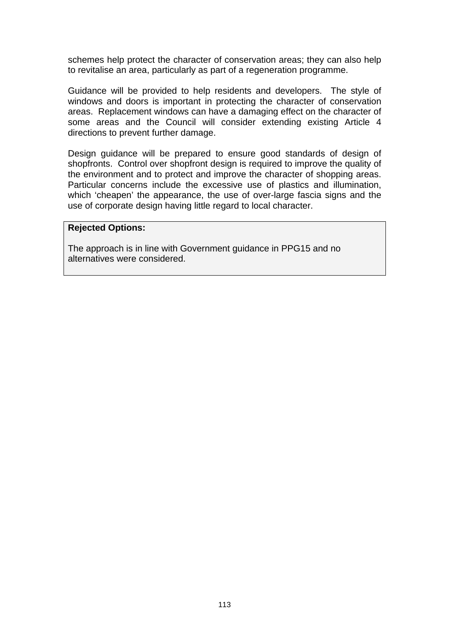schemes help protect the character of conservation areas; they can also help to revitalise an area, particularly as part of a regeneration programme.

Guidance will be provided to help residents and developers. The style of windows and doors is important in protecting the character of conservation areas. Replacement windows can have a damaging effect on the character of some areas and the Council will consider extending existing Article 4 directions to prevent further damage.

Design guidance will be prepared to ensure good standards of design of shopfronts. Control over shopfront design is required to improve the quality of the environment and to protect and improve the character of shopping areas. Particular concerns include the excessive use of plastics and illumination, which 'cheapen' the appearance, the use of over-large fascia signs and the use of corporate design having little regard to local character.

#### **Rejected Options:**

The approach is in line with Government guidance in PPG15 and no alternatives were considered.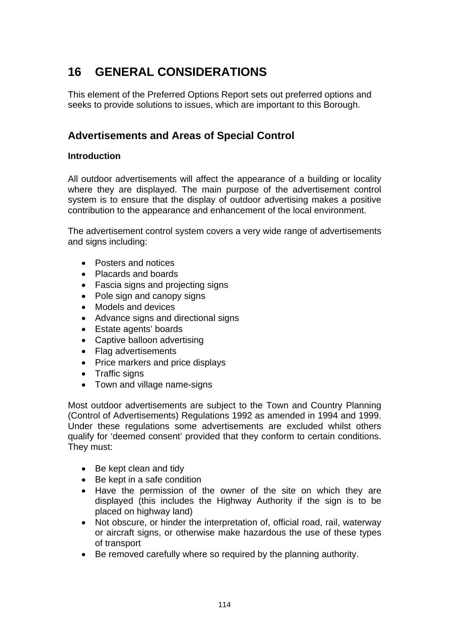# **16 GENERAL CONSIDERATIONS**

This element of the Preferred Options Report sets out preferred options and seeks to provide solutions to issues, which are important to this Borough.

# **Advertisements and Areas of Special Control**

## **Introduction**

All outdoor advertisements will affect the appearance of a building or locality where they are displayed. The main purpose of the advertisement control system is to ensure that the display of outdoor advertising makes a positive contribution to the appearance and enhancement of the local environment.

The advertisement control system covers a very wide range of advertisements and signs including:

- Posters and notices
- Placards and boards
- Fascia signs and projecting signs
- Pole sign and canopy signs
- Models and devices
- Advance signs and directional signs
- Estate agents' boards
- Captive balloon advertising
- Flag advertisements
- Price markers and price displays
- Traffic signs
- Town and village name-signs

Most outdoor advertisements are subject to the Town and Country Planning (Control of Advertisements) Regulations 1992 as amended in 1994 and 1999. Under these regulations some advertisements are excluded whilst others qualify for 'deemed consent' provided that they conform to certain conditions. They must:

- Be kept clean and tidy
- Be kept in a safe condition
- Have the permission of the owner of the site on which they are displayed (this includes the Highway Authority if the sign is to be placed on highway land)
- Not obscure, or hinder the interpretation of, official road, rail, waterway or aircraft signs, or otherwise make hazardous the use of these types of transport
- Be removed carefully where so required by the planning authority.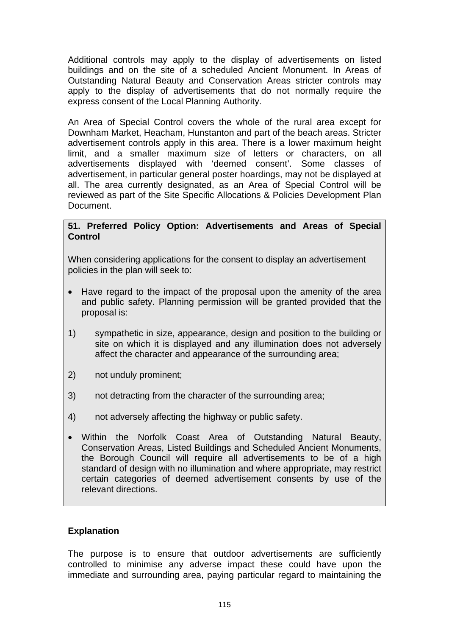Additional controls may apply to the display of advertisements on listed buildings and on the site of a scheduled Ancient Monument. In Areas of Outstanding Natural Beauty and Conservation Areas stricter controls may apply to the display of advertisements that do not normally require the express consent of the Local Planning Authority.

An Area of Special Control covers the whole of the rural area except for Downham Market, Heacham, Hunstanton and part of the beach areas. Stricter advertisement controls apply in this area. There is a lower maximum height limit, and a smaller maximum size of letters or characters, on all advertisements displayed with 'deemed consent'. Some classes of advertisement, in particular general poster hoardings, may not be displayed at all. The area currently designated, as an Area of Special Control will be reviewed as part of the Site Specific Allocations & Policies Development Plan Document.

### **51. Preferred Policy Option: Advertisements and Areas of Special Control**

When considering applications for the consent to display an advertisement policies in the plan will seek to:

- Have regard to the impact of the proposal upon the amenity of the area and public safety. Planning permission will be granted provided that the proposal is:
- 1) sympathetic in size, appearance, design and position to the building or site on which it is displayed and any illumination does not adversely affect the character and appearance of the surrounding area;
- 2) not unduly prominent;
- 3) not detracting from the character of the surrounding area;
- 4) not adversely affecting the highway or public safety.
- Within the Norfolk Coast Area of Outstanding Natural Beauty, Conservation Areas, Listed Buildings and Scheduled Ancient Monuments, the Borough Council will require all advertisements to be of a high standard of design with no illumination and where appropriate, may restrict certain categories of deemed advertisement consents by use of the relevant directions.

## **Explanation**

The purpose is to ensure that outdoor advertisements are sufficiently controlled to minimise any adverse impact these could have upon the immediate and surrounding area, paying particular regard to maintaining the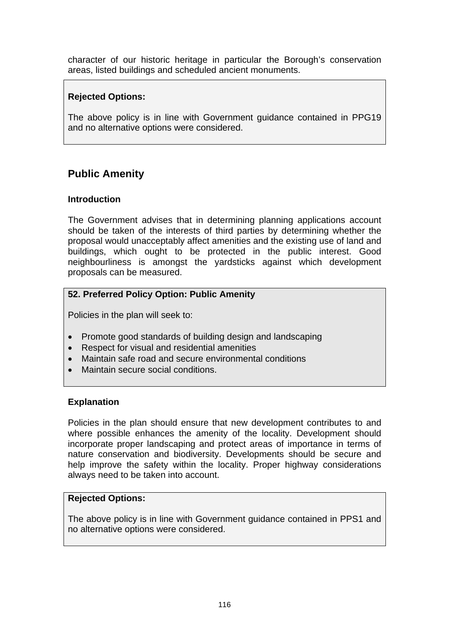character of our historic heritage in particular the Borough's conservation areas, listed buildings and scheduled ancient monuments.

## **Rejected Options:**

The above policy is in line with Government guidance contained in PPG19 and no alternative options were considered.

# **Public Amenity**

## **Introduction**

The Government advises that in determining planning applications account should be taken of the interests of third parties by determining whether the proposal would unacceptably affect amenities and the existing use of land and buildings, which ought to be protected in the public interest. Good neighbourliness is amongst the yardsticks against which development proposals can be measured.

## **52. Preferred Policy Option: Public Amenity**

Policies in the plan will seek to:

- Promote good standards of building design and landscaping
- Respect for visual and residential amenities
- Maintain safe road and secure environmental conditions
- Maintain secure social conditions.

## **Explanation**

Policies in the plan should ensure that new development contributes to and where possible enhances the amenity of the locality. Development should incorporate proper landscaping and protect areas of importance in terms of nature conservation and biodiversity. Developments should be secure and help improve the safety within the locality. Proper highway considerations always need to be taken into account.

### **Rejected Options:**

The above policy is in line with Government guidance contained in PPS1 and no alternative options were considered.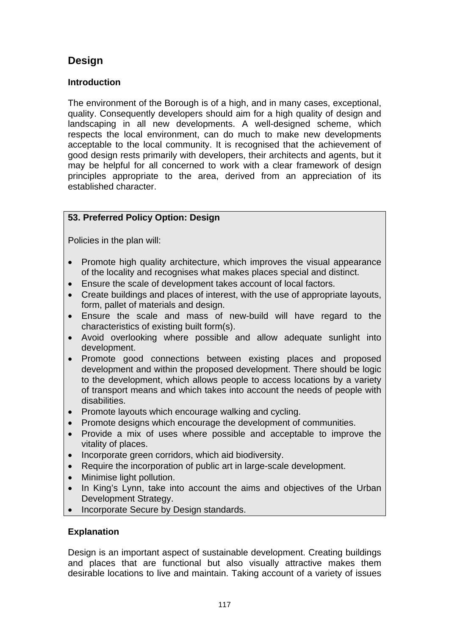# **Design**

## **Introduction**

The environment of the Borough is of a high, and in many cases, exceptional, quality. Consequently developers should aim for a high quality of design and landscaping in all new developments. A well-designed scheme, which respects the local environment, can do much to make new developments acceptable to the local community. It is recognised that the achievement of good design rests primarily with developers, their architects and agents, but it may be helpful for all concerned to work with a clear framework of design principles appropriate to the area, derived from an appreciation of its established character.

# **53. Preferred Policy Option: Design**

Policies in the plan will:

- Promote high quality architecture, which improves the visual appearance of the locality and recognises what makes places special and distinct.
- Ensure the scale of development takes account of local factors.
- Create buildings and places of interest, with the use of appropriate layouts, form, pallet of materials and design.
- Ensure the scale and mass of new-build will have regard to the characteristics of existing built form(s).
- Avoid overlooking where possible and allow adequate sunlight into development.
- Promote good connections between existing places and proposed development and within the proposed development. There should be logic to the development, which allows people to access locations by a variety of transport means and which takes into account the needs of people with disabilities.
- Promote layouts which encourage walking and cycling.
- Promote designs which encourage the development of communities.
- Provide a mix of uses where possible and acceptable to improve the vitality of places.
- Incorporate green corridors, which aid biodiversity.
- Require the incorporation of public art in large-scale development.
- Minimise light pollution.
- In King's Lynn, take into account the aims and objectives of the Urban Development Strategy.
- Incorporate Secure by Design standards.

## **Explanation**

Design is an important aspect of sustainable development. Creating buildings and places that are functional but also visually attractive makes them desirable locations to live and maintain. Taking account of a variety of issues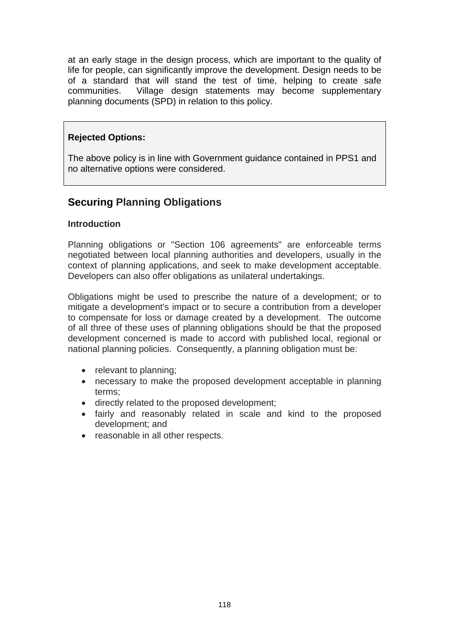at an early stage in the design process, which are important to the quality of life for people, can significantly improve the development. Design needs to be of a standard that will stand the test of time, helping to create safe communities. Village design statements may become supplementary planning documents (SPD) in relation to this policy.

## **Rejected Options:**

The above policy is in line with Government guidance contained in PPS1 and no alternative options were considered.

# **Securing Planning Obligations**

### **Introduction**

Planning obligations or "Section 106 agreements" are enforceable terms negotiated between local planning authorities and developers, usually in the context of planning applications, and seek to make development acceptable. Developers can also offer obligations as unilateral undertakings.

Obligations might be used to prescribe the nature of a development; or to mitigate a development's impact or to secure a contribution from a developer to compensate for loss or damage created by a development. The outcome of all three of these uses of planning obligations should be that the proposed development concerned is made to accord with published local, regional or national planning policies. Consequently, a planning obligation must be:

- relevant to planning:
- necessary to make the proposed development acceptable in planning terms;
- directly related to the proposed development;
- fairly and reasonably related in scale and kind to the proposed development; and
- reasonable in all other respects.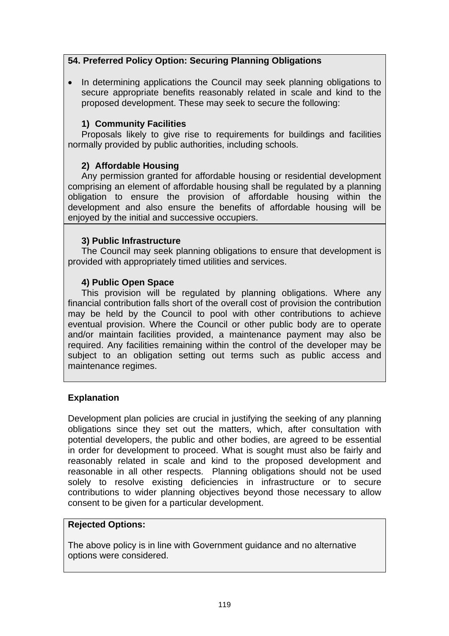## **54. Preferred Policy Option: Securing Planning Obligations**

• In determining applications the Council may seek planning obligations to secure appropriate benefits reasonably related in scale and kind to the proposed development. These may seek to secure the following:

## **1) Community Facilities**

Proposals likely to give rise to requirements for buildings and facilities normally provided by public authorities, including schools.

## **2) Affordable Housing**

Any permission granted for affordable housing or residential development comprising an element of affordable housing shall be regulated by a planning obligation to ensure the provision of affordable housing within the development and also ensure the benefits of affordable housing will be enjoyed by the initial and successive occupiers.

## **3) Public Infrastructure**

The Council may seek planning obligations to ensure that development is provided with appropriately timed utilities and services.

## **4) Public Open Space**

This provision will be regulated by planning obligations. Where any financial contribution falls short of the overall cost of provision the contribution may be held by the Council to pool with other contributions to achieve eventual provision. Where the Council or other public body are to operate and/or maintain facilities provided, a maintenance payment may also be required. Any facilities remaining within the control of the developer may be subject to an obligation setting out terms such as public access and maintenance regimes.

### **Explanation**

Development plan policies are crucial in justifying the seeking of any planning obligations since they set out the matters, which, after consultation with potential developers, the public and other bodies, are agreed to be essential in order for development to proceed. What is sought must also be fairly and reasonably related in scale and kind to the proposed development and reasonable in all other respects. Planning obligations should not be used solely to resolve existing deficiencies in infrastructure or to secure contributions to wider planning objectives beyond those necessary to allow consent to be given for a particular development.

### **Rejected Options:**

The above policy is in line with Government guidance and no alternative options were considered.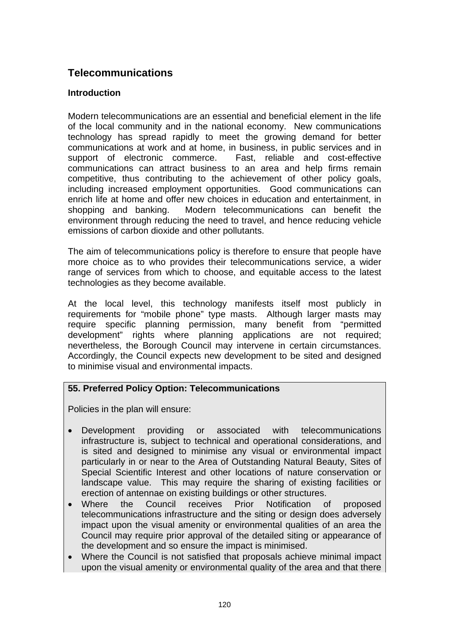# **Telecommunications**

## **Introduction**

Modern telecommunications are an essential and beneficial element in the life of the local community and in the national economy. New communications technology has spread rapidly to meet the growing demand for better communications at work and at home, in business, in public services and in support of electronic commerce. Fast, reliable and cost-effective communications can attract business to an area and help firms remain competitive, thus contributing to the achievement of other policy goals, including increased employment opportunities. Good communications can enrich life at home and offer new choices in education and entertainment, in shopping and banking. Modern telecommunications can benefit the environment through reducing the need to travel, and hence reducing vehicle emissions of carbon dioxide and other pollutants.

The aim of telecommunications policy is therefore to ensure that people have more choice as to who provides their telecommunications service, a wider range of services from which to choose, and equitable access to the latest technologies as they become available.

At the local level, this technology manifests itself most publicly in requirements for "mobile phone" type masts. Although larger masts may require specific planning permission, many benefit from "permitted development" rights where planning applications are not required; nevertheless, the Borough Council may intervene in certain circumstances. Accordingly, the Council expects new development to be sited and designed to minimise visual and environmental impacts.

## **55. Preferred Policy Option: Telecommunications**

Policies in the plan will ensure:

- Development providing or associated with telecommunications infrastructure is, subject to technical and operational considerations, and is sited and designed to minimise any visual or environmental impact particularly in or near to the Area of Outstanding Natural Beauty, Sites of Special Scientific Interest and other locations of nature conservation or landscape value. This may require the sharing of existing facilities or erection of antennae on existing buildings or other structures.
- Where the Council receives Prior Notification of proposed telecommunications infrastructure and the siting or design does adversely impact upon the visual amenity or environmental qualities of an area the Council may require prior approval of the detailed siting or appearance of the development and so ensure the impact is minimised.
- Where the Council is not satisfied that proposals achieve minimal impact upon the visual amenity or environmental quality of the area and that there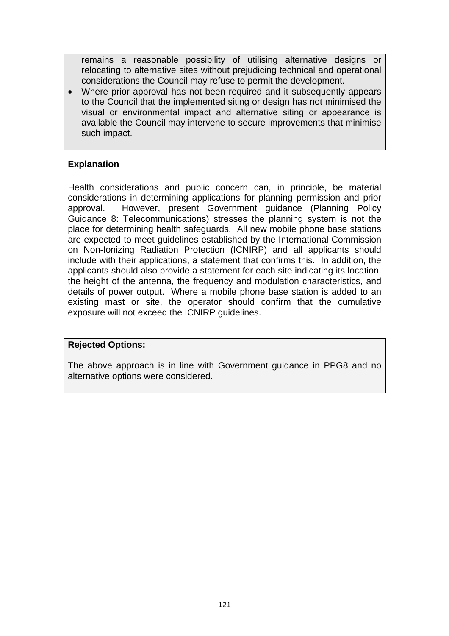remains a reasonable possibility of utilising alternative designs or relocating to alternative sites without prejudicing technical and operational considerations the Council may refuse to permit the development.

• Where prior approval has not been required and it subsequently appears to the Council that the implemented siting or design has not minimised the visual or environmental impact and alternative siting or appearance is available the Council may intervene to secure improvements that minimise such impact.

## **Explanation**

Health considerations and public concern can, in principle, be material considerations in determining applications for planning permission and prior approval. However, present Government guidance (Planning Policy Guidance 8: Telecommunications) stresses the planning system is not the place for determining health safeguards. All new mobile phone base stations are expected to meet guidelines established by the International Commission on Non-Ionizing Radiation Protection (ICNIRP) and all applicants should include with their applications, a statement that confirms this. In addition, the applicants should also provide a statement for each site indicating its location, the height of the antenna, the frequency and modulation characteristics, and details of power output. Where a mobile phone base station is added to an existing mast or site, the operator should confirm that the cumulative exposure will not exceed the ICNIRP guidelines.

#### **Rejected Options:**

The above approach is in line with Government guidance in PPG8 and no alternative options were considered.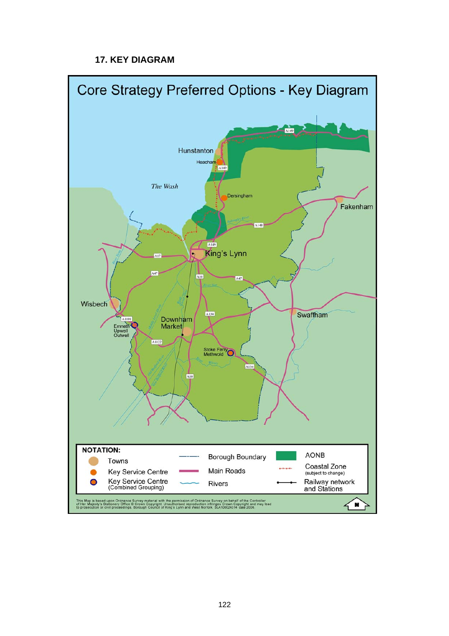# **17. KEY DIAGRAM**

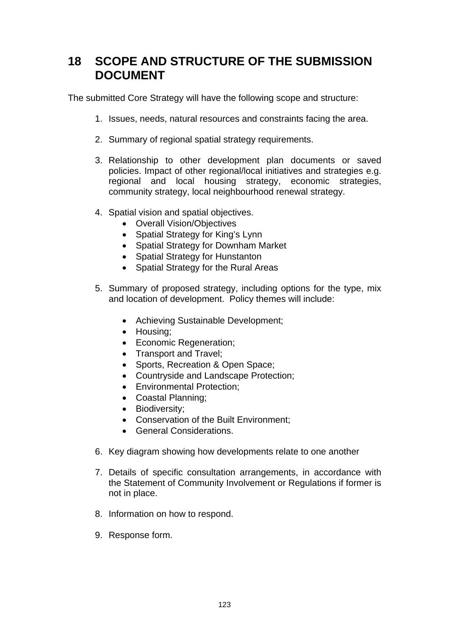# **18 SCOPE AND STRUCTURE OF THE SUBMISSION DOCUMENT**

The submitted Core Strategy will have the following scope and structure:

- 1. Issues, needs, natural resources and constraints facing the area.
- 2. Summary of regional spatial strategy requirements.
- 3. Relationship to other development plan documents or saved policies. Impact of other regional/local initiatives and strategies e.g. regional and local housing strategy, economic strategies, community strategy, local neighbourhood renewal strategy.
- 4. Spatial vision and spatial objectives.
	- Overall Vision/Objectives
	- Spatial Strategy for King's Lynn
	- Spatial Strategy for Downham Market
	- Spatial Strategy for Hunstanton
	- Spatial Strategy for the Rural Areas
- 5. Summary of proposed strategy, including options for the type, mix and location of development. Policy themes will include:
	- Achieving Sustainable Development;
	- Housing;
	- Economic Regeneration;
	- Transport and Travel;
	- Sports, Recreation & Open Space;
	- Countryside and Landscape Protection;
	- Environmental Protection;
	- Coastal Planning;
	- Biodiversity;
	- Conservation of the Built Environment;
	- General Considerations.
- 6. Key diagram showing how developments relate to one another
- 7. Details of specific consultation arrangements, in accordance with the Statement of Community Involvement or Regulations if former is not in place.
- 8. Information on how to respond.
- 9. Response form.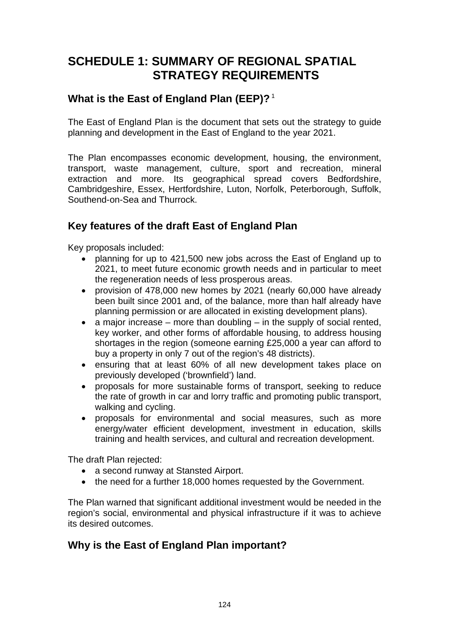# **SCHEDULE 1: SUMMARY OF REGIONAL SPATIAL STRATEGY REQUIREMENTS**

# **What is the East of England Plan (EEP)?**<sup>1</sup>

The East of England Plan is the document that sets out the strategy to guide planning and development in the East of England to the year 2021.

The Plan encompasses economic development, housing, the environment, transport, waste management, culture, sport and recreation, mineral extraction and more. Its geographical spread covers Bedfordshire, Cambridgeshire, Essex, Hertfordshire, Luton, Norfolk, Peterborough, Suffolk, Southend-on-Sea and Thurrock.

# **Key features of the draft East of England Plan**

Key proposals included:

- planning for up to 421,500 new jobs across the East of England up to 2021, to meet future economic growth needs and in particular to meet the regeneration needs of less prosperous areas.
- provision of 478,000 new homes by 2021 (nearly 60,000 have already been built since 2001 and, of the balance, more than half already have planning permission or are allocated in existing development plans).
- a major increase more than doubling in the supply of social rented, key worker, and other forms of affordable housing, to address housing shortages in the region (someone earning £25,000 a year can afford to buy a property in only 7 out of the region's 48 districts).
- ensuring that at least 60% of all new development takes place on previously developed ('brownfield') land.
- proposals for more sustainable forms of transport, seeking to reduce the rate of growth in car and lorry traffic and promoting public transport, walking and cycling.
- proposals for environmental and social measures, such as more energy/water efficient development, investment in education, skills training and health services, and cultural and recreation development.

The draft Plan rejected:

- a second runway at Stansted Airport.
- the need for a further 18,000 homes requested by the Government.

The Plan warned that significant additional investment would be needed in the region's social, environmental and physical infrastructure if it was to achieve its desired outcomes.

# **Why is the East of England Plan important?**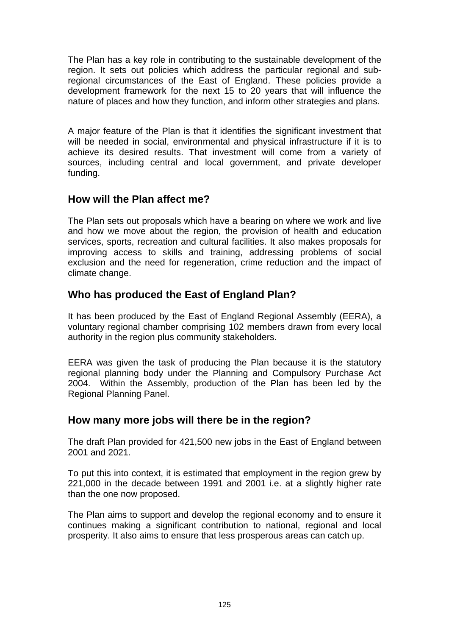The Plan has a key role in contributing to the sustainable development of the region. It sets out policies which address the particular regional and subregional circumstances of the East of England. These policies provide a development framework for the next 15 to 20 years that will influence the nature of places and how they function, and inform other strategies and plans.

A major feature of the Plan is that it identifies the significant investment that will be needed in social, environmental and physical infrastructure if it is to achieve its desired results. That investment will come from a variety of sources, including central and local government, and private developer funding.

# **How will the Plan affect me?**

The Plan sets out proposals which have a bearing on where we work and live and how we move about the region, the provision of health and education services, sports, recreation and cultural facilities. It also makes proposals for improving access to skills and training, addressing problems of social exclusion and the need for regeneration, crime reduction and the impact of climate change.

# **Who has produced the East of England Plan?**

It has been produced by the East of England Regional Assembly (EERA), a voluntary regional chamber comprising 102 members drawn from every local authority in the region plus community stakeholders.

EERA was given the task of producing the Plan because it is the statutory regional planning body under the Planning and Compulsory Purchase Act 2004. Within the Assembly, production of the Plan has been led by the Regional Planning Panel.

# **How many more jobs will there be in the region?**

The draft Plan provided for 421,500 new jobs in the East of England between 2001 and 2021.

To put this into context, it is estimated that employment in the region grew by 221,000 in the decade between 1991 and 2001 i.e. at a slightly higher rate than the one now proposed.

The Plan aims to support and develop the regional economy and to ensure it continues making a significant contribution to national, regional and local prosperity. It also aims to ensure that less prosperous areas can catch up.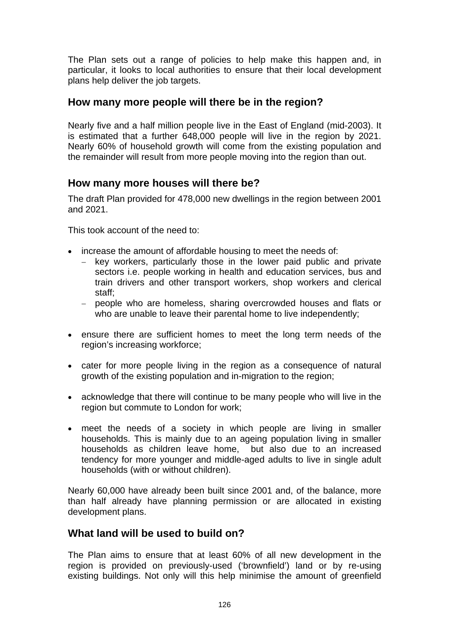The Plan sets out a range of policies to help make this happen and, in particular, it looks to local authorities to ensure that their local development plans help deliver the job targets.

# **How many more people will there be in the region?**

Nearly five and a half million people live in the East of England (mid-2003). It is estimated that a further 648,000 people will live in the region by 2021. Nearly 60% of household growth will come from the existing population and the remainder will result from more people moving into the region than out.

# **How many more houses will there be?**

The draft Plan provided for 478,000 new dwellings in the region between 2001 and 2021.

This took account of the need to:

- increase the amount of affordable housing to meet the needs of:
	- − key workers, particularly those in the lower paid public and private sectors i.e. people working in health and education services, bus and train drivers and other transport workers, shop workers and clerical staff;
	- − people who are homeless, sharing overcrowded houses and flats or who are unable to leave their parental home to live independently;
- ensure there are sufficient homes to meet the long term needs of the region's increasing workforce;
- cater for more people living in the region as a consequence of natural growth of the existing population and in-migration to the region;
- acknowledge that there will continue to be many people who will live in the region but commute to London for work;
- meet the needs of a society in which people are living in smaller households. This is mainly due to an ageing population living in smaller households as children leave home, but also due to an increased tendency for more younger and middle-aged adults to live in single adult households (with or without children).

Nearly 60,000 have already been built since 2001 and, of the balance, more than half already have planning permission or are allocated in existing development plans.

# **What land will be used to build on?**

The Plan aims to ensure that at least 60% of all new development in the region is provided on previously-used ('brownfield') land or by re-using existing buildings. Not only will this help minimise the amount of greenfield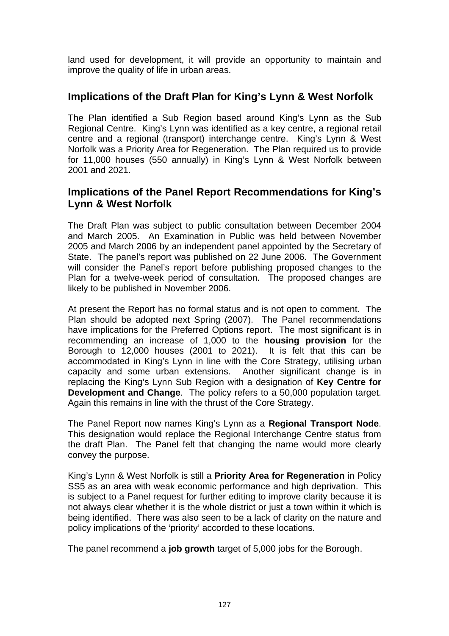land used for development, it will provide an opportunity to maintain and improve the quality of life in urban areas.

# **Implications of the Draft Plan for King's Lynn & West Norfolk**

The Plan identified a Sub Region based around King's Lynn as the Sub Regional Centre. King's Lynn was identified as a key centre, a regional retail centre and a regional (transport) interchange centre. King's Lynn & West Norfolk was a Priority Area for Regeneration. The Plan required us to provide for 11,000 houses (550 annually) in King's Lynn & West Norfolk between 2001 and 2021.

# **Implications of the Panel Report Recommendations for King's Lynn & West Norfolk**

The Draft Plan was subject to public consultation between December 2004 and March 2005. An Examination in Public was held between November 2005 and March 2006 by an independent panel appointed by the Secretary of State. The panel's report was published on 22 June 2006. The Government will consider the Panel's report before publishing proposed changes to the Plan for a twelve-week period of consultation. The proposed changes are likely to be published in November 2006.

At present the Report has no formal status and is not open to comment. The Plan should be adopted next Spring (2007). The Panel recommendations have implications for the Preferred Options report. The most significant is in recommending an increase of 1,000 to the **housing provision** for the Borough to 12,000 houses (2001 to 2021). It is felt that this can be accommodated in King's Lynn in line with the Core Strategy, utilising urban capacity and some urban extensions. Another significant change is in replacing the King's Lynn Sub Region with a designation of **Key Centre for Development and Change**. The policy refers to a 50,000 population target. Again this remains in line with the thrust of the Core Strategy.

The Panel Report now names King's Lynn as a **Regional Transport Node**. This designation would replace the Regional Interchange Centre status from the draft Plan. The Panel felt that changing the name would more clearly convey the purpose.

King's Lynn & West Norfolk is still a **Priority Area for Regeneration** in Policy SS5 as an area with weak economic performance and high deprivation. This is subject to a Panel request for further editing to improve clarity because it is not always clear whether it is the whole district or just a town within it which is being identified. There was also seen to be a lack of clarity on the nature and policy implications of the 'priority' accorded to these locations.

The panel recommend a **job growth** target of 5,000 jobs for the Borough.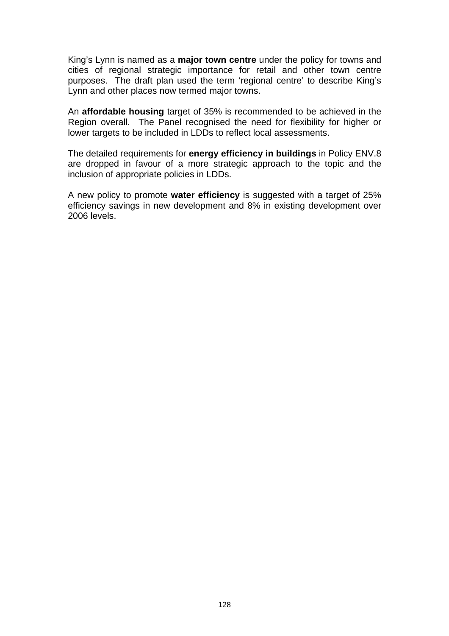King's Lynn is named as a **major town centre** under the policy for towns and cities of regional strategic importance for retail and other town centre purposes. The draft plan used the term 'regional centre' to describe King's Lynn and other places now termed major towns.

An **affordable housing** target of 35% is recommended to be achieved in the Region overall. The Panel recognised the need for flexibility for higher or lower targets to be included in LDDs to reflect local assessments.

The detailed requirements for **energy efficiency in buildings** in Policy ENV.8 are dropped in favour of a more strategic approach to the topic and the inclusion of appropriate policies in LDDs.

A new policy to promote **water efficiency** is suggested with a target of 25% efficiency savings in new development and 8% in existing development over 2006 levels.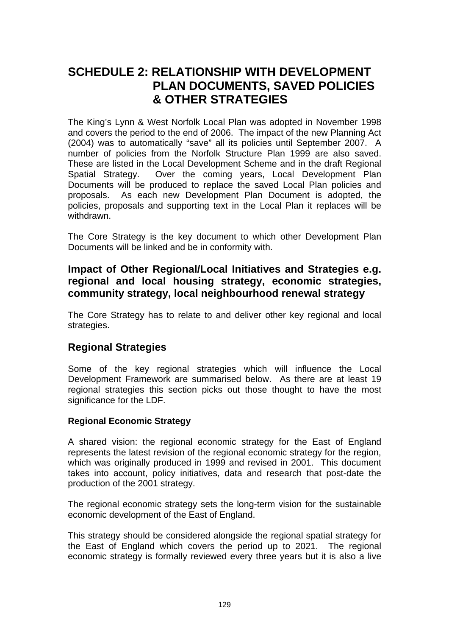# **SCHEDULE 2: RELATIONSHIP WITH DEVELOPMENT PLAN DOCUMENTS, SAVED POLICIES & OTHER STRATEGIES**

The King's Lynn & West Norfolk Local Plan was adopted in November 1998 and covers the period to the end of 2006. The impact of the new Planning Act (2004) was to automatically "save" all its policies until September 2007. A number of policies from the Norfolk Structure Plan 1999 are also saved. These are listed in the Local Development Scheme and in the draft Regional Spatial Strategy. Over the coming years, Local Development Plan Documents will be produced to replace the saved Local Plan policies and proposals. As each new Development Plan Document is adopted, the policies, proposals and supporting text in the Local Plan it replaces will be withdrawn.

The Core Strategy is the key document to which other Development Plan Documents will be linked and be in conformity with.

# **Impact of Other Regional/Local Initiatives and Strategies e.g. regional and local housing strategy, economic strategies, community strategy, local neighbourhood renewal strategy**

The Core Strategy has to relate to and deliver other key regional and local strategies.

# **Regional Strategies**

Some of the key regional strategies which will influence the Local Development Framework are summarised below. As there are at least 19 regional strategies this section picks out those thought to have the most significance for the LDF.

### **Regional Economic Strategy**

A shared vision: the regional economic strategy for the East of England represents the latest revision of the regional economic strategy for the region, which was originally produced in 1999 and revised in 2001. This document takes into account, policy initiatives, data and research that post-date the production of the 2001 strategy.

The regional economic strategy sets the long-term vision for the sustainable economic development of the East of England.

This strategy should be considered alongside the regional spatial strategy for the East of England which covers the period up to 2021. The regional economic strategy is formally reviewed every three years but it is also a live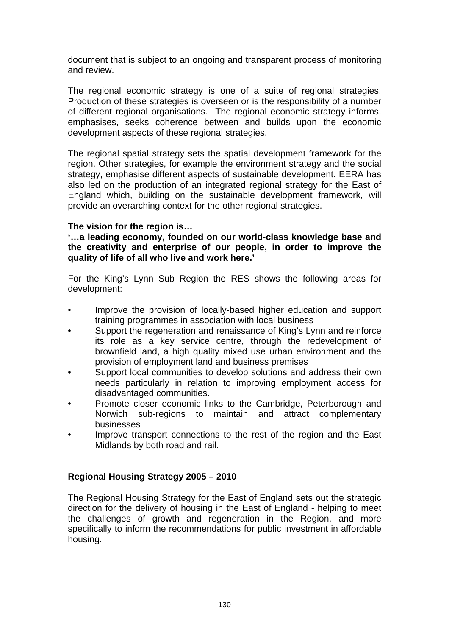document that is subject to an ongoing and transparent process of monitoring and review.

The regional economic strategy is one of a suite of regional strategies. Production of these strategies is overseen or is the responsibility of a number of different regional organisations. The regional economic strategy informs, emphasises, seeks coherence between and builds upon the economic development aspects of these regional strategies.

The regional spatial strategy sets the spatial development framework for the region. Other strategies, for example the environment strategy and the social strategy, emphasise different aspects of sustainable development. EERA has also led on the production of an integrated regional strategy for the East of England which, building on the sustainable development framework, will provide an overarching context for the other regional strategies.

## **The vision for the region is…**

**'…a leading economy, founded on our world-class knowledge base and the creativity and enterprise of our people, in order to improve the quality of life of all who live and work here.'** 

For the King's Lynn Sub Region the RES shows the following areas for development:

- Improve the provision of locally-based higher education and support training programmes in association with local business
- Support the regeneration and renaissance of King's Lynn and reinforce its role as a key service centre, through the redevelopment of brownfield land, a high quality mixed use urban environment and the provision of employment land and business premises
- Support local communities to develop solutions and address their own needs particularly in relation to improving employment access for disadvantaged communities.
- Promote closer economic links to the Cambridge, Peterborough and Norwich sub-regions to maintain and attract complementary businesses
- Improve transport connections to the rest of the region and the East Midlands by both road and rail.

## **Regional Housing Strategy 2005 – 2010**

The Regional Housing Strategy for the East of England sets out the strategic direction for the delivery of housing in the East of England - helping to meet the challenges of growth and regeneration in the Region, and more specifically to inform the recommendations for public investment in affordable housing.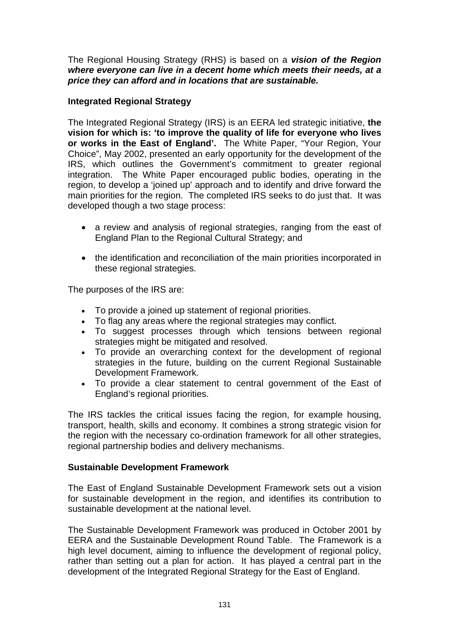The Regional Housing Strategy (RHS) is based on a *vision of the Region where everyone can live in a decent home which meets their needs, at a price they can afford and in locations that are sustainable.*

## **Integrated Regional Strategy**

The Integrated Regional Strategy (IRS) is an EERA led strategic initiative, **the vision for which is: 'to improve the quality of life for everyone who lives or works in the East of England'.** The White Paper, "Your Region, Your Choice", May 2002, presented an early opportunity for the development of the IRS, which outlines the Government's commitment to greater regional integration. The White Paper encouraged public bodies, operating in the region, to develop a 'joined up' approach and to identify and drive forward the main priorities for the region. The completed IRS seeks to do just that. It was developed though a two stage process:

- a review and analysis of regional strategies, ranging from the east of England Plan to the Regional Cultural Strategy; and
- the identification and reconciliation of the main priorities incorporated in these regional strategies.

The purposes of the IRS are:

- To provide a joined up statement of regional priorities.
- To flag any areas where the regional strategies may conflict.
- To suggest processes through which tensions between regional strategies might be mitigated and resolved.
- To provide an overarching context for the development of regional strategies in the future, building on the current Regional Sustainable Development Framework.
- To provide a clear statement to central government of the East of England's regional priorities.

The IRS tackles the critical issues facing the region, for example housing, transport, health, skills and economy. It combines a strong strategic vision for the region with the necessary co-ordination framework for all other strategies, regional partnership bodies and delivery mechanisms.

### **Sustainable Development Framework**

The East of England Sustainable Development Framework sets out a vision for sustainable development in the region, and identifies its contribution to sustainable development at the national level.

The Sustainable Development Framework was produced in October 2001 by EERA and the Sustainable Development Round Table. The Framework is a high level document, aiming to influence the development of regional policy, rather than setting out a plan for action. It has played a central part in the development of the Integrated Regional Strategy for the East of England.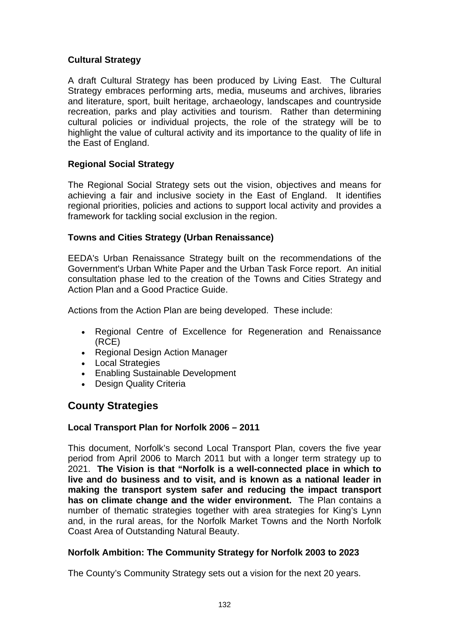## **Cultural Strategy**

A draft Cultural Strategy has been produced by Living East. The Cultural Strategy embraces performing arts, media, museums and archives, libraries and literature, sport, built heritage, archaeology, landscapes and countryside recreation, parks and play activities and tourism. Rather than determining cultural policies or individual projects, the role of the strategy will be to highlight the value of cultural activity and its importance to the quality of life in the East of England.

## **Regional Social Strategy**

The Regional Social Strategy sets out the vision, objectives and means for achieving a fair and inclusive society in the East of England. It identifies regional priorities, policies and actions to support local activity and provides a framework for tackling social exclusion in the region.

## **Towns and Cities Strategy (Urban Renaissance)**

EEDA's Urban Renaissance Strategy built on the recommendations of the Government's Urban White Paper and the Urban Task Force report. An initial consultation phase led to the creation of the Towns and Cities Strategy and Action Plan and a Good Practice Guide.

Actions from the Action Plan are being developed. These include:

- Regional Centre of Excellence for Regeneration and Renaissance (RCE)
- Regional Design Action Manager
- Local Strategies
- Enabling Sustainable Development
- Design Quality Criteria

# **County Strategies**

## **Local Transport Plan for Norfolk 2006 – 2011**

This document, Norfolk's second Local Transport Plan, covers the five year period from April 2006 to March 2011 but with a longer term strategy up to 2021. **The Vision is that "Norfolk is a well-connected place in which to live and do business and to visit, and is known as a national leader in making the transport system safer and reducing the impact transport has on climate change and the wider environment.** The Plan contains a number of thematic strategies together with area strategies for King's Lynn and, in the rural areas, for the Norfolk Market Towns and the North Norfolk Coast Area of Outstanding Natural Beauty.

## **Norfolk Ambition: The Community Strategy for Norfolk 2003 to 2023**

The County's Community Strategy sets out a vision for the next 20 years.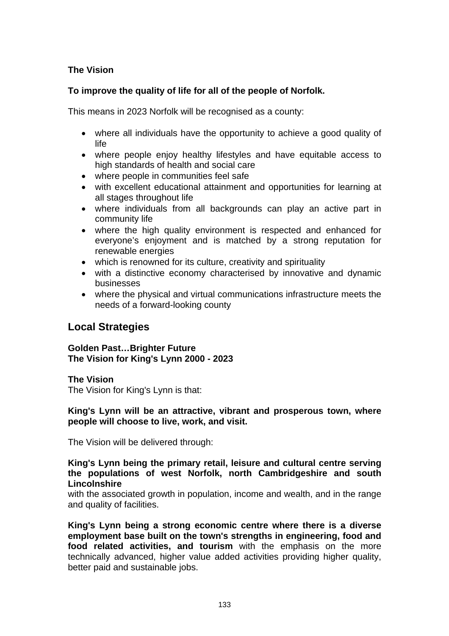## **The Vision**

## **To improve the quality of life for all of the people of Norfolk.**

This means in 2023 Norfolk will be recognised as a county:

- where all individuals have the opportunity to achieve a good quality of life
- where people enjoy healthy lifestyles and have equitable access to high standards of health and social care
- where people in communities feel safe
- with excellent educational attainment and opportunities for learning at all stages throughout life
- where individuals from all backgrounds can play an active part in community life
- where the high quality environment is respected and enhanced for everyone's enjoyment and is matched by a strong reputation for renewable energies
- which is renowned for its culture, creativity and spirituality
- with a distinctive economy characterised by innovative and dynamic businesses
- where the physical and virtual communications infrastructure meets the needs of a forward-looking county

# **Local Strategies**

**Golden Past…Brighter Future The Vision for King's Lynn 2000 - 2023**

### **The Vision**

The Vision for King's Lynn is that:

**King's Lynn will be an attractive, vibrant and prosperous town, where people will choose to live, work, and visit.** 

The Vision will be delivered through:

#### **King's Lynn being the primary retail, leisure and cultural centre serving the populations of west Norfolk, north Cambridgeshire and south Lincolnshire**

with the associated growth in population, income and wealth, and in the range and quality of facilities.

**King's Lynn being a strong economic centre where there is a diverse employment base built on the town's strengths in engineering, food and food related activities, and tourism** with the emphasis on the more technically advanced, higher value added activities providing higher quality, better paid and sustainable jobs.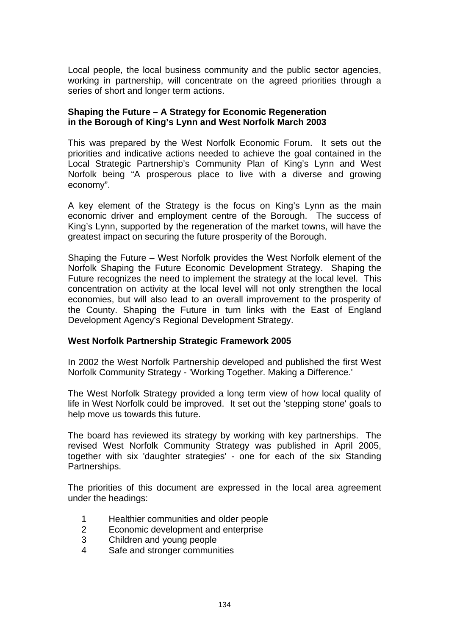Local people, the local business community and the public sector agencies, working in partnership, will concentrate on the agreed priorities through a series of short and longer term actions.

#### **Shaping the Future – A Strategy for Economic Regeneration in the Borough of King's Lynn and West Norfolk March 2003**

This was prepared by the West Norfolk Economic Forum. It sets out the priorities and indicative actions needed to achieve the goal contained in the Local Strategic Partnership's Community Plan of King's Lynn and West Norfolk being "A prosperous place to live with a diverse and growing economy".

A key element of the Strategy is the focus on King's Lynn as the main economic driver and employment centre of the Borough. The success of King's Lynn, supported by the regeneration of the market towns, will have the greatest impact on securing the future prosperity of the Borough.

Shaping the Future – West Norfolk provides the West Norfolk element of the Norfolk Shaping the Future Economic Development Strategy. Shaping the Future recognizes the need to implement the strategy at the local level. This concentration on activity at the local level will not only strengthen the local economies, but will also lead to an overall improvement to the prosperity of the County. Shaping the Future in turn links with the East of England Development Agency's Regional Development Strategy.

### **West Norfolk Partnership Strategic Framework 2005**

In 2002 the West Norfolk Partnership developed and published the first West Norfolk Community Strategy - 'Working Together. Making a Difference.'

The West Norfolk Strategy provided a long term view of how local quality of life in West Norfolk could be improved. It set out the 'stepping stone' goals to help move us towards this future.

The board has reviewed its strategy by working with key partnerships. The revised West Norfolk Community Strategy was published in April 2005, together with six 'daughter strategies' - one for each of the six Standing Partnerships.

The priorities of this document are expressed in the local area agreement under the headings:

- 1 Healthier communities and older people
- 2 Economic development and enterprise
- 3 Children and young people
- 4 Safe and stronger communities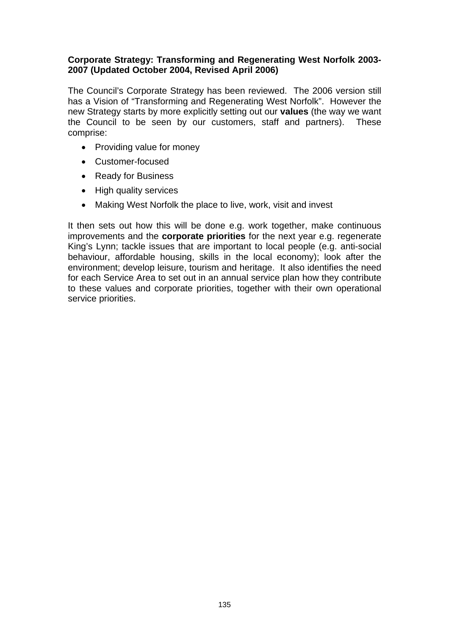### **Corporate Strategy: Transforming and Regenerating West Norfolk 2003- 2007 (Updated October 2004, Revised April 2006)**

The Council's Corporate Strategy has been reviewed. The 2006 version still has a Vision of "Transforming and Regenerating West Norfolk". However the new Strategy starts by more explicitly setting out our **values** (the way we want the Council to be seen by our customers, staff and partners). These comprise:

- Providing value for money
- Customer-focused
- Ready for Business
- High quality services
- Making West Norfolk the place to live, work, visit and invest

It then sets out how this will be done e.g. work together, make continuous improvements and the **corporate priorities** for the next year e.g. regenerate King's Lynn; tackle issues that are important to local people (e.g. anti-social behaviour, affordable housing, skills in the local economy); look after the environment; develop leisure, tourism and heritage. It also identifies the need for each Service Area to set out in an annual service plan how they contribute to these values and corporate priorities, together with their own operational service priorities.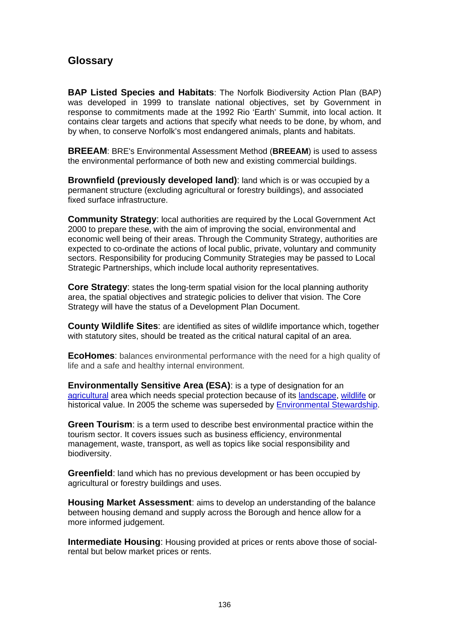# **Glossary**

**BAP Listed Species and Habitats**: The Norfolk Biodiversity Action Plan (BAP) was developed in 1999 to translate national objectives, set by Government in response to commitments made at the 1992 Rio 'Earth' Summit, into local action. It contains clear targets and actions that specify what needs to be done, by whom, and by when, to conserve Norfolk's most endangered animals, plants and habitats.

**BREEAM**: BRE's Environmental Assessment Method (**BREEAM**) is used to assess the environmental performance of both new and existing commercial buildings.

**Brownfield (previously developed land)**: land which is or was occupied by a permanent structure (excluding agricultural or forestry buildings), and associated fixed surface infrastructure.

**Community Strategy: local authorities are required by the Local Government Act** 2000 to prepare these, with the aim of improving the social, environmental and economic well being of their areas. Through the Community Strategy, authorities are expected to co-ordinate the actions of local public, private, voluntary and community sectors. Responsibility for producing Community Strategies may be passed to Local Strategic Partnerships, which include local authority representatives.

**Core Strategy**: states the long-term spatial vision for the local planning authority area, the spatial objectives and strategic policies to deliver that vision. The Core Strategy will have the status of a Development Plan Document.

**County Wildlife Sites**: are identified as sites of wildlife importance which, together with statutory sites, should be treated as the critical natural capital of an area.

**EcoHomes**: balances environmental performance with the need for a high quality of life and a safe and healthy internal environment.

**Environmentally Sensitive Area (ESA)**: is a type of designation for an agricultural area which needs special protection because of its landscape, wildlife or historical value. In 2005 the scheme was superseded by Environmental Stewardship.

**Green Tourism**: is a term used to describe best environmental practice within the tourism sector. It covers issues such as business efficiency, environmental management, waste, transport, as well as topics like social responsibility and biodiversity.

**Greenfield**: land which has no previous development or has been occupied by agricultural or forestry buildings and uses.

**Housing Market Assessment**: aims to develop an understanding of the balance between housing demand and supply across the Borough and hence allow for a more informed judgement.

**Intermediate Housing**: Housing provided at prices or rents above those of socialrental but below market prices or rents.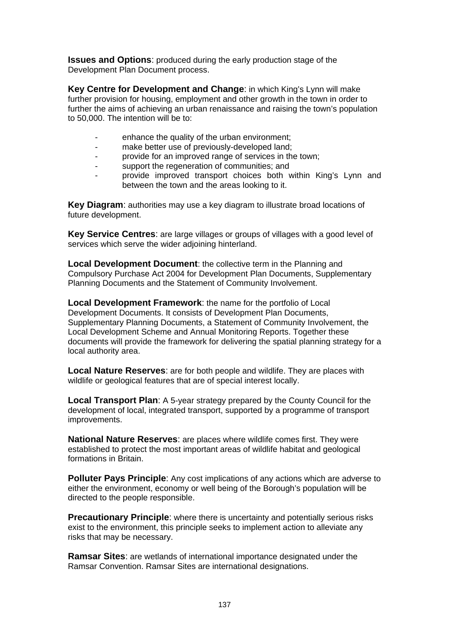**Issues and Options**: produced during the early production stage of the Development Plan Document process.

**Key Centre for Development and Change**: in which King's Lynn will make further provision for housing, employment and other growth in the town in order to further the aims of achieving an urban renaissance and raising the town's population to 50,000. The intention will be to:

- enhance the quality of the urban environment:
- make better use of previously-developed land;
- provide for an improved range of services in the town:
- support the regeneration of communities; and
- provide improved transport choices both within King's Lynn and between the town and the areas looking to it.

**Key Diagram**: authorities may use a key diagram to illustrate broad locations of future development.

**Key Service Centres**: are large villages or groups of villages with a good level of services which serve the wider adjoining hinterland.

**Local Development Document:** the collective term in the Planning and Compulsory Purchase Act 2004 for Development Plan Documents, Supplementary Planning Documents and the Statement of Community Involvement.

**Local Development Framework**: the name for the portfolio of Local Development Documents. It consists of Development Plan Documents, Supplementary Planning Documents, a Statement of Community Involvement, the Local Development Scheme and Annual Monitoring Reports. Together these documents will provide the framework for delivering the spatial planning strategy for a local authority area.

**Local Nature Reserves**: are for both people and wildlife. They are places with wildlife or geological features that are of special interest locally.

**Local Transport Plan**: A 5-year strategy prepared by the County Council for the development of local, integrated transport, supported by a programme of transport improvements.

**National Nature Reserves**: are places where wildlife comes first. They were established to protect the most important areas of wildlife habitat and geological formations in Britain.

**Polluter Pays Principle:** Any cost implications of any actions which are adverse to either the environment, economy or well being of the Borough's population will be directed to the people responsible.

**Precautionary Principle**: where there is uncertainty and potentially serious risks exist to the environment, this principle seeks to implement action to alleviate any risks that may be necessary.

**Ramsar Sites**: are wetlands of international importance designated under the Ramsar Convention. Ramsar Sites are international designations.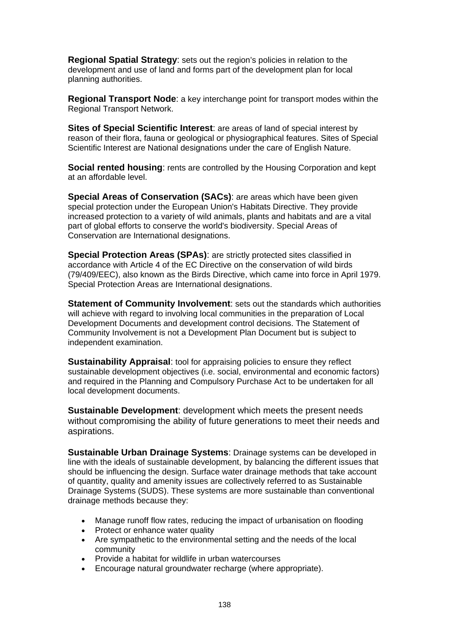**Regional Spatial Strategy**: sets out the region's policies in relation to the development and use of land and forms part of the development plan for local planning authorities.

**Regional Transport Node**: a key interchange point for transport modes within the Regional Transport Network.

**Sites of Special Scientific Interest**: are areas of land of special interest by reason of their flora, fauna or geological or physiographical features. Sites of Special Scientific Interest are National designations under the care of English Nature.

**Social rented housing:** rents are controlled by the Housing Corporation and kept at an affordable level.

**Special Areas of Conservation (SACs)**: are areas which have been given special protection under the European Union's Habitats Directive. They provide increased protection to a variety of wild animals, plants and habitats and are a vital part of global efforts to conserve the world's biodiversity. Special Areas of Conservation are International designations.

**Special Protection Areas (SPAs)**: are strictly protected sites classified in accordance with Article 4 of the EC Directive on the conservation of wild birds (79/409/EEC), also known as the Birds Directive, which came into force in April 1979. Special Protection Areas are International designations.

**Statement of Community Involvement:** sets out the standards which authorities will achieve with regard to involving local communities in the preparation of Local Development Documents and development control decisions. The Statement of Community Involvement is not a Development Plan Document but is subject to independent examination.

**Sustainability Appraisal**: tool for appraising policies to ensure they reflect sustainable development objectives (i.e. social, environmental and economic factors) and required in the Planning and Compulsory Purchase Act to be undertaken for all local development documents.

**Sustainable Development**: development which meets the present needs without compromising the ability of future generations to meet their needs and aspirations.

**Sustainable Urban Drainage Systems**: Drainage systems can be developed in line with the ideals of sustainable development, by balancing the different issues that should be influencing the design. Surface water drainage methods that take account of quantity, quality and amenity issues are collectively referred to as Sustainable Drainage Systems (SUDS). These systems are more sustainable than conventional drainage methods because they:

- Manage runoff flow rates, reducing the impact of urbanisation on flooding
- Protect or enhance water quality
- Are sympathetic to the environmental setting and the needs of the local community
- Provide a habitat for wildlife in urban watercourses
- Encourage natural groundwater recharge (where appropriate).